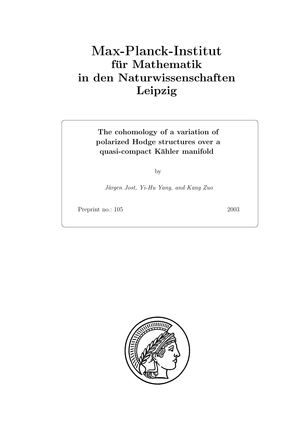# **für Mathematik in den Naturwissenschaften Leipzig**

### **The cohomology of a variation of polarized Hodge structures over a quasi-compact K¨ahler manifold**

by

Jürgen Jost, Yi-Hu Yang, and Kang Zuo

Preprint no.: 105 2003

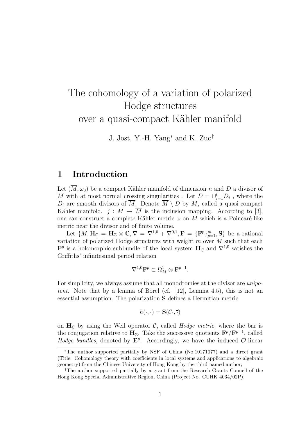# The cohomology of a variation of polarized Hodge structures over a quasi-compact Kähler manifold

J. Jost, Y.-H. Yang<sup>∗</sup> and K. Zuo†

### **1 Introduction**

Let  $(\overline{M}, \omega_0)$  be a compact Kähler manifold of dimension n and D a divisor of  $\overline{M}$  with at most normal crossing singularities. Let  $D = \bigcup_{i=1}^{l} D_i$ , where the  $D_i$  are smooth divisors of  $\overline{M}$ . Denote  $\overline{M} \setminus D$  by M, called a quasi-compact Kähler manifold.  $j : M \to \overline{M}$  is the inclusion mapping. According to [3], one can construct a complete Kähler metric  $\omega$  on M which is a Poincaré-like metric near the divisor and of finite volume.

Let  $\{M, \mathbf{H}_{\mathbb{C}} = \mathbf{H}_{\mathbb{Z}} \otimes \mathbb{C}, \nabla = \nabla^{1,0} + \nabla^{0,1}, \mathbf{F} = {\{\mathbf{F}^p\}}_{p=1}^m, \mathbf{S}\}\$  be a rational variation of polarized Hodge structures with weight  $m$  over  $M$  such that each  $\mathbf{F}^p$  is a holomorphic subbundle of the local system  $\mathbf{H}_{\mathbb{C}}$  and  $\nabla^{1,0}$  satisfies the Griffiths' infinitesimal period relation

$$
\nabla^{1,0} \mathbf{F}^p \subset \Omega^1_M \otimes \mathbf{F}^{p-1}.
$$

For simplicity, we always assume that all monodromies at the divisor are unipotent. Note that by a lemma of Borel (cf. [12], Lemma 4.5), this is not an essential assumption. The polarization **S** defines a Hermitian metric

$$
h(\cdot,\cdot) = \mathbf{S}(\mathcal{C}\cdot,\cdot)
$$

on  $H_C$  by using the Weil operator C, called *Hodge metric*, where the bar is the conjugation relative to **H**<sub>Z</sub>. Take the successive quotients  $\mathbf{F}^p/\mathbf{F}^{p-1}$ , called Hodge bundles, denoted by  $\mathbf{E}^p$ . Accordingly, we have the induced  $\mathcal{O}\text{-linear}$ 

<sup>∗</sup>The author supported partially by NSF of China (No.10171077) and a direct grant (Title: Cohomology theory with coefficients in local systems and applications to algebraic geometry) from the Chinese University of Hong Kong by the third named author;

<sup>†</sup>The author supported partially by a grant from the Research Grants Council of the Hong Kong Special Administrative Region, China (Project No. CUHK 4034/02P).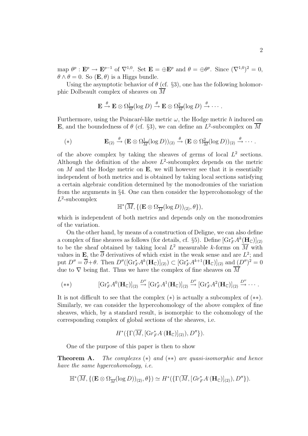map  $\theta^p : \mathbf{E}^p \to \mathbf{E}^{p-1}$  of  $\nabla^{1,0}$ . Set  $\mathbf{E} = \oplus \mathbf{E}^p$  and  $\theta = \oplus \theta^p$ . Since  $(\nabla^{1,0})^2 = 0$ ,  $\theta \wedge \theta = 0$ . So  $(\mathbf{E}, \theta)$  is a Higgs bundle.

Using the asymptotic behavior of  $\theta$  (cf. §3), one has the following holomorphic Dolbeault complex of sheaves on  $\overline{M}$ 

$$
\mathbf{E} \stackrel{\theta}{\to} \mathbf{E} \otimes \Omega_{\overline{M}}^1(\log D) \stackrel{\theta}{\to} \mathbf{E} \otimes \Omega_{\overline{M}}^2(\log D) \stackrel{\theta}{\to} \cdots.
$$

Furthermore, using the Poincaré-like metric  $\omega$ , the Hodge metric h induced on **E**, and the boundedness of  $\theta$  (cf. §3), we can define an  $L^2$ -subcomplex on  $\overline{M}$ 

(\*) 
$$
\mathbf{E}_{(2)} \xrightarrow{\theta} (\mathbf{E} \otimes \Omega_{\overline{M}}^1(\log D))_{(2)} \xrightarrow{\theta} (\mathbf{E} \otimes \Omega_{\overline{M}}^2(\log D))_{(2)} \xrightarrow{\theta} \cdots
$$

of the above complex by taking the sheaves of germs of local  $L^2$  sections. Although the definition of the above  $L^2$ -subcomplex depends on the metric on  $M$  and the Hodge metric on  $\bf{E}$ , we will however see that it is essentially independent of both metrics and is obtained by taking local sections satisfying a certain algebraic condition determined by the monodromies of the variation from the arguments in §4. One can then consider the hypercohomology of the  $L^2$ -subcomplex

$$
\mathbb{H}^*(\overline{M}, \{(\mathbf{E} \otimes \Omega_{\overline{M}}(\log D))_{(2)}, \theta\}),
$$

which is independent of both metrics and depends only on the monodromies of the variation.

On the other hand, by means of a construction of Deligne, we can also define a complex of fine sheaves as follows (for details, cf. §5). Define  $[\text{Gr}_F^* A^k(\mathbf{H}_\mathbb{C})]_{(2)}$ to be the sheaf obtained by taking local  $L^2$  measurable k-forms on  $\overline{M}$  with values in **E**, the  $\overline{\partial}$  derivatives of which exist in the weak sense and are  $L^2$ ; and put  $D'' = \overline{\partial} + \theta$ . Then  $D''([\text{Gr}_{F}^* A^k(\mathbf{H}_{\mathbb{C}})]_{(2)}) \subset [\text{Gr}_{F}^* A^{k+1}(\mathbf{H}_{\mathbb{C}})]_{(2)}$  and  $(D'')^2 = 0$ due to  $\nabla$  being flat. Thus we have the complex of fine sheaves on  $\overline{M}$ 

$$
(**) \qquad [\mathrm{Gr}_F^* A^0(\mathbf{H}_{\mathbb{C}})]_{(2)} \xrightarrow{D''} [\mathrm{Gr}_F^* A^1(\mathbf{H}_{\mathbb{C}})]_{(2)} \xrightarrow{D''} [\mathrm{Gr}_F^* A^2(\mathbf{H}_{\mathbb{C}})]_{(2)} \xrightarrow{D''} \cdots
$$

It is not difficult to see that the complex  $(*)$  is actually a subcomplex of  $(**)$ . Similarly, we can consider the hypercohomology of the above complex of fine sheaves, which, by a standard result, is isomorphic to the cohomology of the corresponding complex of global sections of the sheaves, i.e.

 $H^*(\{\Gamma(M,[\mathrm{Gr}_F^*A^{\cdot}(\mathbf{H}_\mathbb{C})]_{(2)}),D''\}).$ 

One of the purpose of this paper is then to show

**Theorem A.** The complexes (∗) and (∗∗) are quasi-isomorphic and hence have the same hypercohomology, i.e.

$$
\mathbb{H}^*(\overline{M}, \{(\mathbf{E}\otimes\Omega_{\overline{M}}(\log D))_{(2)}, \theta\}) \simeq H^*(\{\Gamma(\overline{M}, [Gr_F^*A(\mathbf{H}_{\mathbb{C}})]_{(2)}), D''\}).
$$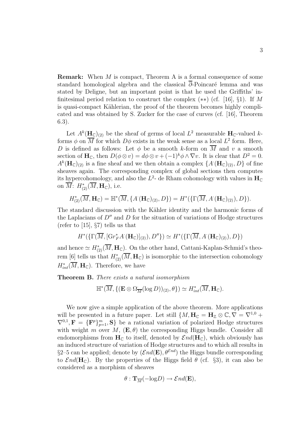**Remark:** When M is compact, Theorem A is a formal consequence of some standard homological algebra and the classical  $\overline{\partial}$ -Poincaré lemma and was stated by Deligne, but an important point is that he used the Griffiths' infinitesimal period relation to construct the complex  $(**)$  (cf. [16], §1). If M is quasi-compact Kählerian, the proof of the theorem becomes highly complicated and was obtained by S. Zucker for the case of curves (cf. [16], Theorem 6.3).

Let  $A^k(\mathbf{H}_{\mathbb{C}})_{(2)}$  be the sheaf of germs of local  $L^2$  measurable  $\mathbf{H}_{\mathbb{C}}$ -valued kforms  $\phi$  on  $\overline{M}$  for which  $D\phi$  exists in the weak sense as a local  $L^2$  form. Here, D is defined as follows: Let  $\phi$  be a smooth k-form on  $\overline{M}$  and v a smooth section of  $\mathbf{H}_{\mathbb{C}}$ , then  $D(\phi \otimes v) = d\phi \otimes v + (-1)^k \phi \wedge \nabla v$ . It is clear that  $D^2 = 0$ .  $A^{k}(\mathbf{H}_{\mathbb{C}})_{(2)}$  is a fine sheaf and we then obtain a complex  $\{A(\mathbf{H}_{\mathbb{C}})_{(2)}, D\}$  of fine sheaves again. The corresponding complex of global sections then computes its hypercohomology, and also the  $L^2$ - de Rham cohomology with values in  $H_C$ on  $M: H^*_{(2)}(M, \mathbf{H}_{\mathbb{C}})$ , i.e.

$$
H^*_{(2)}(\overline{M},\mathbf{H}_{\mathbb{C}})=\mathbb{H}^*(\overline{M},\{A^{\cdot}(\mathbf{H}_{\mathbb{C}})_{(2)},D\})=H^*(\{\Gamma(\overline{M},A^{\cdot}(\mathbf{H}_{\mathbb{C}})_{(2)}),D\}).
$$

The standard discussion with the Kähler identity and the harmonic forms of the Laplacians of  $D''$  and D for the situation of variations of Hodge structures (refer to [15], §7) tells us that

$$
H^*(\{\Gamma(\overline{M}, [Gr_F^*A^*(\mathbf{H}_{\mathbb{C}})]_{(2)}), D''\}) \simeq H^*(\{\Gamma(\overline{M}, A^*(\mathbf{H}_{\mathbb{C}})_{(2)}), D\})
$$

and hence  $\simeq H_{(2)}^*(\overline{M},\mathbf{H}_{\mathbb{C}})$ . On the other hand, Cattani-Kaplan-Schmid's theorem [6] tells us that  $H^*_{(2)}(M, \mathbf{H}_{\mathbb{C}})$  is isomorphic to the intersection cohomology  $H_{int}^*(M, \mathbf{H}_{\mathbb{C}})$ . Therefore, we have

**Theorem B.** There exists a natural isomorphism

$$
\mathbb{H}^*(\overline{M}, \{(\mathbf{E} \otimes \Omega_{\overline{M}}(\log D))_{(2)}, \theta\}) \simeq H^*_{int}(\overline{M}, \mathbf{H}_{\mathbb{C}}).
$$

We now give a simple application of the above theorem. More applications will be presented in a future paper. Let still  $\{M, H_{\mathbb{C}} = H_{\mathbb{Z}} \otimes \mathbb{C}, \nabla = \nabla^{1,0} +$  $\nabla^{0,1}, \mathbf{F} = {\mathbf{F}^p}_{p=1}^m, \mathbf{S}$  be a rational variation of polarized Hodge structures with weight m over M,  $(\mathbf{E}, \theta)$  the corresponding Higgs bundle. Consider all endomorphisms from  $H_C$  to itself, denoted by  $\mathcal{E}nd(H_C)$ , which obviously has an induced structure of variation of Hodge structures and to which all results in §2–5 can be applied; denote by  $(\mathcal{E}nd(\mathbf{E}), \theta^{\mathcal{E}nd})$  the Higgs bundle corresponding to  $\mathcal{E}nd(\mathbf{H}_{\mathcal{C}})$ . By the properties of the Higgs field  $\theta$  (cf. §3), it can also be considered as a morphism of sheaves

$$
\theta: {\bf T}_{\overline{M}}(-\text{log} D) \to \mathcal{E}nd({\bf E}),
$$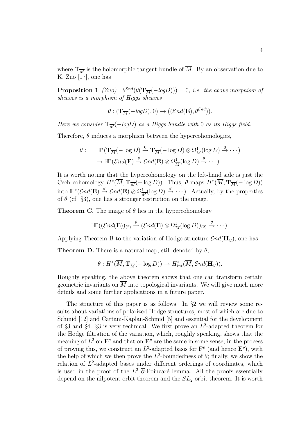where  $\mathbf{T}_{\overline{M}}$  is the holomorphic tangent bundle of  $\overline{M}$ . By an observation due to K. Zuo [17], one has

**Proposition 1** (Zuo)  $\theta^{\text{End}}(\theta(\mathbf{T}_{\overline{M}}(-logD))) = 0$ , *i.e.* the above morphism of sheaves is a morphism of Higgs sheaves

$$
\theta : (\mathbf{T}_{\overline{M}}(-logD), 0) \to ((\mathcal{E}nd(\mathbf{E}), \theta^{\mathcal{E}nd})).
$$

Here we consider  $\mathbf{T}_{\overline{M}}(-logD)$  as a Higgs bundle with 0 as its Higgs field.

Therefore,  $\theta$  induces a morphism between the hypercohomologies,

$$
\theta: \quad \mathbb{H}^*(\mathbf{T}_{\overline{M}}(-\log D) \xrightarrow{0} \mathbf{T}_{\overline{M}}(-\log D) \otimes \Omega^1_{\overline{M}}(\log D) \xrightarrow{0} \cdots)
$$

$$
\rightarrow \mathbb{H}^*(\mathcal{E}nd(\mathbf{E}) \xrightarrow{\theta} \mathcal{E}nd(\mathbf{E}) \otimes \Omega^1_{\overline{M}}(\log D) \xrightarrow{\theta} \cdots).
$$

It is worth noting that the hypercohomology on the left-hand side is just the Cech cohomology  $H^*(\overline{M}, \mathbf{T}_{\overline{M}}(- \log D))$ . Thus,  $\theta$  maps  $H^*(\overline{M}, \mathbf{T}_{\overline{M}}(- \log D))$ into  $\mathbb{H}^*(\mathcal{E}nd(\mathbf{E}) \stackrel{\theta}{\to} \mathcal{E}nd(\mathbf{E}) \otimes \Omega^1_{\overline{M}}(\log D) \stackrel{\theta}{\to} \cdots$ . Actually, by the properties of  $\theta$  (cf. §3), one has a stronger restriction on the image.

**Theorem C.** The image of  $\theta$  lies in the hypercohomology

$$
\mathbb{H}^*((\mathcal{E}nd(\mathbf{E}))_{(2)} \xrightarrow{\theta} (\mathcal{E}nd(\mathbf{E}) \otimes \Omega^1_{\overline{M}}(\log D))_{(2)} \xrightarrow{\theta} \cdots).
$$

Applying Theorem B to the variation of Hodge structure  $\mathcal{E}nd(\mathbf{H}_{\mathbb{C}})$ , one has

**Theorem D.** There is a natural map, still denoted by  $\theta$ ,

$$
\theta: H^*(\overline{M}, \mathbf{T}_{\overline{M}}(-\log D)) \to H^*_{int}(\overline{M}, \mathcal{E}nd(\mathbf{H}_{\mathbb{C}})).
$$

Roughly speaking, the above theorem shows that one can transform certain geometric invariants on  $\overline{M}$  into topological invariants. We will give much more details and some further applications in a future paper.

The structure of this paper is as follows. In §2 we will review some results about variations of polarized Hodge structures, most of which are due to Schmid [12] and Cattani-Kaplan-Schmid [5] and essential for the development of  $\S$ 3 and  $\S$ 4.  $\S$ 3 is very technical. We first prove an  $L^2$ -adapted theorem for the Hodge filtration of the variation, which, roughly speaking, shows that the meaning of  $L^2$  on  $\mathbf{F}^p$  and that on  $\mathbf{E}^p$  are the same in some sense; in the process of proving this, we construct an  $L^2$ -adapted basis for  $\mathbf{F}^p$  (and hence  $\mathbf{E}^p$ ), with the help of which we then prove the  $L^2$ -boundedness of  $\theta$ ; finally, we show the relation of  $L^2$ -adapted bases under different orderings of coordinates, which is used in the proof of the  $L^2$  ∂-Poincaré lemma. All the proofs essentially depend on the nilpotent orbit theorem and the  $SL_2$ -orbit theorem. It is worth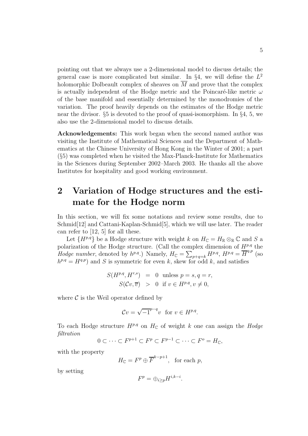pointing out that we always use a 2-dimensional model to discuss details; the general case is more complicated but similar. In  $\S 4$ , we will define the  $L^2$ holomorphic Dolbeault complex of sheaves on  $\overline{M}$  and prove that the complex is actually independent of the Hodge metric and the Poincaré-like metric  $\omega$ of the base manifold and essentially determined by the monodromies of the variation. The proof heavily depends on the estimates of the Hodge metric near the divisor. §5 is devoted to the proof of quasi-isomorphism. In §4, 5, we also use the 2-dimensional model to discuss details.

**Acknowledgements:** This work began when the second named author was visiting the Institute of Mathematical Sciences and the Department of Mathematics at the Chinese University of Hong Kong in the Winter of 2001; a part (§5) was completed when he visited the Max-Planck-Institute for Mathematics in the Sciences during September 2002–March 2003. He thanks all the above Institutes for hospitality and good working environment.

## **2 Variation of Hodge structures and the estimate for the Hodge norm**

In this section, we will fix some notations and review some results, due to Schmid[12] and Cattani-Kaplan-Schmid[5], which we will use later. The reader can refer to [12, 5] for all these.

Let  $\{H^{p,q}\}\$  be a Hodge structure with weight k on  $H_{\mathbb{C}} = H_{\mathbb{R}} \otimes_{\mathbb{R}} \mathbb{C}$  and S a polarization of the Hodge structure. (Call the complex dimension of  $H^{p,q}$  the Hodge number, denoted by  $h^{p,q}$ .) Namely,  $H_C = \sum_{p+q=k} H^{p,q}$ ,  $H^{p,q} = \overline{H}^{q,p}$  (so  $h^{p,q} = H^{q,p}$  and S is symmetric for even k, skew for odd k, and satisfies

$$
S(H^{p,q}, H^{r,s}) = 0 \tmtext{ unless } p = s, q = r,
$$
  

$$
S(\mathcal{C}v, \overline{v}) > 0 \tmtext{ if } v \in H^{p,q}, v \neq 0,
$$

where  $\mathcal C$  is the Weil operator defined by

$$
Cv = \sqrt{-1}^{p-q}v \text{ for } v \in H^{p,q}.
$$

To each Hodge structure  $H^{p,q}$  on  $H_{\mathbb{C}}$  of weight k one can assign the Hodge filtration

$$
0 \subset \cdots \subset F^{p+1} \subset F^p \subset F^{p-1} \subset \cdots \subset F^o = H_{\mathbb{C}},
$$

with the property

$$
H_{\mathbb{C}} = F^p \oplus \overline{F}^{k-p+1}, \text{ for each } p,
$$

by setting

$$
F^p = \bigoplus_{i \ge p} H^{i,k-i}.
$$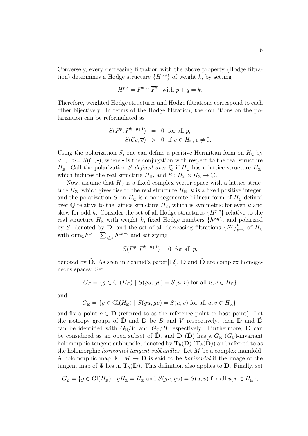Conversely, every decreasing filtration with the above property (Hodge filtration) determines a Hodge structure  $\{H^{p,q}\}\$  of weight k, by setting

$$
H^{p,q} = F^p \cap \overline{F}^q \text{ with } p + q = k.
$$

Therefore, weighted Hodge structures and Hodge filtrations correspond to each other bijectively. In terms of the Hodge filtration, the conditions on the polarization can be reformulated as

$$
S(F^p, F^{k-p+1}) = 0 \text{ for all } p,
$$
  

$$
S(\mathcal{C}v, \overline{v}) > 0 \text{ if } v \in H_{\mathbb{C}}, v \neq 0.
$$

Using the polarization S, one can define a positive Hermitian form on  $H_{\mathbb{C}}$  by  $\langle \cdot, \cdot \rangle = S(C, \cdot),$  where  $\cdot$  is the conjugation with respect to the real structure  $H_{\mathbb{R}}$ . Call the polarization S defined over Q if  $H_{\mathbb{C}}$  has a lattice structure  $H_{\mathbb{Z}}$ , which induces the real structure  $H_{\mathbb{R}}$ , and  $S: H_{\mathbb{Z}} \times H_{\mathbb{Z}} \to \mathbb{Q}$ .

Now, assume that  $H_{\mathbb{C}}$  is a fixed complex vector space with a lattice structure  $H_{\mathbb{Z}}$ , which gives rise to the real structure  $H_{\mathbb{R}}$ , k is a fixed positive integer, and the polarization S on  $H_{\mathbb{C}}$  is a nondegenerate bilinear form of  $H_{\mathbb{C}}$  defined over Q relative to the lattice structure  $H_{\mathbb{Z}}$ , which is symmetric for even k and skew for odd k. Consider the set of all Hodge structures  $\{H^{p,q}\}\$ relative to the real structure  $H_{\mathbb{R}}$  with weight k, fixed Hodge numbers  $\{h^{p,q}\}\$ , and polarized by S, denoted by **D**, and the set of all decreasing filtrations  $\{F^p\}_{p=0}^k$  of  $H_{\mathbb{C}}$ with  $\dim_{\mathbb{C}} F^p = \sum_{i \geq k} h^{i,k-i}$  and satisfying

$$
S(F^p, F^{k-p+1}) = 0 \text{ for all } p,
$$

denoted by  $\ddot{\mathbf{D}}$ . As seen in Schmid's paper[12],  $\mathbf{D}$  and  $\ddot{\mathbf{D}}$  are complex homogeneous spaces: Set

$$
G_{\mathbb{C}} = \{ g \in Gl(H_{\mathbb{C}}) \mid S(gu, gv) = S(u, v) \text{ for all } u, v \in H_{\mathbb{C}} \}
$$

and

$$
G_{\mathbb{R}} = \{ g \in \mathrm{Gl}(H_{\mathbb{R}}) \mid S(gu, gv) = S(u, v) \text{ for all } u, v \in H_{\mathbb{R}} \},
$$

and fix a point  $o \in \mathbf{D}$  (referred to as the reference point or base point). Let the isotropy groups of **D** and **D** be B and V respectively, then **D** and **D** can be identified with  $G_{\mathbb{R}}/V$  and  $G_{\mathbb{C}}/B$  respectively. Furthermore, **D** can be considered as an open subset of **D**, and **D** (**D**) has a  $G_{\mathbb{R}}$  ( $G_{\mathbb{C}}$ )-invariant holomorphic tangent subbundle, denoted by  $\mathbf{T}_h(\mathbf{D})$  ( $\mathbf{T}_h(\mathbf{D})$ ) and referred to as the holomorphic *horizontal tangent subbundles*. Let M be a complex manifold. A holomorphic map  $\Psi : M \to \mathbf{D}$  is said to be *horizontal* if the image of the tangent map of  $\Psi$  lies in  $\mathbf{T}_h(\mathbf{D})$ . This definition also applies to  $\tilde{\mathbf{D}}$ . Finally, set

$$
G_{\mathbb{Z}} = \{ g \in \mathrm{Gl}(H_{\mathbb{R}}) \mid gH_{\mathbb{Z}} = H_{\mathbb{Z}} \text{ and } S(gu, gv) = S(u, v) \text{ for all } u, v \in H_{\mathbb{R}} \},
$$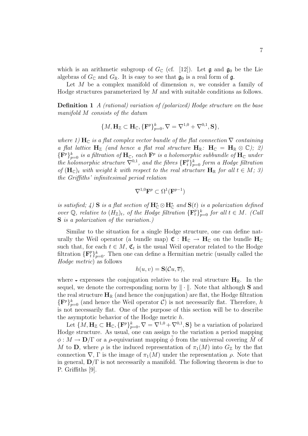which is an arithmetic subgroup of  $G_{\mathbb{C}}$  (cf. [12]). Let  $\mathfrak{g}$  and  $\mathfrak{g}_0$  be the Lie algebras of  $G_{\mathbb{C}}$  and  $G_{\mathbb{R}}$ . It is easy to see that  $\mathfrak{g}_0$  is a real form of  $\mathfrak{g}$ .

Let  $M$  be a complex manifold of dimension  $n$ , we consider a family of Hodge structures parameterized by M and with suitable conditions as follows.

**Definition 1** A (rational) variation of (polarized) Hodge structure on the base manifold M consists of the datum

$$
\{M,\mathbf{H}_{\mathbb{Z}}\subset \mathbf{H}_{\mathbb{C}}, \{\mathbf{F}^p\}_{p=0}^k, \nabla=\nabla^{1,0}+\nabla^{0,1}, \mathbf{S}\},
$$

where 1)  $\mathbf{H}_{\mathbb{C}}$  is a flat complex vector bundle of the flat connection  $\nabla$  containing a flat lattice  $H_Z$  (and hence a flat real structure  $H_R$ :  $H_C = H_R \otimes \mathbb{C}$ ); 2)  ${\{F^p\}}_{p=0}^k$  is a filtration of  $H_{\mathbb{C}}$ , each  $F^p$  is a holomorphic subbundle of  $H_{\mathbb{C}}$  under the holomorphic structure  $\overline{\nabla}^{0,1}$ , and the fibres  $\{ {\bf F}_t^p \}_{p=0}^k$  form a Hodge filtration of  $(\mathbf{H}_{\mathbb{C}})_t$  with weight k with respect to the real structure  $\mathbf{H}_{\mathbb{R}}$  for all  $t \in M$ ; 3) the Griffiths' infinitesimal period relation

$$
\nabla^{1,0} \mathbf{F}^p \subset \Omega^1(\mathbf{F}^{p-1})
$$

is satisfied; 4) **S** is a flat section of  $\mathbf{H}_{\mathbb{C}}^* \otimes \mathbf{H}_{\mathbb{C}}^*$  and  $\mathbf{S}(t)$  is a polarization defined over  $\mathbb{Q}$ , relative to  $(H_{\mathbb{Z}})_t$ , of the Hodge filtration  $\{F_t^p\}_{p=0}^k$  for all  $t \in M$ . (Call **S** is a polarization of the variation.)

Similar to the situation for a single Hodge structure, one can define naturally the Weil operator (a bundle map)  $\mathfrak{C}: \mathbf{H}_{\mathbb{C}} \to \mathbf{H}_{\mathbb{C}}$  on the bundle  $\mathbf{H}_{\mathbb{C}}$ such that, for each  $t \in M$ ,  $\mathfrak{C}_t$  is the usual Weil operator related to the Hodge filtration  ${\{\mathbf{F}_t^p\}}_{p=0}^k$ . Then one can define a Hermitian metric (usually called the Hodge metric) as follows

$$
h(u, v) = \mathbf{S}(\mathcal{C}u, \overline{v}),
$$

where  $\overline{\mathbf{H}}_{\mathbb{R}}$ . In the conjugation relative to the real structure  $\mathbf{H}_{\mathbb{R}}$ . In the sequel, we denote the corresponding norm by  $\|\cdot\|$ . Note that although **S** and the real structure  $\mathbf{H}_{\mathbb{R}}$  (and hence the conjugation) are flat, the Hodge filtration  ${\{\mathbf F}^p\}_{p=0}^k$  (and hence the Weil operator C) is not necessarily flat. Therefore, h is not necessarily flat. One of the purpose of this section will be to describe the asymptotic behavior of the Hodge metric h.

Let  $\{M, H_{\mathbb{Z}} \subset H_{\mathbb{C}}, \{F^p\}_{p=0}^k, \nabla = \overline{\nabla}^{1,0} + \nabla^{0,1}, S\}$  be a variation of polarized Hodge structure. As usual, one can assign to the variation a period mapping  $\phi: M \to \mathbf{D}/\Gamma$  or a *ρ*-equivariant mapping  $\phi$  from the universal covering M of M to **D**, where  $\rho$  is the induced representation of  $\pi_1(M)$  into  $G_{\mathbb{Z}}$  by the flat connection  $\nabla$ , Γ is the image of  $\pi_1(M)$  under the representation  $\rho$ . Note that in general,  $\mathbf{D}/\Gamma$  is not necessarily a manifold. The following theorem is due to P. Griffiths [9].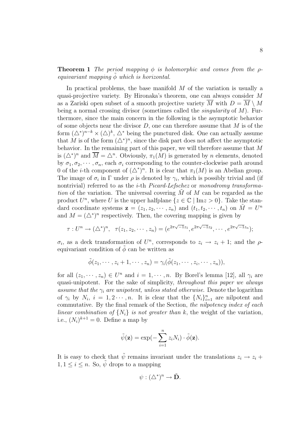**Theorem 1** The period mapping  $\phi$  is holomorphic and comes from the  $\rho$ equivariant mapping  $\phi$  which is horizontal.

In practical problems, the base manifold M of the variation is usually a quasi-projective variety. By Hironaka's theorem, one can always consider M as a Zariski open subset of a smooth projective variety M with  $D = M \setminus M$ being a normal crossing divisor (sometimes called the *singularity* of  $M$ ). Furthermore, since the main concern in the following is the asymptotic behavior of some objects near the divisor  $D$ , one can therefore assume that  $M$  is of the form  $(\Delta^*)^{n-k} \times (\Delta)^k$ ,  $\Delta^*$  being the punctured disk. One can actually assume that M is of the form  $(\triangle^*)^n$ , since the disk part does not affect the asymptotic behavior. In the remaining part of this paper, we will therefore assume that M is  $(\Delta^*)^n$  and  $\overline{M} = \Delta^n$ . Obviously,  $\pi_1(M)$  is generated by n elements, denoted by  $\sigma_1, \sigma_2, \cdots, \sigma_n$ , each  $\sigma_i$  corresponding to the counter-clockwise path around 0 of the *i*-th component of  $(\triangle^*)^n$ . It is clear that  $\pi_1(M)$  is an Abelian group. The image of  $\sigma_i$  in Γ under  $\rho$  is denoted by  $\gamma_i$ , which is possibly trivial and (if nontrivial) referred to as the *i*-th *Picard-Lefschez* or *monodromy transforma*tion of the variation. The universal covering  $M$  of  $M$  can be regarded as the product  $U^n$ , where U is the upper halfplane  $\{z \in \mathbb{C} \mid \text{Im} z > 0\}$ . Take the standard coordinate systems  $\mathbf{z} = (z_1, z_2, \dots, z_n)$  and  $(t_1, t_2, \dots, t_n)$  on  $M = U^n$ and  $M = (\Delta^*)^n$  respectively. Then, the covering mapping is given by

$$
\tau: U^{n} \to (\triangle^{*})^{n}, \quad \tau(z_{1}, z_{2}, \cdots, z_{n}) = (e^{2\pi\sqrt{-1}z_{1}}, e^{2\pi\sqrt{-1}z_{2}}, \cdots, e^{2\pi\sqrt{-1}z_{n}});
$$

 $\sigma_i$ , as a deck transformation of  $U^n$ , corresponds to  $z_i \to z_i + 1$ ; and the  $\rho$ equivariant condition of  $\phi$  can be written as

$$
\tilde{\phi}(z_1,\dots,z_i+1,\dots,z_n)=\gamma_i(\tilde{\phi}(z_1,\dots,z_i,\dots,z_n)),
$$

for all  $(z_1, \dots, z_n) \in U^n$  and  $i = 1, \dots, n$ . By Borel's lemma [12], all  $\gamma_i$  are quasi-unipotent. For the sake of simplicity, throughout this paper we always assume that the  $\gamma_i$  are unipotent, unless stated otherwise. Denote the logarithm of  $\gamma_i$  by  $N_i$ ,  $i = 1, 2 \cdots, n$ . It is clear that the  $\{N_i\}_{i=1}^n$  are nilpotent and commutative. By the final remark of the Section, the nilpotency index of each linear combination of  $\{N_i\}$  is not greater than k, the weight of the variation, i.e.,  $(N_i)^{k+1} = 0$ . Define a map by

$$
\tilde{\psi}(\mathbf{z}) = \exp(-\sum_{i=1}^{n} z_i N_i) \cdot \tilde{\phi}(\mathbf{z}).
$$

It is easy to check that  $\tilde{\psi}$  remains invariant under the translations  $z_i \to z_i +$  $1, 1 \leq i \leq n$ . So,  $\hat{\psi}$  drops to a mapping

$$
\psi: (\triangle^*)^n \to \tilde{\mathbf{D}}.
$$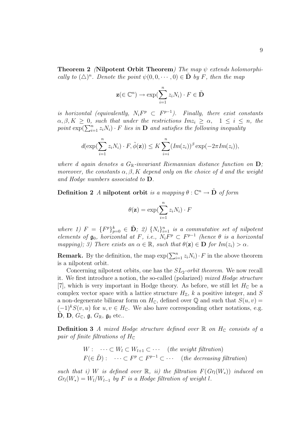**Theorem 2** (**Nilpotent Orbit Theorem**) The map ψ extends holomorphically to  $(\triangle)^n$ . Denote the point  $\psi(0, 0, \dots, 0) \in \mathbf{D}$  by F, then the map

$$
\mathbf{z}(\in\mathbb{C}^n)\to \exp(\sum_{i=1}^n z_iN_i)\cdot F\in \tilde{\mathbf{D}}
$$

is horizontal (equivalently,  $N_i F^p \subset F^{p-1}$ ). Finally, there exist constants  $\alpha, \beta, K \geq 0$ , such that under the restrictions  $Im z_i \geq \alpha$ ,  $1 \leq i \leq n$ , the point  $\exp(\sum_{i=1}^n z_i N_i) \cdot F$  lies in **D** and satisfies the following inequality

$$
d(\exp(\sum_{i=1}^n z_i N_i) \cdot F, \tilde{\phi}(\mathbf{z})) \leq K \sum_{i=i}^n (Im(z_i))^{\beta} \exp(-2\pi Im(z_i)),
$$

where d again denotes a  $G_{\mathbb{R}}$ -invariant Riemannian distance function on  $D$ ; moreover, the constants  $\alpha, \beta, K$  depend only on the choice of d and the weight and Hodge numbers associated to **D**.

**Definition 2** A **nilpotent orbit** is a mapping  $\theta : \mathbb{C}^n \to \tilde{\mathbf{D}}$  of form

$$
\theta(\mathbf{z}) = \exp(\sum_{i=1}^{n} z_i N_i) \cdot F
$$

where 1)  $F = {F^p}_{p=0}^k \in \tilde{D}$ ; 2)  ${N_i}_{i=1}^n$  is a commutative set of nilpotent elements of  $\mathfrak{g}_0$ , horizontal at F, i.e.,  $N_i F^p \subset F^{p-1}$  (hence  $\theta$  is a horizontal<br>manning):  $\mathfrak{D}$  There exists an  $\alpha \in \mathbb{R}$  such that  $\theta(\mathbf{z}) \in \mathbf{D}$  for  $Im(z) > \alpha$ mapping); 3) There exists an  $\alpha \in \mathbb{R}$ , such that  $\theta(\mathbf{z}) \in \mathbf{D}$  for  $Im(z_i) > \alpha$ .

**Remark.** By the definition, the map  $\exp(\sum_{i=1}^{n} z_i N_i) \cdot F$  in the above theorem is a nilpotent orbit.

Concerning nilpotent orbits, one has the  $SL_2$ -orbit theorem. We now recall it. We first introduce a notion, the so-called (polarized) mixed Hodge structure [7], which is very important in Hodge theory. As before, we still let  $H_{\mathbb{C}}$  be a complex vector space with a lattice structure  $H_{\mathbb{Z}}$ , k a positive integer, and S a non-degenerate bilinear form on  $H_{\mathbb{C}}$ , defined over  $\mathbb Q$  and such that  $S(u, v) =$  $(-1)^k S(v, u)$  for  $u, v \in H_{\mathbb{C}}$ . We also have corresponding other notations, e.g. **D**, **D**,  $G_{\mathbb{C}}$ , **g**,  $G_{\mathbb{R}}$ , **g**<sub>0</sub> etc..

**Definition 3** A mixed Hodge structure defined over  $\mathbb{R}$  on  $H_{\mathbb{C}}$  consists of a pair of finite filtrations of  $H_{\mathbb{C}}$ 

$$
W: \cdots \subset W_l \subset W_{l+1} \subset \cdots \quad (the weight filtration)
$$
  

$$
F(\in \tilde{D}): \cdots \subset F^p \subset F^{p-1} \subset \cdots \quad (the decreasing filtration)
$$

such that i) W is defined over R, ii) the filtration  $F(G_n(W_*))$  induced on  $Gr_l(W_*) = W_l/W_{l-1}$  by F is a Hodge filtration of weight l.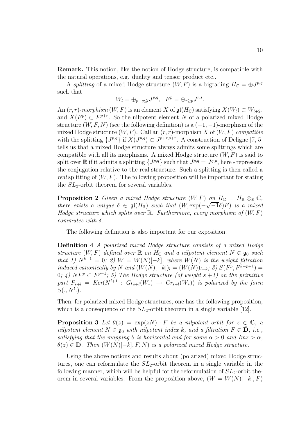**Remark.** This notion, like the notion of Hodge structure, is compatible with the natural operations, e.g. duality and tensor product etc..

A splitting of a mixed Hodge structure  $(W, F)$  is a bigrading  $H_{\mathbb{C}} = \bigoplus J^{p,q}$ such that

$$
W_l = \oplus_{p+q \leq l} J^{p,q}, \quad F^p = \oplus_{r \geq p} J^{r,s}.
$$

An  $(r, r)$ -morphism  $(W, F)$  is an element X of  $\mathfrak{gl}(H_{\mathbb{C}})$  satisfying  $X(W_l) \subset W_{l+2r}$ and  $X(F^p) \subset F^{p+r}$ . So the nilpotent element N of a polarized mixed Hodge structure  $(W, F, N)$  (see the following definition) is a  $(-1, -1)$ -morphism of the mixed Hodge structure  $(W, F)$ . Call an  $(r, r)$ -morphism X of  $(W, F)$  compatible with the splitting  $\{J^{p,q}\}$  if  $X(J^{p,q})\subset J^{p+r,q+r}$ . A construction of Deligne [7, 5] tells us that a mixed Hodge structure always admits some splittings which are compatible with all its morphisms. A mixed Hodge structure  $(W, F)$  is said to split over R if it admits a splitting  $\{J^{p,q}\}\$  such that  $J^{p,q} = \overline{J^{q,p}}$ , here - represents the conjugation relative to the real structure. Such a splitting is then called a real splitting of  $(W, F)$ . The following proposition will be important for stating the  $SL_2$ -orbit theorem for several variables.

**Proposition 2** Given a mixed Hodge structure  $(W, F)$  on  $H_{\mathbb{C}} = H_{\mathbb{R}} \otimes_{\mathbb{R}} \mathbb{C}$ , there exists a unique  $\delta \in \mathfrak{gl}(H_{\mathbb{R}})$  such that  $(W, \exp(-H_{\mathbb{R}}))$ <br>Hodge structure which splits over  $\mathbb{R}$  Eurthermore every  $\begin{array}{l} on\,\,n_{\mathbb{C}} = n_{\mathbb{R}} \otimes_{\mathbb{R}} \mathbb{C},\ \sqrt{-1}\delta(F) \,\,\,is \,\,a \,\,\,mixed \end{array}$ Hodge structure which splits over  $\mathbb R$ . Furthermore, every morphism of  $(W, F)$ commutes with  $\delta$ .

The following definition is also important for our exposition.

**Definition 4** A polarized mixed Hodge structure consists of a mixed Hodge structure  $(W, F)$  defined over  $\mathbb R$  on  $H_{\mathbb C}$  and a nilpotent element  $N \in \mathfrak{g}_0$  such that 1)  $N^{k+1} = 0$ ; 2)  $W = W(N)[-k]$ , where  $W(N)$  is the weight filtration induced canonically by N and  $(W(N)[-k])_l = (W(N))_{l-k}$ ; 3)  $S(F^p, F^{k-p+1}) =$ 0; 4)  $N F^p \subset F^{p-1}$ ; 5) The Hodge structure (of weight  $s+l$ ) on the primitive part  $P_{s+l} = Ker(N^{l+1} : Gr_{s+l}(W_*) \rightarrow Gr_{s+l}(W_*))$  is polarized by the form  $S(., N^l.).$ 

Then, for polarized mixed Hodge structures, one has the following proposition, which is a consequence of the  $SL_2$ -orbit theorem in a single variable [12].

**Proposition 3** Let  $\theta(z) = \exp(zN) \cdot F$  be a nilpotent orbit for  $z \in \mathbb{C}$ , a nilpotent element  $N \in \mathfrak{g}_0$  with nilpotent index k, and a filtration  $F \in \mathbf{D}$ , i.e., satisfying that the mapping  $\theta$  is horizontal and for some  $\alpha > 0$  and Imz  $>\alpha$ ,  $\theta(z) \in \mathbf{D}$ . Then  $(W(N)[-k], F, N)$  is a polarized mixed Hodge structure.

Using the above notions and results about (polarized) mixed Hodge structures, one can reformulate the  $SL_2$ -orbit theorem in a single variable in the following manner, which will be helpful for the reformulation of  $SL_2$ -orbit theorem in several variables. From the proposition above,  $(W = W(N)[-k], F)$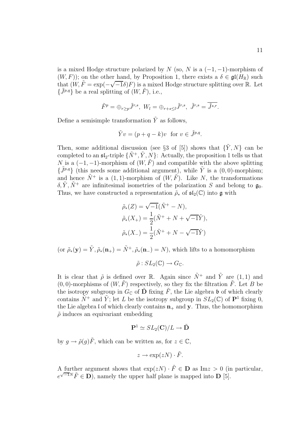is a mixed Hodge structure polarized by N (so, N is a  $(-1, -1)$ -morphism of  $(W, F)$ ; on the other hand, by Proposition 1, there exists a  $\delta \in \mathfrak{gl}(H_{\mathbb{R}})$  such  $(W, F)$ ), on the other hand, by Froposition 1, there exists a  $\sigma \in \mathfrak{gl}(H_{\mathbb{R}})$  such that  $(W, \tilde{F} = \exp(-\sqrt{-1}\delta)F)$  is a mixed Hodge structure splitting over R. Let  $\{\tilde{J}^{p,q}\}\$  be a real splitting of  $(W,\tilde{F})$ , i.e.,

$$
\tilde{F}^p = \bigoplus_{r \ge p} \tilde{J}^{r,s}, \ W_l = \bigoplus_{r+s \le l} \tilde{J}^{r,s}, \ \tilde{J}^{r,s} = \tilde{J}^{s,r}.
$$

Define a semisimple transformation  $\tilde{Y}$  as follows,

$$
\tilde{Y}v = (p+q-k)v
$$
 for  $v \in \tilde{J}^{p,q}$ .

Then, some additional discussion (see §3 of [5]) shows that  $\{\tilde{Y}, N\}$  can be completed to an  $\mathfrak{sl}_2$ -triple  $\{\tilde{N}^+, \tilde{Y}, N\}$ : Actually, the proposition 1 tells us that N is a  $(-1,-1)$ -morphism of  $(W,\tilde{F})$  and compatible with the above splitting  ${\tilde{J}^{p,q}}$  (this needs some additional argument), while  $\tilde{Y}$  is a (0,0)-morphism; and hence  $\tilde{N}^+$  is a (1, 1)-morphism of  $(W, \tilde{F})$ . Like N, the transformations  $\delta, \tilde{Y}, \tilde{N}^+$  are infinitesimal isometries of the polarization S and belong to  $\mathfrak{g}_0$ . Thus, we have constructed a representation  $\tilde{\rho}_*$  of  $\mathfrak{sl}_2(\mathbb{C})$  into g with

$$
\tilde{\rho}_*(Z) = \sqrt{-1}(\tilde{N}^+ - N), \n\tilde{\rho}_*(X_+) = \frac{1}{2}(\tilde{N}^+ + N + \sqrt{-1}\tilde{Y}), \n\tilde{\rho}_*(X_-) = \frac{1}{2}(\tilde{N}^+ + N - \sqrt{-1}\tilde{Y})
$$

(or  $\tilde{\rho}_*(\mathbf{y}) = \tilde{Y}, \tilde{\rho}_*(\mathbf{n}_+) = \tilde{N}^+, \tilde{\rho}_*(\mathbf{n}_-) = N$ ), which lifts to a homomorphism

 $\tilde{\rho}: SL_2(\mathbb{C}) \to G_{\mathbb{C}}.$ 

It is clear that  $\tilde{\rho}$  is defined over R. Again since  $\tilde{N}^+$  and  $\tilde{Y}$  are (1, 1) and  $(0, 0)$ -morphisms of  $(W, \tilde{F})$  respectively, so they fix the filtration  $\tilde{F}$ . Let B be the isotropy subgroup in  $G_{\mathbb{C}}$  of  $\tilde{\mathbf{D}}$  fixing  $\tilde{F}$ , the Lie algebra b of which clearly contains  $\tilde{N}^+$  and  $\tilde{Y}$ ; let L be the isotropy subgroup in  $SL_2(\mathbb{C})$  of  $\mathbb{P}^1$  fixing 0, the Lie algebra I of which clearly contains  $\mathbf{n}_+$  and  $\mathbf{y}$ . Thus, the homomorphism  $\tilde{\rho}$  induces an equivariant embedding

$$
\mathbf{P}^1 \simeq SL_2(\mathbf{C})/L \rightarrow \tilde{\mathbf{D}}
$$

by  $q \to \tilde{\rho}(q)\tilde{F}$ , which can be written as, for  $z \in \mathbb{C}$ ,

$$
z \to \exp(zN) \cdot \tilde{F}.
$$

A further argument shows that  $\exp(zN) \cdot \tilde{F} \in \mathbf{D}$  as  $\text{Im} z > 0$  (in particular,  $e^{\sqrt{-1}N}\tilde{F} \in \mathbf{D}$ , namely the upper half plane is mapped into **D** [5].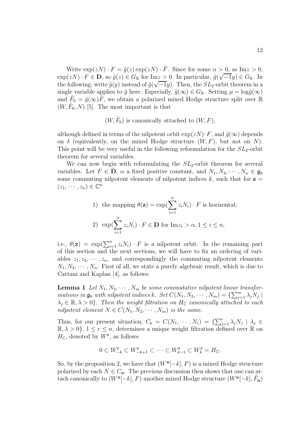Write  $\exp(zN) \cdot F = \tilde{g}(z) \exp(zN) \cdot \tilde{F}$ . Since for some  $\alpha > 0$ , as Im $z > 0$ , write  $\exp(zN) \cdot F = g(z) \exp(zN) \cdot F$ . Since for some  $\alpha > 0$ , as  $\text{Im} z > 0$ ,<br>  $\exp(zN) \cdot F \in \mathbf{D}$ , so  $\tilde{g}(z) \in G_{\mathbb{R}}$  for  $\text{Im} z > 0$ . In particular,  $\tilde{g}(\sqrt{-1}y) \in G_{\mathbb{R}}$ . In  $\exp(zN) \cdot F \in D$ , so  $g(z) \in G_{\mathbb{R}}$  for the  $z > 0$ . In particular,  $g(\sqrt{-1}y) \in G_{\mathbb{R}}$ . In the following, write  $\tilde{g}(y)$  instead of  $\tilde{g}(\sqrt{-1}y)$ . Then, the  $SL_2$ -orbit theorem in a single variable applies to  $\tilde{g}$  here. Especially,  $\tilde{g}(\infty) \in G_{\mathbb{R}}$ . Setting  $\mu = \log \tilde{g}(\infty)$ and  $\tilde{F}_0 = \tilde{g}(\infty)\tilde{F}$ , we obtain a polarized mixed Hodge structure split over R  $(W, F_0, N)$  [5]. The most important is that

#### $(W, \tilde{F}_0)$  is canonically attached to  $(W, F)$ ,

although defined in terms of the nilpotent orbit  $\exp(zN) \cdot F$ , and  $\tilde{q}(\infty)$  depends on  $\delta$  (equivalently, on the mixed Hodge structure  $(W, F)$ , but not on N). This point will be very useful in the following reformulation for the  $SL_2$ -orbit theorem for several variables.

We can now begin with reformulating the  $SL_2$ -orbit theorem for several variables. Let  $F \in \mathbf{D}$ ,  $\alpha$  a fixed positive constant, and  $N_1, N_2, \cdots, N_n \in \mathfrak{g}_0$ some commuting nilpotent elements of nilpotent indices  $k$ , such that for  $z =$  $(z_1, \dots, z_n) \in \mathbb{C}^n$ 

\n- 1) the mapping 
$$
\theta(\mathbf{z}) = \exp\left(\sum_{i=1}^{n} z_i N_i\right) \cdot F
$$
 is horizontal;
\n- 2)  $\exp\left(\sum_{i=1}^{n} z_i N_i\right) \cdot F \in \mathbf{D}$  for  $\text{Im} z_1 > \alpha, 1 \leq i \leq n$ ,
\n

i.e.,  $\theta(\mathbf{z}) = \exp(\sum_{i=1}^n z_i N_i) \cdot F$  is a nilpotent orbit. In the remaining part of this section and the next sections, we will have to fix an ordering of variables  $z_1, z_2, \dots, z_n$ , and correspondingly the commuting nilpotent elements  $N_1, N_2, \cdots, N_n$ . First of all, we state a purely algebraic result, which is due to Cattani and Kaplan [4], as follows:

**Lemma 1** Let  $N_1, N_2, \cdots, N_m$  be some commutative nilpotent linear transformations in  $\mathfrak{g}_0$  with nilpotent indices k. Set  $C(N_1, N_2, \cdots, N_m) = \{\sum_{j=1}^m \lambda_j N_j \mid \lambda_j \in \mathbb{R} \}$  $\lambda_i \in \mathbb{R}, \lambda > 0$ . Then the weight filtration on  $H_{\mathbb{C}}$  canonically attached to each nilpotent element  $N \in C(N_1, N_2, \dots, N_m)$  is the same.

Thus, for our present situation,  $C_{\mathbf{r}} = C(N_1, \cdots, N_r) = \{\sum_{j=1}^r \lambda_j N_j \mid \lambda_j \in$  $\mathbb{R}, \lambda > 0$ ,  $1 \leq r \leq n$ , determines a unique weight filtration defined over R on  $H_{\mathbb{C}}$ , denoted by  $W^{\mathbf{r}}$ , as follows

$$
0 \subset W_{-k}^{\mathbf{r}} \subset W_{-k+1}^{\mathbf{r}} \subset \cdots \subset W_{k-1}^{\mathbf{r}} \subset W_k^{\mathbf{r}} = H_{\mathbb{C}}.
$$

So, by the proposition 2, we have that  $(W<sup>n</sup>[-k], F)$  is a mixed Hodge structure polarized by each  $N \in C_n$ . The previous discussion then shows that one can attach canonically to  $(W^{\mathbf{n}}[-k], F)$  another mixed Hodge structure  $(W^{\mathbf{n}}[-k], \tilde{F}_{\mathbf{n}})$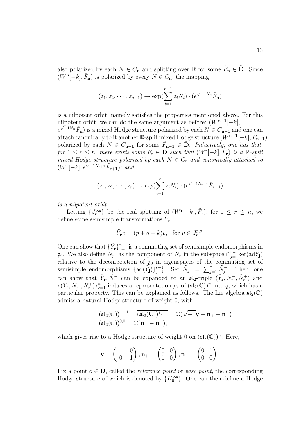also polarized by each  $N \in C_n$  and splitting over R for some  $\tilde{F}_n \in \tilde{D}$ . Since  $(W^{\mathbf{n}}[-k], \tilde{F}_{\mathbf{n}})$  is polarized by every  $N \in C_{\mathbf{n}}$ , the mapping

$$
(z_1, z_2, \cdots, z_{n-1}) \rightarrow \exp(\sum_{i=1}^{n-1} z_i N_i) \cdot (e^{\sqrt{-1}N_n}\tilde{F}_n)
$$

is a nilpotent orbit, namely satisfies the properties mentioned above. For this nilpotent orbit, we can do the same argument as before:  $(W^{n-1}[-k],$  $e^{\sqrt{-1}N_n}\tilde{F}_n$ ) is a mixed Hodge structure polarized by each  $N \in C_{n-1}$  and one can attach canonically to it another R-split mixed Hodge structure  $(W^{n-1}[-k], \tilde{F}_{n-1})$ polarized by each  $N \in C_{n-1}$  for some  $\tilde{F}_{n-1} \in \tilde{D}$ . Inductively, one has that, for 1 ≤ r ≤ n, there exists some  $\tilde{F}_{\mathbf{r}} \in \tilde{\mathbf{D}}$  such that  $(W^{\mathbf{r}}[-k], \tilde{F}_{\mathbf{r}})$  is a R-split mixed Hodge structure polarized by each  $N \in C_r$  and canonically attached to  $(W^{\mathbf{r}}[-k], e^{\sqrt{-1}N_{r+1}}\tilde{F}_{\mathbf{r}+1});$  and

$$
(z_1, z_2, \cdots, z_r) \rightarrow exp(\sum_{i=1}^r z_i N_i) \cdot (e^{\sqrt{-1}N_{r+1}} \tilde{F}_{r+1})
$$

is a nilpotent orbit.

Letting  $\{J_{\mathbf{r}}^{p,q}\}\)$  be the real splitting of  $(W^{\mathbf{r}}[-k], \tilde{F}_{\mathbf{r}})$ , for  $1 \leq r \leq n$ , we define some semisimple transformations  $Y_r$ 

$$
\tilde{Y}_{\mathbf{r}}v = (p+q-k)v, \text{ for } v \in J_{\mathbf{r}}^{p,q}.
$$

One can show that  ${\{\tilde{Y}_{\mathbf{r}}\}_{r=1}^n}$  is a commuting set of semisimple endomorphisms in **g**<sub>0</sub>. We also define  $\widetilde{N}_r^{\text{-}}$  as the component of  $N_r$  in the subspace  $\cap_{j=1}^{r-1}$ ker(ad $\widetilde{Y}_j$ ) relative to the decomposition of  $\mathfrak{g}_0$  in eigenspaces of the commuting set of semisimple endomorphisms  $\{\text{ad}(\tilde{Y}_j)\}_{j=1}^{r-1}$ . Set  $\tilde{N}_r^- = \sum_{j=1}^r \tilde{N}_j^-$ . Then, one can show that  $\tilde{Y}_\mathbf{r}, \tilde{N}_\mathbf{r}^-$  can be expanded to an  $\mathfrak{sl}_2$ -triple  $(\tilde{Y}_\mathbf{r}, \tilde{N}_\mathbf{r}^-, \tilde{N}_\mathbf{r}^+)$  and  $f(\tilde{Y}_\mathbf{r}, \tilde{N}_\mathbf{r}^-, \tilde{N}_\mathbf{r}^+)$  induces a representation a of  $(\mathfrak{sl}_2(\mathbb{C}))^n$  $\{(\tilde{Y}_r, \tilde{N}_r^-, \tilde{N}_r^+)\}_{r=1}^n$  induces a representation  $\rho_*$  of  $(\mathfrak{sl}_2(\mathbb{C}))^n$  into  $\mathfrak{g}$ , which has a particular property. This can be evoluted as follows. The Lie algebra  $\mathfrak{sl}_2(\mathbb{C})$ particular property. This can be explained as follows. The Lie algebra  $\mathfrak{sl}_2(\mathbb{C})$ admits a natural Hodge structure of weight 0, with

$$
\begin{aligned} &(\mathfrak{sl}_2(\mathbb{C}))^{-1,1}=\overline{(\mathfrak{sl}_2(\mathbf{C}))^{1,-1}}=\mathbb{C}(\sqrt{-1}\mathbf{y}+\mathbf{n}_++\mathbf{n}_-)\\ &(\mathfrak{sl}_2(\mathbb{C}))^{0,0}=\mathbb{C}(\mathbf{n}_+-\mathbf{n}_-), \end{aligned}
$$

which gives rise to a Hodge structure of weight 0 on  $(\mathfrak{sl}_2(\mathbb{C}))^n$ . Here,

$$
\mathbf{y} = \begin{pmatrix} -1 & 0 \\ 0 & 1 \end{pmatrix}, \mathbf{n}_{+} = \begin{pmatrix} 0 & 0 \\ 1 & 0 \end{pmatrix}, \mathbf{n}_{-} = \begin{pmatrix} 0 & 1 \\ 0 & 0 \end{pmatrix}.
$$

Fix a point  $o \in \mathbf{D}$ , called the *reference point* or *base point*, the corresponding Hodge structure of which is denoted by  $\{H_0^{p,q}\}\$ . One can then define a Hodge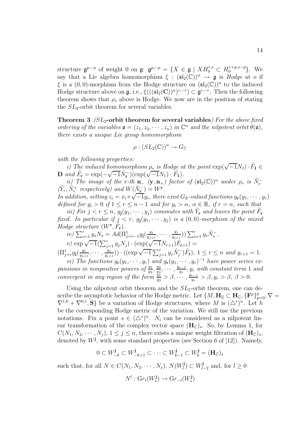structure  $\mathfrak{g}^{p,-p}$  of weight 0 on  $\mathfrak{g}: \mathfrak{g}^{p,-p} = \{X \in \mathfrak{g} \mid XH_0^{r,s} \subset H_0^{r+p,s-p}\}.$  We<br>say that a Lie algebra homomorphism  $\xi : (\mathfrak{sl}_p(\mathbb{C}))^n \longrightarrow \mathfrak{g}$  is Hodge at 0 if say that a Lie algebra homomorphism  $\xi : (\mathfrak{sl}_2(\mathbb{C}))^n \to \mathfrak{g}$  is Hodge at o if  $\xi$  is a  $(0, 0)$ -morphism from the Hodge structure on  $(\mathfrak{sl}_2(\mathbb{C}))^n$  to the induced Hodge structure above on  $\mathfrak{g}$ , i.e.,  $\xi((\mathfrak{sl}_2(\mathbf{C}))^n)^{r,-r} \subset \mathfrak{g}^{r,-r}$ . Then the following theorem shows that  $\rho_*$  above is Hodge. We now are in the position of stating the  $SL_2$ -orbit theorem for several variables.

**Theorem 3** ( $SL_2$ -orbit theorem for several variables) For the above fixed ordering of the variables  $\mathbf{z} = (z_1, z_2, \cdots, z_n)$  in  $\mathbb{C}^n$  and the nilpotent orbit  $\theta(\mathbf{z}),$ there exists a unique Lie group homomorphism

$$
\rho : (SL_2(\mathbb{C}))^n \to G_{\mathbb{C}}
$$

with the following properties:

*i*) The induced homomorphism  $\rho_*$  is Hodge at the point  $\exp(\sqrt{-1}N_1) \cdot \tilde{F}_1 \in$ **D** and  $\tilde{F}_{\bf r} = \exp(-\sqrt{-1}\tilde{N}_{\bf r}^-)(\exp(\sqrt{-1}N_1) \cdot \tilde{F}_{\bf 1}).$ 

ii) The image of the r-th **n**<sub>−</sub> (**y**, **n**<sub>+</sub>) factor of  $(\mathfrak{sl}_2(\mathbb{C}))^n$  under  $\rho_*$  is  $\tilde{N}_r^-$ <br> $\tilde{N}^+$  respectively) and  $W(\tilde{N}^-) - W^r$  $(\tilde{Y}_r, \tilde{N}_r^+$  respectively) and  $W(\tilde{N}_r^-) = W^r$ .

 $\begin{aligned} (I_r, N_r^{\perp}) \text{ respectively} & \text{and } W(N_{\mathbf{r}}^{\perp}) = W \text{ .} \\ In \text{addition, setting } z_i = x_i + \sqrt{-1}y_i, \text{ there exist } G_{\mathbb{R}}\text{-valued functions } g_{\mathbf{r}}(y_1, \cdots, y_r) \text{ is the same value of } G_{\mathbb{R}}^{\perp}. \end{aligned}$ defined for  $y_i > 0$  if  $1 \le r \le n-1$  and for  $y_i > \alpha$ ,  $\alpha \in \mathbb{R}$ , if  $r = n$ , such that

iii) For  $j < r \leq n$ ,  $g_i(y_1, \dots, y_j)$  commutes with  $\tilde{Y}_r$  and leaves the point  $\tilde{F}_r$ fixed. In particular if  $j < r$ ,  $g_i(y_1, \dots, y_j)$  is a  $(0, 0)$ -morphism of the mixed Hodge structure  $(W^{\mathbf{r}}, F_{\mathbf{r}})$ .

$$
\begin{array}{l}\n\text{iv)} \ \sum_{s=1}^{r} y_s N_s = A d(\Pi_{j=r-1}^1 g_j(\frac{y_1}{y_{j+1}}, \cdots, \frac{y_j}{y_{j+1}})) \sum_{s=1}^{r} y_s \tilde{N}_s^- . \\
\text{v)} \ \exp \sqrt{-1} (\sum_{j=1}^{r} y_j N_j) \cdot (\exp (\sqrt{-1}N_{r+1}) \tilde{F}_{r+1}) =\n\end{array}
$$

 $(\Pi_{j=r}^1 g_j(\frac{y_1}{y_{j+1}},\cdots,\frac{y_j}{y_{j+1}})) \cdot ((\exp \sqrt{-1} \sum_{j=1}^r y_j \tilde{N}_j^{-}) \tilde{F}_r), 1 \leq r \leq n \text{ and } y_{r+1} = 1.$ 

vi) The functions  $g_{\mathbf{r}}(y_1, \dots, y_r)$  and  $g_{\mathbf{r}}(y_1, \dots, y_r)^{-1}$  have power series expansions in nonpositive powers of  $\frac{y_1}{y_2}, \frac{y_2}{y_3}, \cdots, \frac{y_{r-1}}{y_r}, y_r$  with constant term 1 and convergent in any region of the form  $\frac{y_1}{y_2}$ ,  $\frac{y_1}{y_2}$ ,  $\beta$ ,  $\cdots$ ,  $\frac{y_{r-1}}{y_r}$ ,  $\beta$ ,  $\beta$ ,  $\beta$ ,  $\beta$ ,  $\beta$ .

Using the nilpotent orbit theorem and the  $SL_2$ -orbit theorem, one can describe the asymptotic behavior of the Hodge metric. Let  $\{M, H_{\mathbb{Z}} \subset H_{\mathbb{C}}, \{F^p\}_{p=0}^k, \nabla =$  $\nabla^{1,0} + \nabla^{0,1}, S$  be a variation of Hodge structures, where M is  $(\Delta^*)^n$ . Let h be the corresponding Hodge metric of the variation. We still use the previous notations. Fix a point  $s \in (\Delta^*)^n$ .  $N_i$  can be considered as a nilpotent linear transformation of the complex vector space  $(\mathbf{H}_{\mathbb{C}})$ <sub>s</sub>. So, by Lemma 1, for  $C(N_1, N_2, \dots, N_i), 1 \leq j \leq n$ , there exists a unique weight filtration of  $(\mathbf{H}_{\mathbb{C}})_s$ , denoted by  $W^{\mathbf{j}}$ , with some standard properties (see Section 6 of [12]). Namely,

$$
0 \subset W_{-k}^{\mathbf{j}} \subset W_{-k+1}^{\mathbf{j}} \subset \cdots \subset W_{k-1}^{\mathbf{j}} \subset W_k^{\mathbf{j}} = (\mathbf{H}_{\mathbb{C}})_s
$$

such that, for all  $N \in C(N_1, N_2, \dots, N_j)$ ,  $N(W_l^{\mathbf{j}}) \subset W_{l-2}^{\mathbf{j}}$  and, for  $l \geq 0$ 

$$
N^l: \mathrm{Gr}_l(W_{*}^{\mathbf{j}}) \to \mathrm{Gr}_{-l}(W_{*}^{\mathbf{j}})
$$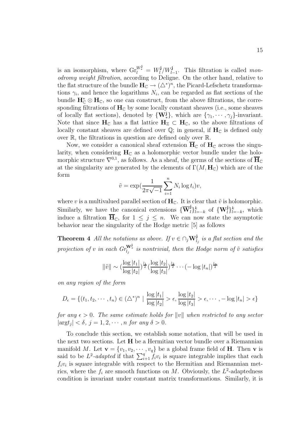is an isomorphism, where  $\text{Gr}_{l}^{W_{*}^{\mathbf{j}}} = W_{l}^{\mathbf{j}}/W_{l-1}^{\mathbf{j}}$ . This filtration is called *mon*odromy weight filtration, according to Deligne. On the other hand, relative to the flat structure of the bundle  $H_C \to (\triangle^*)^n$ , the Picard-Lefschetz transformations  $\gamma_i$ , and hence the logarithms  $N_i$ , can be regarded as flat sections of the bundle  $H^*_{\mathbb{C}} \otimes H_{\mathbb{C}}$ , so one can construct, from the above filtrations, the corresponding filtrations of  $H_{\mathbb{C}}$  by some locally constant sheaves (i.e., some sheaves of locally flat sections), denoted by  $\{W_*^j\}$ , which are  $\{\gamma_1, \dots, \gamma_j\}$ -invariant. Note that since  $H_C$  has a flat lattice  $H_Z \subset H_C$ , so the above filtrations of locally constant sheaves are defined over  $\mathbb{Q}$ ; in general, if  $H_C$  is defined only over R, the filtrations in question are defined only over R.

Now, we consider a canonical sheaf extension  $\overline{H}_{\mathbb{C}}$  of  $H_{\mathbb{C}}$  across the singularity, when considering  $H_C$  as a holomorphic vector bundle under the holomorphic structure  $\nabla^{0,1}$ , as follows. As a sheaf, the germs of the sections of  $\overline{H}_{\mathbb{C}}$ at the singularity are generated by the elements of  $\Gamma(M, \mathbf{H}_{\mathbb{C}})$  which are of the form n

$$
\tilde{v} = \exp\left(\frac{1}{2\pi\sqrt{-1}}\sum_{i=1}^{n} N_i \log t_i\right) v,
$$

where v is a multivalued parallel section of  $H_C$ . It is clear that  $\tilde{v}$  is holomorphic. Similarly, we have the canonical extensions  ${\{\overline{\mathbf{W}}_l^{\mathbf{j}}\}_{l=-k}^k}$  of  ${\{\mathbf{W}_l^{\mathbf{j}}\}_{l=-k}^k}$ , which induce a filtration  $\overline{H}_C$ , for  $1 \leq j \leq n$ . We can now state the asymptotic behavior near the singularity of the Hodge metric [5] as follows

**Theorem 4** All the notations as above. If  $v \in \bigcap_j W^{\mathbf{j}}_{l_j}$  is a flat section and the projection of v in each  $Gr_{l_j}^{\mathbf{W}^{\mathbf{i}}^{*}}$  is nontrivial, then the Hodge norm of  $\tilde{v}$  satisfies

$$
\|\tilde{v}\| \sim \left(\frac{\log |t_1|}{\log |t_2|}\right)^{\frac{l_1}{2}} \left(\frac{\log |t_2|}{\log |t_3|}\right)^{\frac{l_2}{2}} \cdots \left(-\log |t_n|\right)^{\frac{l_n}{2}}
$$

on any region of the form

$$
D_{\epsilon} = \{(t_1, t_2, \cdots, t_n) \in (\triangle^*)^n \mid \frac{\log |t_1|}{\log |t_2|} > \epsilon, \frac{\log |t_2|}{\log |t_3|} > \epsilon, \cdots, -\log |t_n| > \epsilon\}
$$

for any  $\epsilon > 0$ . The same estimate holds for  $||v||$  when restricted to any sector  $|\text{arg} t_j| < \delta, j = 1, 2, \cdots, n \text{ for any } \delta > 0.$ 

To conclude this section, we establish some notation, that will be used in the next two sections. Let **H** be a Hermitian vector bundle over a Riemannian manifold M. Let  $\mathbf{v} = \{v_1, v_2, \dots, v_q\}$  be a global frame field of **H**. Then **v** is said to be  $L^2$ -adapted if that  $\sum_{i=1}^{q} \hat{f}_i v_i$  is square integrable implies that each  $f_i v_i$  is square integrable with respect to the Hermitian and Riemannian metrics, where the  $f_i$  are smooth functions on M. Obviously, the  $L^2$ -adaptedness condition is invariant under constant matrix transformations. Similarly, it is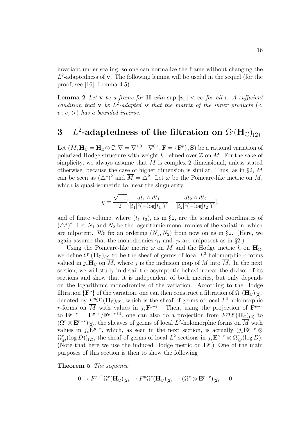invariant under scaling, so one can normalize the frame without changing the L<sup>2</sup>-adaptedness of **v**. The following lemma will be useful in the sequel (for the proof, see [16], Lemma 4.5).

**Lemma 2** Let **v** be a frame for **H** with  $\sup ||v_i|| < \infty$  for all i. A sufficient condition that **v** be  $L^2$ -adapted is that the matrix of the inner products (<  $v_i, v_j >$  has a bounded inverse.

# $\mathbf{B}$  L<sup>2</sup>-adaptedness of the filtration on  $\Omega$   $(\mathbf{H}_{\mathbb{C}})_{(2)}$

Let  $(M, H_{\mathbb{C}} = H_{\mathbb{Z}} \otimes \mathbb{C}, \nabla = \nabla^{1,0} + \nabla^{0,1}, \mathbf{F} = {\mathbf{F}^p}, \mathbf{S}$  be a rational variation of polarized Hodge structure with weight  $k$  defined over  $\mathbb Z$  on  $M$ . For the sake of simplicity, we always assume that  $M$  is complex 2-dimensional, unless stated otherwise, because the case of higher dimension is similar. Thus, as in §2, M can be seen as  $(\triangle^*)^2$  and  $\overline{M} = \triangle^2$ . Let  $\omega$  be the Poincaré-like metric on M, which is quasi-isometric to, near the singularity,

$$
\eta = \frac{\sqrt{-1}}{2} \left[ \frac{dt_1 \wedge d\overline{t}_1}{|t_1|^2 (-\log|t_1|)^2} + \frac{dt_2 \wedge d\overline{t}_2}{|t_2|^2 (-\log|t_2|)^2} \right],
$$

and of finite volume, where  $(t_1, t_2)$ , as in §2, are the standard coordinates of  $(\triangle^*)^2$ . Let  $N_1$  and  $N_2$  be the logarithmic monodromies of the variation, which are nilpotent. We fix an ordering  $(N_1, N_2)$  from now on as in §2. (Here, we again assume that the monodromies  $\gamma_1$  and  $\gamma_2$  are unipotent as in §2.)

Using the Poincaré-like metric  $\omega$  on M and the Hodge metric h on  $H_{\mathbb{C}}$ , we define  $\Omega^r(\mathbf{H}_{\mathbb{C}})_{(2)}$  to be the sheaf of germs of local  $L^2$  holomorphic r-forms valued in  $j_*\mathbf{H}_{\mathbb{C}}$  on  $\overline{M}$ , where j is the inclusion map of M into  $\overline{M}$ . In the next section, we will study in detail the asymptotic behavior near the divisor of its sections and show that it is independent of both metrics, but only depends on the logarithmic monodromies of the variation. According to the Hodge filtration  $\{F^p\}$  of the variation, one can then construct a filtration of  $\Omega^r(\mathbf{H}_{\mathbb{C}})_{(2)}$ , denoted by  $F^p \Omega^r(\mathbf{H}_{\mathbb{C}})_{(2)}$ , which is the sheaf of germs of local  $L^2$ -holomorphic r-forms on  $\overline{M}$  with values in  $j_*\mathbf{F}^{p-r}$ . Then, using the projection of  $\mathbf{F}^{p-r}$ to  $\mathbf{E}^{p-r} = \mathbf{F}^{p-r}/\mathbf{F}^{p-r+1}$ , one can also do a projection from  $F^p\Omega^r(\mathbf{H}_{\mathbb{C}})_{(2)}$  to  $(\Omega^r \otimes \mathbf{E}^{p-r})_{(2)}$ , the sheaves of germs of local L<sup>2</sup>-holomorphic forms on  $\overline{M}$  with values in  $j_*\mathbf{E}^{p-r}$ , which, as seen in the next section, is actually  $(j_*\mathbf{E}^{p-r} \otimes$  $\Omega^r_{\overline{M}}(\log D)$ <sub>(2)</sub>, the sheaf of germs of local  $L^2$ -sections in  $j_*\mathbf{E}^{p-r} \otimes \Omega^r_{\overline{M}}(\log D)$ . (Note that here we use the induced Hodge metric on  $\mathbf{E}^p$ .) One of the main purposes of this section is then to show the following

**Theorem 5** The sequence

$$
0 \to F^{p+1}\Omega^r(\mathbf{H}_{\mathbb{C}})_{(2)} \to F^p\Omega^r(\mathbf{H}_{\mathbb{C}})_{(2)} \to (\Omega^r \otimes \mathbf{E}^{p-r})_{(2)} \to 0
$$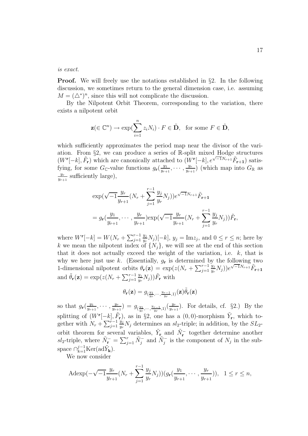is exact.

**Proof.** We will freely use the notations established in §2. In the following discussion, we sometimes return to the general dimension case, i.e. assuming  $M = (\triangle^*)^n$ , since this will not complicate the discussion.

By the Nilpotent Orbit Theorem, corresponding to the variation, there exists a nilpotent orbit

$$
\mathbf{z}(\in\mathbb{C}^n)\to \exp(\sum_{i=1}^nz_iN_i)\cdot F\in\tilde{\mathbf{D}},\ \text{ for some }F\in\tilde{\mathbf{D}},
$$

which sufficiently approximates the period map near the divisor of the variation. From  $\S2$ , we can produce a series of R-split mixed Hodge structures  $(W^{\mathbf{r}}[-k], \tilde{F}_{\mathbf{r}})$  which are canonically attached to  $(W^{\mathbf{r}}[-k], e^{\sqrt{-1}N_{r+1}}\tilde{F}_{\mathbf{r}+1})$  satisfying, for some  $G_{\mathbb{C}}$ -value functions  $g_{\mathbf{r}}(\frac{y_1}{y_{r+1}},\cdots,\frac{y_r}{y_{r+1}})$  (which map into  $G_{\mathbb{R}}$  as  $\frac{y_r}{y_{r+1}}$  sufficiently large),

$$
\exp(\sqrt{-1}\frac{y_r}{y_{r+1}}(N_r + \sum_{j=1}^{r-1} \frac{y_j}{y_r} N_j))e^{\sqrt{-1}N_{r+1}}\tilde{F}_{r+1}
$$
  
=  $g_r(\frac{y_1}{y_{r+1}}, \dots, \frac{y_r}{y_{r+1}})\exp(\sqrt{-1}\frac{y_r}{y_{r+1}}(N_r + \sum_{j=1}^{r-1} \frac{y_j}{y_r} N_j))\tilde{F}_r$ 

where  $W^{r}[-k] = W(N_r + \sum_{j=1}^{r-1}$  $\frac{y_j}{y_r}N_j)[-k]$ ,  $y_j = \text{Im}z_j$ , and  $0 \leq r \leq n$ ; here by k we mean the nilpotent index of  $\{N_j\}$ , we will see at the end of this section that it does not actually exceed the weight of the variation, i.e.  $k$ , that is why we here just use  $k$ . (Essentially,  $g_r$  is determined by the following two 1-dimensional nilpotent orbits  $\theta_r(z) = \exp(z(N_r + \sum_{j=1}^{r-1}$  $\frac{y_j}{y_r} N_j))e^{\sqrt{-1}N_{r+1}} \widetilde{F}_{r+1}$ and  $\tilde{\theta}_{\mathbf{r}}(\mathbf{z}) = \exp(z(N_r + \sum_{j=1}^{r-1}$  $\frac{y_j}{y_r} N_j$ ) $\tilde{F}_{\mathbf{r}}$  with

$$
\theta_{\mathbf{r}}(\mathbf{z}) = g_{(\frac{y_1}{y_r},\cdots,\frac{y_{r-1}}{y_r},1)}(\mathbf{z})\tilde{\theta}_{\mathbf{r}}(\mathbf{z})
$$

so that  $g_{\mathbf{r}}(\frac{y_1}{y_{r+1}},\cdots,\frac{y_r}{y_{r+1}})=g_{(\frac{y_1}{y_r},\cdots,\frac{y_{r-1}}{y_r},1)}(\frac{y_r}{y_{r+1}})$ . For details, cf. §2.) By the splitting of  $(W^{\mathbf{r}}[-k], \tilde{F}_{\mathbf{r}})$ , as in §2, one has a  $(0, 0)$ -morphism  $\tilde{Y}_{\mathbf{r}}$ , which together with  $N_r + \sum_{j=1}^{r-1}$  $\frac{y_j}{y_r} N_j$  determines an sl<sub>2</sub>-triple; in addition, by the  $SL_2$ orbit theorem for several variables,  $\tilde{Y}_{\mathbf{r}_c}$  and  $\tilde{N}_{\mathbf{r}}^-$  together determine another sl<sub>2</sub>-triple, where  $\tilde{N}_{\mathbf{r}}^- = \sum_{j=1}^r \tilde{N}_j^-$  and  $\tilde{N}_j^-$  is the component of  $N_j$  in the subspace  $\bigcap_{k=1}^{j-1} \text{Ker}(\text{ad}\tilde{Y}_{k}).$ 

We now consider

$$
\mathrm{Adexp}(-\sqrt{-1}\frac{y_r}{y_{r+1}}(N_r+\sum_{j=1}^{r-1}\frac{y_j}{y_r}N_j))(g_r(\frac{y_1}{y_{r+1}},\cdots,\frac{y_r}{y_{r+1}})), \quad 1 \le r \le n,
$$

**r**,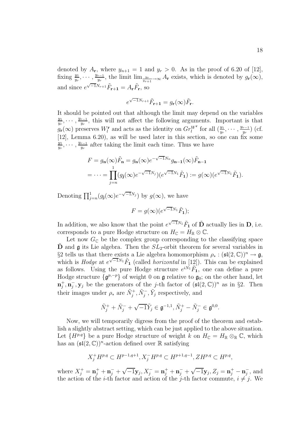denoted by  $A_r$ , where  $y_{n+1} = 1$  and  $y_r > 0$ . As in the proof of 6.20 of [12], fixing  $\frac{y_1}{y_r}, \dots, \frac{y_{r-1}}{y_r}$ , the limit  $\lim_{\frac{y_r}{y_{r+1}} \to \infty} A_r$  exists, which is denoted by  $g_r(\infty)$ , and since  $e^{\sqrt{-1}N_{r+1}}\tilde{F}_{\mathbf{r+1}} = A_{\mathbf{r}}\tilde{F}_{\mathbf{r}},$  so

$$
e^{\sqrt{-1}N_{r+1}}\tilde{F}_{{\bf r}+{\bf 1}}=g_{\bf r}(\infty)\tilde{F}_{\bf r}.
$$

It should be pointed out that although the limit may depend on the variables  $\frac{y_1}{y_r}, \dots, \frac{y_{r-1}}{y_r}$ , this will not affect the following arguments. Important is that  $g_{\mathbf{r}}(\infty)$  preserves  $W_l^{\mathbf{r}}$  and acts as the identity on  $Gr_l^{W^{\mathbf{r}}}$  for all  $(\frac{y_1}{y_r}, \cdots, \frac{y_{r-1}}{y_r})$  (cf. [12], Lemma 6.20), as will be used later in this section, so one can fix some  $\frac{y_1}{y_r}, \dots, \frac{y_{r-1}}{y_r}$  after taking the limit each time. Thus we have

$$
F = g_{\mathbf{n}}(\infty) \tilde{F}_{\mathbf{n}} = g_{\mathbf{n}}(\infty) e^{-\sqrt{-1}N_n} g_{\mathbf{n}-1}(\infty) \tilde{F}_{\mathbf{n}-1}
$$
  
= 
$$
\cdots = \prod_{j=n}^{1} (g_{\mathbf{j}}(\infty) e^{-\sqrt{-1}N_j}) (e^{\sqrt{-1}N_1} \tilde{F}_{\mathbf{1}}) := g(\infty) (e^{\sqrt{-1}N_1} \tilde{F}_{\mathbf{1}}).
$$

Denoting  $\prod_{j=n}^{1} (g_j(\infty)e^{-\sqrt{-1}N_j})$  by  $g(\infty)$ , we have

$$
F = g(\infty)(e^{\sqrt{-1}N_1}\tilde{F}_1);
$$

In addition, we also know that the point  $e^{\sqrt{-1}N_1}\tilde{F}_1$  of  $\tilde{D}$  actually lies in  $D$ , i.e. corresponds to a pure Hodge structure on  $H_{\mathbb{C}} = H_{\mathbb{R}} \otimes \mathbb{C}$ .

Let now  $G_{\mathbb{C}}$  be the complex group corresponding to the classifying space  $\hat{\mathbf{D}}$  and  $\hat{\mathbf{g}}$  its Lie algebra. Then the  $SL_2$ -orbit theorem for several variables in §2 tells us that there exists a Lie algebra homomorphism  $\rho_* : (\mathfrak{sl}(2,\mathbb{C}))^n \to \mathfrak{g}$ , which is Hodge at  $e^{\sqrt{-1}N_1}\tilde{F}_1$  (called *horizontal* in [12]). This can be explained as follows. Using the pure Hodge structure  $e^{i\vec{N_1}}\tilde{F_1}$ , one can define a pure Hodge structure  $\{\mathfrak{g}^{p,-p}\}\$  of weight 0 on  $\mathfrak{g}$  relative to  $\mathfrak{g}_0$ ; on the other hand, let  $\mathbf{n}_j^+$ ,  $\mathbf{n}_j^-$ ,  $\mathbf{y}_j$  be the generators of the j-th factor of  $(\mathfrak{sl}(2,\mathbb{C}))^n$  as in §2. Then their images under  $\rho_*$  are  $\tilde{N}_j^+$ ,  $\tilde{N}_j^-$ ,  $\tilde{Y}_j$  respectively, and

$$
\tilde{N}_j^+ + \tilde{N}_j^- + \sqrt{-1}\tilde{Y}_j \in \mathfrak{g}^{-1,1}, \tilde{N}_j^+ - \tilde{N}_j^- \in \mathfrak{g}^{0,0}.
$$

Now, we will temporarily digress from the proof of the theorem and establish a slightly abstract setting, which can be just applied to the above situation. Let  $\{H^{p,q}\}\$ be a pure Hodge structure of weight k on  $H_{\mathbb{C}} = H_{\mathbb{R}} \otimes_{\mathbb{R}} \mathbb{C}$ , which has an  $(\mathfrak{sl}(2,\mathbb{C}))^n$ -action defined over R satisfying

$$
X_j^+H^{p,q} \subset H^{p-1,q+1}, X_j^-H^{p,q} \subset H^{p+1,q-1}, ZH^{p,q} \subset H^{p,q},
$$

where  $X_j^+ = \mathbf{n}_j^+ + \mathbf{n}_j^- + \sqrt{-1}\mathbf{y}_j$ ,  $X_j^- = \mathbf{n}_j^+ + \mathbf{n}_j^- + \sqrt{-1}\mathbf{y}_j$ ,  $Z_j = \mathbf{n}_j^+ - \mathbf{n}_j^-$ , and the action of the *i*-th factor and action of the *j*-th factor commute,  $i \neq j$ . We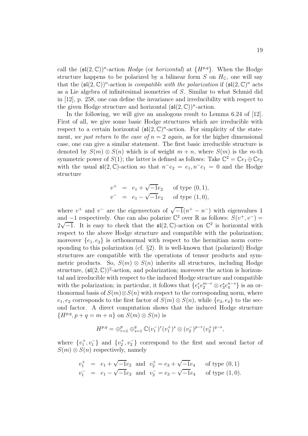call the  $(\mathfrak{sl}(2,\mathbb{C}))^n$ -action *Hodge* (or *horizontal*) at  $\{H^{p,q}\}\$ . When the Hodge structure happens to be polarized by a bilinear form S on  $H_{\mathbb{C}}$ , one will say that the  $(\mathfrak{sl}(2,\mathbb{C}))^n$ -action is *compatible with the polarization* if  $(\mathfrak{sl}(2,\mathbb{C})^n$  acts as a Lie algebra of infinitesimal isometries of S. Similar to what Schmid did in [12], p. 258, one can define the invariance and irreducibility with respect to the given Hodge structure and horizontal  $(\mathfrak{sl}(2,\mathbb{C}))^n$ -action.

In the following, we will give an analogous result to Lemma 6.24 of [12]. First of all, we give some basic Hodge structures which are irreducible with respect to a certain horizontal  $\left(\mathfrak{sl}(2,\mathbb{C})^n\right)$ -action. For simplicity of the statement, we just return to the case of  $n = 2$  again, as for the higher dimensional case, one can give a similar statement. The first basic irreducible structure is denoted by  $S(m) \otimes S(n)$  which is of weight  $m + n$ , where  $S(m)$  is the m-th symmetric power of  $S(1)$ ; the latter is defined as follows: Take  $\mathbb{C}^2 = \mathbb{C}e_1 \oplus \mathbb{C}e_2$ with the usual  $\mathfrak{sl}(2,\mathbb{C})$ -action so that  $n^-e_2 = e_1, n^-e_1 = 0$  and the Hodge structure

$$
v^{+}
$$
 =  $e_1 + \sqrt{-1}e_2$  of type (0, 1),  
\n $v^{-}$  =  $e_1 - \sqrt{-1}e_2$  of type (1, 0),

where  $v^+$  and  $v^-$  are the eigenvectors of  $\sqrt{-1}(n^+ - n^-)$  with eigenvalues 1 and −1 respectively. One can also polarize  $\mathbb{C}^2$  over R as follows:  $S(v^+, v^-) =$ 2 nd –1 respectively. One can also polarize  $\mathbb C$  over K as follows:  $\mathcal{S}(v^+, v^-) = \sqrt{-1}$ . It is easy to check that the  $\mathfrak{sl}(2, \mathbb C)$ -action on  $\mathbb C^2$  is horizontal with space to the above Hodge structure and compati respect to the above Hodge structure and compatible with the polarization; moreover  ${e_1, e_2}$  is orthonormal with respect to the hermitian norm corresponding to this polarization (cf. §2). It is well-known that (polarized) Hodge structures are compatible with the operations of tensor products and symmetric products. So,  $S(m) \otimes S(n)$  inherits all structures, including Hodge structure,  $(\mathfrak{sl}(2,\mathbb{C}))^2$ -action, and polarization; moreover the action is horizontal and irreducible with respect to the induced Hodge structure and compatible with the polarization; in particular, it follows that  $\{e_1^r e_2^{m-r} \otimes e_3^s e_4^{n-s}\}\$  is an orthonormal basis of  $S(m) \otimes S(n)$  with respect to the corresponding norm, where  $e_1, e_2$  corresponds to the first factor of  $S(m) \otimes S(n)$ , while  $\{e_3, e_4\}$  to the second factor. A direct computation shows that the induced Hodge structure  ${H^{p,q}, p+q=m+n}$  on  $S(m)\otimes S(n)$  is

$$
H^{p,q} = \bigoplus_{r=1}^p \bigoplus_{s=1}^q \mathbb{C}(v_1^-)^r (v_1^+)^s \otimes (v_2^-)^{p-r} (v_2^+)^{q-s},
$$

where  $\{v_1^+, v_1^-\}$  and  $\{v_2^+, v_2^-\}$  correspond to the first and second factor of  $S(m) \otimes S(n)$  respectively, namely

$$
v_1^+
$$
 =  $e_1 + \sqrt{-1}e_2$  and  $v_2^+ = e_3 + \sqrt{-1}e_4$  of type (0, 1)  
\n $v_1^-$  =  $e_1 - \sqrt{-1}e_2$  and  $v_2^- = e_3 - \sqrt{-1}e_4$  of type (1, 0).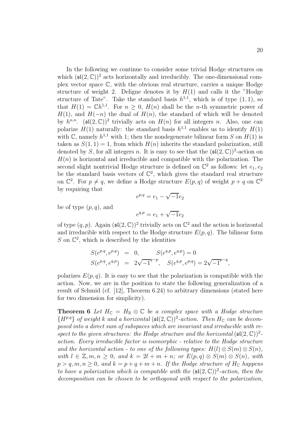In the following we continue to consider some trivial Hodge structures on which  $(\mathfrak{sl}(2,\mathbb{C}))^2$  acts horizontally and irreducibly. The one-dimensional complex vector space C, with the obvious real structure, carries a unique Hodge structure of weight 2. Deligne denotes it by  $H(1)$  and calls it the "Hodge structure of Tate". Take the standard basis  $h^{1,1}$ , which is of type  $(1, 1)$ , so that  $H(1) = \mathbb{C}h^{1,1}$ . For  $n > 0$ ,  $H(n)$  shall be the *n*-th symmetric power of  $H(1)$ , and  $H(-n)$  the dual of  $H(n)$ , the standard of which will be denoted by  $h^{n,n}$ . ( $\mathfrak{sl}(2,\mathbb{C})^2$  trivially acts on  $H(n)$  for all integers n. Also, one can polarize  $H(1)$  naturally: the standard basis  $h^{1,1}$  enables us to identify  $H(1)$ with C, namely  $h^{1,1}$  with 1; then the nondegenerate bilinear form S on  $H(1)$  is taken as  $S(1, 1) = 1$ , from which  $H(n)$  inherits the standard polarization, still denoted by S, for all integers n. It is easy to see that the  $(\mathfrak{sl}(2,\mathbb{C}))^2$ -action on  $H(n)$  is horizontal and irreducible and compatible with the polarization. The second slight nontrivial Hodge structure is defined on  $\mathbb{C}^2$  as follows: let  $e_1, e_2$ be the standard basis vectors of  $\mathbb{C}^2$ , which gives the standard real structure on  $\mathbb{C}^2$ . For  $p \neq q$ , we define a Hodge structure  $E(p,q)$  of weight  $p+q$  on  $\mathbb{C}^2$ by requiring that

$$
e^{p,q} = e_1 - \sqrt{-1}e_2
$$

be of type  $(p, q)$ , and

$$
e^{q,p} = e_1 + \sqrt{-1}e_2
$$

of type  $(q, p)$ . Again  $(\mathfrak{sl}(2, \mathbb{C}))^2$  trivially acts on  $\mathbb{C}^2$  and the action is horizontal and irreducible with respect to the Hodge structure  $E(p, q)$ . The bilinear form S on  $\mathbb{C}^2$ , which is described by the identities

$$
S(e^{p,q}, e^{p,q}) = 0, \t S(e^{q,p}, e^{q,p}) = 0
$$
  

$$
S(e^{p,q}, e^{q,p}) = 2\sqrt{-1}^{q-p}, \t S(e^{q,p}, e^{p,q}) = 2\sqrt{-1}^{p-q},
$$

polarizes  $E(p, q)$ . It is easy to see that the polarization is compatible with the action. Now, we are in the position to state the following generalization of a result of Schmid (cf. [12], Theorem 6.24) to arbitrary dimensions (stated here for two dimension for simplicity).

**Theorem 6** Let  $H_{\mathbb{C}} = H_{\mathbb{R}} \otimes \mathbb{C}$  be a complex space with a Hodge structure  ${H^{p,q}}$  of weight k and a horizontal  $(\mathfrak{sl}(2,\mathbb{C}))^2$ -action. Then  $H_{\mathbb{C}}$  can be decomposed into a direct sum of subspaces which are invariant and irreducible with respect to the given structures: the Hodge structure and the horizontal  $(\mathfrak{sl}(2,\mathbb{C}))^2$ action. Every irreducible factor is isomorphic - relative to the Hodge structure and the horizontal action - to one of the following types:  $H(l) \otimes S(m) \otimes S(n)$ , with  $l \in \mathbb{Z}, m, n \geq 0$ , and  $k = 2l + m + n$ ; or  $E(p, q) \otimes S(m) \otimes S(n)$ , with  $p > q, m, n \ge 0$ , and  $k = p + q + m + n$ . If the Hodge structure of  $H_C$  happens to have a polarization which is compatible with the  $(\mathfrak{sl}(2,\mathbb{C}))^2$ -action, then the decomposition can be chosen to be orthogonal with respect to the polarization,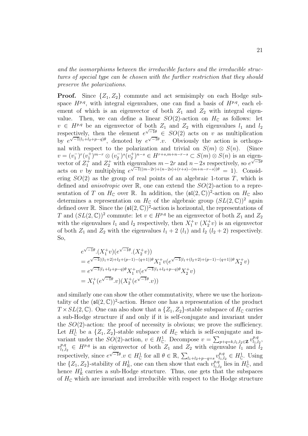and the isomorphisms between the irreducible factors and the irreducible structures of special type can be chosen with the further restriction that they should preserve the polarizations.

**Proof.** Since  $\{Z_1, Z_2\}$  commute and act semisimply on each Hodge subspace  $H^{p,q}$ , with integral eigenvalues, one can find a basis of  $H^{p,q}$ , each element of which is an eigenvector of both  $Z_1$  and  $Z_2$  with integral eigenvalue. Then, we can define a linear  $SO(2)$ -action on  $H_{\mathbb{C}}$  as follows: let  $v \in H^{p,q}$  be an eigenvector of both  $Z_1$  and  $Z_2$  with eigenvalues  $l_1$  and  $l_2$ respectively, then the element  $e^{\sqrt{-1}\theta} \in SO(2)$  acts on v as multiplication by  $e^{\sqrt{-1}(l_1+l_2+p-q)\theta}$ , denoted by  $e^{\sqrt{-1}\theta}$ .v. Obviously the action is orthogonal with respect to the polarization and trivial on  $S(m) \otimes S(n)$ . (Since  $v = (v_1^-)^r (v_1^+)^{m-r} \otimes (v_2^-)^s (v_2^+)^{n-s} \in H^{r+s,m+n-r-s} \subset S(m) \otimes S(n)$  is an eigenvector of  $Z_1^+$  and  $Z_2^+$  with eigenvalues  $m-2r$  and  $n-2s$  respectively, so  $e^{\sqrt{-1}\theta}$ acts on v by multiplying  $e^{\sqrt{-1}((m-2r)+(n-2s)+(r+s)-(m+n-r-s))\theta} = 1$ . Considering  $SO(2)$  as the group of real points of an algebraic 1-torus T, which is defined and *anisotropic* over  $\mathbb{R}$ , one can extend the  $SO(2)$ -action to a representation of T on  $H_{\mathbb{C}}$  over R. In addition, the  $(\mathfrak{sl}(2,\mathbb{C}))^2$ -action on  $H_{\mathbb{C}}$  also determines a representation on  $H_{\mathbb{C}}$  of the algebraic group  $(SL(2,\mathbb{C}))^2$  again defined over R. Since the  $(\mathfrak{sl}(2,\mathbb{C}))^2$ -action is horizontal, the representations of T and  $(SL(2,\mathbb{C}))^2$  commute: let  $v \in H^{p,q}$  be an eigenvector of both  $Z_1$  and  $Z_2$ with the eigenvalues  $l_1$  and  $l_2$  respectively, then  $X_1^+ v(X_2^+ v)$  is an eigenvector of both  $Z_1$  and  $Z_2$  with the eigenvalues  $l_1 + 2(l_1)$  and  $l_2$   $(l_2 + 2)$  respectively. So,

$$
e^{\sqrt{-1}\theta} \cdot (X_1^+ v)(e^{\sqrt{-1}\theta} \cdot (X_2^+ v))
$$
  
=  $e^{\sqrt{-1}((l_1+2)+l_2+(p-1)-(q+1))\theta} X_1^+ v(e^{\sqrt{-1}(l_1+(l_2+2)+(p-1)-(q+1))\theta} X_2^+ v)$   
=  $e^{\sqrt{-1}(l_1+l_2+p-q)\theta} X_1^+ v(e^{\sqrt{-1}(l_1+l_2+p-q)\theta} X_2^+ v)$   
=  $X_1^+ (e^{\sqrt{-1}\theta} \cdot v)(X_2^+ (e^{\sqrt{-1}\theta} \cdot v))$ 

and similarly one can show the other commutativity, where we use the horizontality of the  $(\mathfrak{sl}(2,\mathbb{C}))^2$ -action. Hence one has a representation of the product  $T \times SL(2, \mathbb{C})$ . One can also show that a  $\{Z_1, Z_2\}$ -stable subspace of  $H_{\mathbb{C}}$  carries a sub-Hodge structure if and only if it is self-conjugate and invariant under the  $SO(2)$ -action: the proof of necessity is obvious; we prove the sufficiency. Let  $H^1_{\mathbb{C}}$  be a  $\{Z_1, Z_2\}$ -stable subspace of  $H_{\mathbb{C}}$  which is self-conjugate and invariant under the  $SO(2)$ -action,  $v \in H^1_{\mathbb{C}}$ . Decompose  $v = \sum_{p+q=k, l_1, l_2 \in \mathbb{Z}} v^{p,q}_{l_1, l_2}$ ,  $v_{l_1,l_2}^{p,q} \in H^{p,q}$  is an eigenvector of both  $Z_1$  and  $Z_2$  with eigenvalue  $l_1$  and  $l_2$ respectively, since  $e^{\sqrt{-1}\theta} \cdot v \in H^1_{\mathbb{C}}$  for all  $\theta \in \mathbb{R}$ ,  $\sum_{l_1+l_2+p-q=s} v^{p,q}_{l_1,l_2} \in H^1_{\mathbb{C}}$ . Using the  $\{Z_1, Z_2\}$ -stability of  $H^1_{\mathbb{R}}$ , one can then show that each  $v_{l_1, l_2}^{p, q}$  lies in  $H^1_{\mathbb{C}}$ , and hence  $H^1_{\mathbb{R}}$  carries a sub-Hodge structure. Thus, one gets that the subspaces of  $H_{\mathbb{C}}$  which are invariant and irreducible with respect to the Hodge structure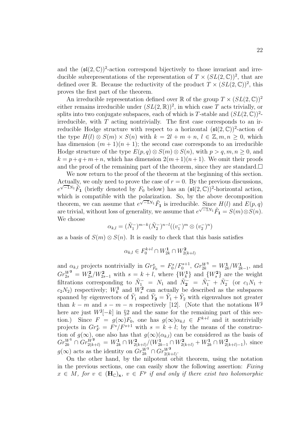and the  $(\mathfrak{sl}(2,\mathbb{C}))^2$ -action correspond bijectively to those invariant and irreducible subrepresentations of the representation of  $T \times (SL(2,\mathbb{C}))^2$ , that are defined over R. Because the reductivity of the product  $T \times (SL(2,\mathbb{C}))^2$ , this proves the first part of the theorem.

An irreducible representation defined over  $\mathbb R$  of the group  $T \times (SL(2,\mathbb C))^2$ either remains irreducible under  $(SL(2,\mathbb{R}))^2$ , in which case T acts trivially, or splits into two conjugate subspaces, each of which is T-stable and  $(SL(2,\mathbb{C}))^2$ irreducible, with  $T$  acting nontrivially. The first case corresponds to an irreducible Hodge structure with respect to a horizontal  $(\mathfrak{sl}(2,\mathbb{C}))^2$ -action of the type  $H(l) \otimes S(m) \times S(n)$  with  $k = 2l + m + n, l \in \mathbb{Z}, m, n \geq 0$ , which has dimension  $(m + 1)(n + 1)$ ; the second case corresponds to an irreducible Hodge structure of the type  $E(p,q) \otimes S(m) \otimes S(n)$ , with  $p > q, m, n \ge 0$ , and  $k = p+q+m+n$ , which has dimension  $2(m+1)(n+1)$ . We omit their proofs and the proof of the remaining part of the theorem, since they are standard.  $\square$ 

We now return to the proof of the theorem at the beginning of this section. Actually, we only need to prove the case of  $r = 0$ . By the previous discussions,  $e^{\sqrt{-1}N_1}\tilde{F}_1$  (briefly denoted by  $F_0$  below) has an  $(\mathfrak{sl}(2,\mathbb{C}))^2$ -horizontal action, which is compatible with the polarization. So, by the above decomposition theorem, we can assume that  $e^{\sqrt{-1}N_1}\tilde{F}_1$  is irreducible. Since  $H(l)$  and  $E(p,q)$ are trivial, without loss of generality, we assume that  $e^{\sqrt{-1}N_1}\tilde{F}_1 = S(m) \otimes S(n)$ . We choose

$$
\alpha_{k,l}=(\tilde{N}_1^-)^{m-k}(\tilde{N}_2^-)^{n-l}((v_1^-)^m\otimes (v_2^-)^n)
$$

as a basis of  $S(m) \otimes S(n)$ . It is easily to check that this basis satisfies

$$
\alpha_{k,l} \in F_0^{k+l} \cap W^1_{2k} \cap W^2_{2(k+l)}
$$

and  $\alpha_{k,l}$  projects nontrivially in  $Gr_{F_0}^s = F_0^s / F_0^{s+1}$ ,  $Gr_{2k}^{W^1} = W_{2k}^1 / W_{2k-1}^1$ , and  $Gr_{2s}^{W^2} = W_{2s}^2/W_{2s-1}^2$  with  $s = k + l$ , where  $\{W_k^1\}$  and  $\{W_s^2\}$  are the weight filtrations corresponding to  $\tilde{N}_1^- = N_1$  and  $\tilde{N}_2^- = \tilde{N}_1^- + \tilde{N}_2^-$  (or  $c_1 N_1$  +  $c_2N_2$ ) respectively;  $W_k^1$  and  $W_s^2$  can actually be described as the subspaces spanned by eigenvectors of  $\tilde{Y}_1$  and  $\tilde{Y}_2 = \tilde{Y}_1 + \tilde{Y}_2$  with eigenvalues not greater than  $k - m$  and  $s - m - n$  respectively [12]. (Note that the notations  $W^{\mathbf{j}}$ here are just  $W^{\mathbf{j}}[-k]$  in §2 and the same for the remaining part of this section.) Since  $F = g(\infty)F_0$ , one has  $g(\infty)\alpha_{k,l} \in F^{k+l}$  and it nontrivially projects in  $Gr_F^s = F^s/F^{s+1}$  with  $s = k + l$ ; by the means of the construction of  $g(\infty)$ , one also has that  $g(\infty)(\alpha_{k,l})$  can be considered as the basis of  $Gr_{2k}^{W^1} \cap Gr_{2(k+l)}^{W^2} = W_{2k}^1 \cap W_{2(k+l)}^2 / (W_{2k-1}^1 \cap W_{2(k+l)}^2 + W_{2k}^1 \cap W_{2(k+l)-1}^2)$ , since  $g(\infty)$  acts as the identity on  $Gr_{2k}^{W^1} \cap Gr_{2(k+l)}^{W^2}$ .

On the other hand, by the nilpotent orbit theorem, using the notation in the previous sections, one can easily show the following assertion: Fixing  $x \in M$ , for  $v \in (\mathbf{H}_{\mathbb{C}})_{\mathbf{x}}, v \in F^p$  if and only if there exist two holomorphic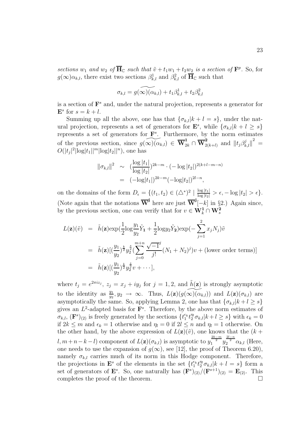sections  $w_1$  and  $w_2$  of  $\overline{H}_\mathbb{C}$  such that  $\tilde{v} + t_1w_1 + t_2w_2$  is a section of  $\mathbf{F}^p$ . So, for  $g(\infty)\alpha_{k,l}$ , there exist two sections  $\beta_{k,l}^1$  and  $\beta_{k,l}^2$  of  $\overline{\mathbf{H}}_{\mathbb{C}}$  such that

$$
\sigma_{k,l} = g(\widetilde{\infty})(\alpha_{k,l}) + t_1 \beta_{k,l}^1 + t_2 \beta_{k,l}^2
$$

is a section of  $\mathbf{F}^s$  and, under the natural projection, represents a generator for  $\mathbf{E}^s$  for  $s = k + l$ .

Summing up all the above, one has that  ${\{\sigma_{k,l}|k+l=s\}}$ , under the natural projection, represents a set of generators for  $\mathbf{E}^s$ , while  $\{\sigma_{k,l}|k+l\geq s\}$ represents a set of generators for  $\mathbf{F}^s$ . Furthermore, by the norm estimates of the previous section, since  $g(\widetilde{\infty})(\alpha_{k,l}) \in \overline{\mathbf{W}}_{2k}^1 \cap \overline{\mathbf{W}}_{2(k+l)}^2$  and  $||t_j \beta_{k,l}^j||^2 =$  $O(|t_j|^2 |\log |t_1| |^m |\log |t_2| |^n)$ , one has

$$
\|\sigma_{k,l}\|^2 \sim \left(\frac{\log|t_1|}{\log|t_2|}\right)^{2k-m} \cdot (-\log|t_2|)^{2(k+l-m-n)}
$$
  
= 
$$
(-\log|t_1|)^{2k-m}(-\log|t_2|)^{2l-n},
$$

on the domains of the form  $D_{\epsilon} = \{(t_1, t_2) \in (\triangle^*)^2 \mid \frac{\log |t_1|}{\log |t_2|} > \epsilon, -\log |t_2| > \epsilon\}.$ (Note again that the notations  $\overline{W}^j$  here are just  $\overline{W}^j[-k]$  in §2.) Again since, by the previous section, one can verify that for  $v \in W_k^1 \cap W_s^2$ 

$$
L(\mathbf{z})(\tilde{v}) = \tilde{h}(\mathbf{z}) \exp(\frac{1}{2} \log \frac{y_1}{y_2} \tilde{Y}_1 + \frac{1}{2} \log y_2 \tilde{Y}_2) \exp(-\sum_{j=1}^2 x_j N_j) \tilde{v}
$$
  
\n
$$
= \tilde{h}(\mathbf{z}) [(\frac{y_1}{y_2})^{\frac{k}{2}} y_2^{\frac{s}{2}} (\sum_{j=0}^{m+n} \frac{\sqrt{-1}^j}{j!} (N_1 + N_2)^j) v + (\text{lower order terms})]
$$
  
\n
$$
= \tilde{h}(\mathbf{z}) [(\frac{y_1}{y_2})^{\frac{k}{2}} y_2^{\frac{s}{2}} v + \cdots],
$$

where  $t_j = e^{2\pi i z_j}$ ,  $z_j = x_j + iy_j$  for  $j = 1, 2$ , and  $\tilde{h}(\mathbf{z})$  is strongly asymptotic to the identity as  $\frac{y_1}{y_2}, y_2 \to \infty$ . Thus,  $L(\mathbf{z})(g(\widetilde{\infty})(\alpha_{k,l}))$  and  $L(\mathbf{z})(\sigma_{k,l})$  are asymptotically the same. So, applying Lemma 2, one has that  $\{\sigma_{k,l}|k+l\geq s\}$ gives an  $L^2$ -adapted basis for  $\mathbf{F}^s$ . Therefore, by the above norm estimates of  $\sigma_{k,l}, (\mathbf{F}^s)_{(2)}$  is freely generated by the sections  $\{t_1^{\epsilon_k} t_2^m \sigma_{k,l} | k+l \geq s\}$  with  $\epsilon_k = 0$ if  $2k \le m$  and  $\epsilon_k = 1$  otherwise and  $\eta_l = 0$  if  $2l \le n$  and  $\eta_l = 1$  otherwise. On the other hand, by the above expression of  $L(\mathbf{z})(\tilde{v})$ , one knows that the  $(k +$ l,  $m+n-k-l$ ) component of  $L(\mathbf{z})(\sigma_{k,l})$  is asymptotic to  $y_1^{\frac{2k-m}{2}}y_2^{\frac{2l-n}{2}}\alpha_{k,l}$  (Here, one needs to use the expansion of  $g(\infty)$ , see [12], the proof of Theorem 6.20), namely  $\sigma_{kl}$  carries much of its norm in this Hodge component. Therefore, the projections in **E**<sup>s</sup> of the elements in the set  $\{t_1^{\epsilon_k} t_2^{\eta_l} \sigma_{k,l} | k + l = s\}$  form a set of generators of  $\mathbf{E}^s$ . So, one naturally has  $(\mathbf{F}^s)_{(2)}/(\mathbf{F}^{s+1})_{(2)} = \mathbf{E}_{(2)}$ . This completes the proof of the theorem.  $\Box$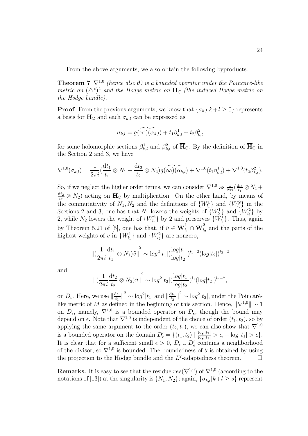From the above arguments, we also obtain the following byproducts.

**Theorem 7**  $\nabla^{1,0}$  (hence also  $\theta$ ) is a bounded operator under the Poincaré-like metric on  $({\Delta^*)}^2$  and the Hodge metric on  $\mathbf{H}_{\mathbb{C}}$  (the induced Hodge metric on the Hodge bundle).

**Proof**. From the previous arguments, we know that  ${\lbrace \sigma_{k,l} | k+l \geq 0 \rbrace}$  represents a basis for  $H_C$  and each  $\sigma_{k,l}$  can be expressed as

$$
\sigma_{k,l} = g(\widetilde{\infty})(\alpha_{k,l}) + t_1 \beta_{k,l}^1 + t_2 \beta_{k,l}^2
$$

for some holomorphic sections  $\beta_{k,l}^1$  and  $\beta_{k,l}^2$  of  $\overline{H}_\mathbb{C}$ . By the definition of  $\overline{H}_\mathbb{C}$  in the Section 2 and 3, we have

$$
\nabla^{1,0}(\sigma_{k,l}) = \frac{1}{2\pi i} \left( \frac{dt_1}{t_1} \otimes N_1 + \frac{dt_2}{t_2} \otimes N_2 \right) \widetilde{g(\infty)}(\widetilde{\alpha_{k,l}}) + \nabla^{1,0}(t_1 \beta_{k,l}^1) + \nabla^{1,0}(t_2 \beta_{k,l}^2).
$$

So, if we neglect the higher order terms, we can consider  $\nabla^{1,0}$  as  $\frac{1}{2\pi i}(\frac{dt_1}{t_1} \otimes N_1 +$  $\frac{dt_2}{t_2} \otimes N_2$  acting on **H**<sub>C</sub> by multiplication. On the other hand, by means of the commutativity of  $N_1, N_2$  and the definitions of  $\{W_{l_1}^1\}$  and  $\{W_{l_2}^2\}$  in the Sections 2 and 3, one has that  $N_1$  lowers the weights of  $\{W_{l_1}^1\}$  and  $\{W_{l_2}^2\}$  by 2, while  $N_2$  lowers the weight of  $\{W_{l_2}\}\$  by 2 and preserves  $\{W_{l_1}\}\$ . Thus, again by Theorem 5.21 of [5], one has that, if  $\tilde{v} \in \overline{\mathbf{W}}_{l_1}^1 \cap \overline{\mathbf{W}}_{l_2}^2$  and the parts of the highest weights of v in  $\{W_{l_1}^1\}$  and  $\{W_{l_2}^2\}$  are nonzero,

$$
\left\| \left( \frac{1}{2\pi i} \frac{dt_1}{t_1} \otimes N_1 \right) \tilde{v} \right\|^2 \sim \log^2 |t_1| \left( \frac{\log|t_1|}{\log|t_2|} \right)^{l_1 - 2} (\log|t_2|)^{l_2 - 2}
$$

and

$$
\left\| \left( \frac{1}{2\pi i} \frac{dt_2}{t_2} \otimes N_2 \right) \tilde{v} \right\|^2 \sim \log^2 |t_2| \left( \frac{\log |t_1|}{\log |t_2|} \right)^{l_1} (\log |t_2|)^{l_2 - 2},
$$

on  $D_{\epsilon}$ . Here, we use  $\left\|\frac{dt_1}{t_1}\right\|^2 \sim \log^2|t_1|$  and  $\left\|\frac{dt_2}{t_2}\right\|^2 \sim \log^2|t_2|$ , under the Poincarélike metric of M as defined in the beginning of this section. Hence,  $\|\nabla^{1,0}\| \sim 1$ on  $D_{\epsilon}$ , namely,  $\nabla^{1,0}$  is a bounded operator on  $D_{\epsilon}$ , though the bound may depend on  $\epsilon$ . Note that  $\nabla^{1,0}$  is independent of the choice of order  $(t_1, t_2)$ , so by applying the same argument to the order  $(t_2, t_1)$ , we can also show that  $\nabla^{1,0}$ is a bounded operator on the domain  $D'_{\epsilon} = \{ (t_1, t_2) \mid \frac{\log |t_2|}{\log |t_1|} > \epsilon, -\log |t_1| > \epsilon \}.$ It is clear that for a sufficient small  $\epsilon > 0$ ,  $D_{\epsilon} \cup D'_{\epsilon}$  contains a neighborhood of the divisor, so  $\nabla^{1,0}$  is bounded. The boundedness of  $\theta$  is obtained by using the projection to the Hodge bundle and the  $L^2$ -adaptedness theorem.  $\Box$ 

**Remarks.** It is easy to see that the residue  $res(\nabla^{1,0})$  of  $\nabla^{1,0}$  (according to the notations of [13]) at the singularity is  $\{N_1, N_2\}$ ; again,  $\{\sigma_{k,l}|k+l\geq s\}$  represent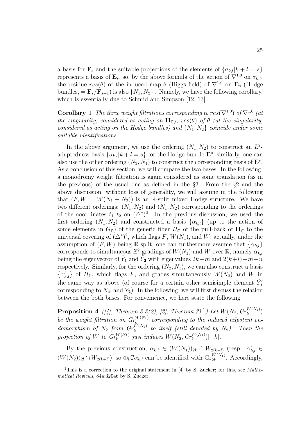a basis for **F**<sub>s</sub> and the suitable projections of the elements of  $\{\sigma_{k,l}|k+l=s\}$ represents a basis of  $\mathbf{E}_s$ , so, by the above formula of the action of  $\nabla^{1,0}$  on  $\sigma_{k,l}$ , the residue  $res(\theta)$  of the induced map  $\theta$  (Higgs field) of  $\nabla^{1,0}$  on **E**<sub>s</sub> (Hodge bundles,  $= \mathbf{F}_s/\mathbf{F}_{s+1}$  is also  $\{N_1, N_2\}$ . Namely, we have the following corollary, which is essentially due to Schmid and Simpson [12, 13].

**Corollary 1** The three weight filtrations corresponding to  $res(\nabla^{1,0})$  of  $\nabla^{1,0}$  (at the singularity, considered as acting on  $H_C$ ),  $res(\theta)$  of  $\theta$  (at the singularity, considered as acting on the Hodge bundles) and  $\{N_1, N_2\}$  coincide under some suitable identifications.

In the above argument, we use the ordering  $(N_1, N_2)$  to construct an  $L^2$ adaptedness basis  $\{\sigma_{k,l}|k+l=s\}$  for the Hodge bundle  $\mathbf{E}^s$ ; similarly, one can also use the other ordering  $(N_2, N_1)$  to construct the corresponding basis of  $\mathbf{E}^s$ . As a conclusion of this section, we will compare the two bases. In the following, a monodromy weight filtration is again considered as some translation (as in the previous) of the usual one as defined in the  $\S2$ . From the  $\S2$  and the above discussion, without loss of generality, we will assume in the following that  $(F, W = W(N_1 + N_2))$  is an R-split mixed Hodge structure. We have two different orderings:  $(N_1, N_2)$  and  $(N_1, N_2)$  corresponding to the orderings of the coordinates  $t_1, t_2$  on  $(\triangle^*)^2$ . In the previous discussion, we used the first ordering  $(N_1, N_2)$  and constructed a basis  $\{\alpha_{k,l}\}\$  (up to the action of some elements in  $G_{\mathbb{C}}$  of the generic fiber  $H_{\mathbb{C}}$  of the pull-back of  $H_{\mathbb{C}}$  to the universal covering of  $(\Delta^*)^2$ , which flags F,  $W(N_1)$ , and W; actually, under the assumption of  $(F, W)$  being R-split, one can furthermore assume that  $\{\alpha_{k,l}\}$ corresponds to simultaneous  $\mathbb{Z}^2$ -gradings of  $W(N_1)$  and W over R, namely  $\alpha_{k,l}$ being the eigenvector of  $\tilde{Y}_1$  and  $\tilde{Y}_2$  with eigenvalues  $2k-m$  and  $2(k+l)-m-n$ respectively. Similarly, for the ordering  $(N_2, N_1)$ , we can also construct a basis  $\{\alpha'_{k,l}\}\$  of  $H_{\mathbb{C}}$ , which flags F, and grades simultaneously  $W(N_2)$  and W in the same way as above (of course for a certain other semisimple element  $\tilde{Y}'_1$ corresponding to  $N_2$ , and  $\tilde{Y}_2$ ). In the following, we will first discuss the relation between the both bases. For convenience, we here state the following

**Proposition 4** ([4], Theorem 3.3(2); [2], Theorem 3)<sup>1</sup>) Let  $W(N_2, Gr_k^{W(N_1)})$ be the weight filtration on  $Gr_k^{W(N_1)}$  corresponding to the induced nilpotent endomorphism of  $N_2$  from  $Gr_k^{\tilde{W}(N_1)}$  to itself (still denoted by  $N_2$ ). Then the projection of W to  $Gr_k^{W(N_1)}$  just induces  $W(N_2, Gr_k^{W(N_1)})[-k]$ .

By the previous construction,  $\alpha_{k,l} \in (W(N_1))_{2k} \cap W_{2(k+l)}$  (resp.  $\alpha'_{k,l} \in$  $(W(N_2))_{2l} \cap W_{2(k+l)}),$  so  $\bigoplus_l \mathbb{C} \alpha_{k,l}$  can be identified with  $\operatorname{Gr}_{2k}^{W(N_1)}$ . Accordingly,

<sup>1</sup>This is a correction to the original statement in [4] by S. Zucker; for this, see *Mathematical Reviews*, 84a:32046 by S. Zucker.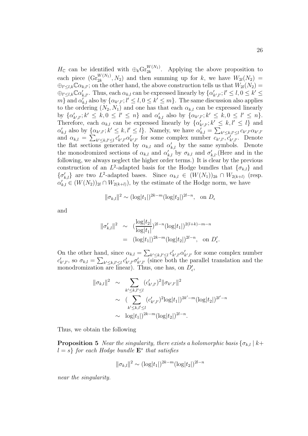$H_{\mathbb{C}}$  can be identified with  $\bigoplus_k \mathrm{Gr}_{2k}^{W(N_1)}$ . Applying the above proposition to each piece  $(\mathrm{Gr}_{2k}^{W(N_1)}, N_2)$  and then summing up for k, we have  $W_{2l}(N_2)$  =  $\bigoplus_{l'; on the other hand, the above construction tells us that  $W_{2l}(N_2)$  =$  $\bigoplus_{l'\leq l,k}\mathbb{C}\alpha'_{k,l'}$ . Thus, each  $\alpha_{k,l}$  can be expressed linearly by  $\{\alpha'_{k',l'}; l'\leq l, 0\leq k'\leq l'\}$ m} and  $\alpha'_{k,l}$  also by  $\{\alpha_{k',l'}; l' \leq l, 0 \leq k' \leq m\}$ . The same discussion also applies to the ordering  $(N_2, N_1)$  and one has that each  $\alpha_{k,l}$  can be expressed linearly by  $\{\alpha'_{k',l'}; k' \leq k, 0 \leq l' \leq n\}$  and  $\alpha'_{k,l}$  also by  $\{\alpha_{k',l'}; k' \leq k, 0 \leq l' \leq n\}.$ Therefore, each  $\alpha_{k,l}$  can be expressed linearly by  $\{\alpha'_{k',l'}; k' \leq k, l' \leq l\}$  and  $\alpha'_{k,l}$  also by  $\{\alpha_{k',l'}; k' \leq k, l' \leq l\}$ . Namely, we have  $\alpha'_{k,l} = \sum_{k' \leq k,l' \leq l} c_{k',l'} \alpha_{k',l'}$ and  $\alpha_{k,l} = \sum_{k' \leq k,l' \leq l} c'_{k',l'} \alpha'_{k',l'}$  for some complex number  $c_{k',l'}, c'_{k',l'}$ . Denote the flat sections generated by  $\alpha_{k,l}$  and  $\alpha'_{k,l}$  by the same symbols. Denote the monodromized sections of  $\alpha_{k,l}$  and  $\alpha'_{k,l}$  by  $\sigma_{k,l}$  and  $\sigma'_{k,l}$ . (Here and in the following, we always neglect the higher order terms.) It is clear by the previous construction of an L<sup>2</sup>-adapted basis for the Hodge bundles that  $\{\sigma_{k,l}\}\$  and  $\{\sigma'_{k,l}\}\$ are two L<sup>2</sup>-adapted bases. Since  $\alpha_{k,l}\in (W(N_1))_{2k}\cap W_{2(k+l)}$  (resp.  $\alpha'_{k,l} \in (W(N_2))_{2l} \cap W_{2(k+l)}$ , by the estimate of the Hodge norm, we have

$$
\|\sigma_{k,l}\|^2 \sim (\log|t_1|)^{2k-m} (\log|t_2|)^{2l-n}, \text{ on } D_{\epsilon}
$$

and

$$
\begin{aligned} ||\sigma'_{k,l}||^2 &\sim \left(\frac{\log|t_2|}{\log|t_1|}\right)^{2l-n} (\log|t_1|)^{2(l+k)-m-n} \\ &= (\log|t_1|)^{2k-m} (\log|t_2|)^{2l-n}, \text{ on } D'_{\epsilon}. \end{aligned}
$$

On the other hand, since  $\alpha_{k,l} = \sum_{k' \leq k,l' \leq l} c'_{k',l'} \alpha'_{k',l'}$  for some complex number  $c'_{k',l'}$ , so  $\sigma_{k,l} = \sum_{k' \leq k,l' \leq l} c'_{k',l'} \sigma'_{k',l'}$  (since both the parallel translation and the monodromization are linear). Thus, one has, on  $D'_\epsilon$ ,

$$
\|\sigma_{k,l}\|^2 \sim \sum_{k' \le k,l' \le l} (c'_{k',l'})^2 \|\sigma_{k',l'}\|^2
$$
  
 
$$
\sim (\sum_{k' \le k,l' \le l} (c'_{k',l'})^2 \log|t_1|)^{2k'-m} (\log|t_2|)^{2l'-n}
$$
  
 
$$
\sim \log|t_1|)^{2k-m} (\log|t_2|)^{2l-n}.
$$

Thus, we obtain the following

**Proposition 5** Near the singularity, there exists a holomorphic basis  $\{\sigma_{k,l} | k+\sigma_{k,l}\}$  $l = s$  for each Hodge bundle  $\mathbf{E}^s$  that satisfies

$$
\|\sigma_{k,l}\|^2 \sim (\log|t_1|)^{2k-m} (\log|t_2|)^{2l-n}
$$

near the singularity.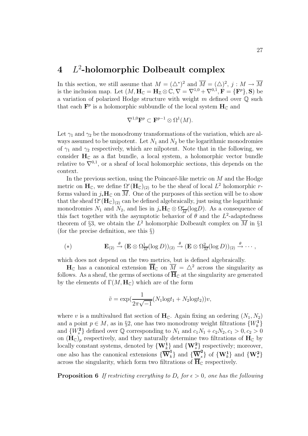# **4** L<sup>2</sup>**-holomorphic Dolbeault complex**

In this section, we still assume that  $M = (\triangle^*)^2$  and  $\overline{M} = (\triangle)^2$ ,  $j : M \to \overline{M}$ is the inclusion map. Let  $(M, H_{\mathbb{C}} = H_{\mathbb{Z}} \otimes \mathbb{C}, \nabla = \nabla^{1,0} + \nabla^{0,1}, \mathbf{F} = \{ \mathbf{F}^p \}, \mathbf{S}$  be a variation of polarized Hodge structure with weight  $m$  defined over  $\mathbb Q$  such that each  $\mathbf{F}^p$  is a holomorphic subbundle of the local system  $\mathbf{H}_\mathbb{C}$  and

$$
\nabla^{1,0} \mathbf{F}^p \subset \mathbf{F}^{p-1} \otimes \Omega^1(M).
$$

Let  $\gamma_1$  and  $\gamma_2$  be the monodromy transformations of the variation, which are always assumed to be unipotent. Let  $N_1$  and  $N_2$  be the logarithmic monodromies of  $\gamma_1$  and  $\gamma_2$  respectively, which are nilpotent. Note that in the following, we consider  $H_C$  as a flat bundle, a local system, a holomorphic vector bundle relative to  $\nabla^{0,1}$ , or a sheaf of local holomorphic sections, this depends on the context.

In the previous section, using the Poincaré-like metric on  $M$  and the Hodge metric on  $H_{\mathbb{C}}$ , we define  $\Omega^r(H_{\mathbb{C}})_{(2)}$  to be the sheaf of local  $L^2$  holomorphic rforms valued in  $j_*\mathbf{H}_{\mathbb{C}}$  on  $\overline{M}$ . One of the purposes of this section will be to show that the sheaf  $\Omega^r(\mathbf{H}_{\mathbb{C}})_{(2)}$  can be defined algebraically, just using the logarithmic monodromies  $N_1$  and  $N_2$ , and lies in  $j_*\mathbf{H}_{\mathbb{C}} \otimes \Omega^r_{\overline{M}}(\log D)$ . As a consequence of this fact together with the asymptotic behavior of  $\theta$  and the  $L^2$ -adaptedness theorem of §3, we obtain the  $L^2$  holomorphic Dolbeault complex on  $\overline{M}$  in §1 (for the precise definition, see this  $\S$ )

(\*) 
$$
\mathbf{E}_{(2)} \xrightarrow{\theta} (\mathbf{E} \otimes \Omega_{\overline{M}}^1(\log D))_{(2)} \xrightarrow{\theta} (\mathbf{E} \otimes \Omega_{\overline{M}}^2(\log D))_{(2)} \xrightarrow{\theta} \cdots,
$$

which does not depend on the two metrics, but is defined algebraically.

 $H_{\mathbb{C}}$  has a canonical extension  $\overline{H}_{\mathbb{C}}$  on  $\overline{M} = \Delta^2$  across the singularity as follows. As a sheaf, the germs of sections of  $\overline{H}_{\mathbb{C}}$  at the singularity are generated by the elements of  $\Gamma(M, H_{\mathbb{C}})$  which are of the form

$$
\tilde{v} = \exp\left(\frac{1}{2\pi\sqrt{-1}}(N_1\log t_1 + N_2\log t_2)\right)v,
$$

where v is a multivalued flat section of  $H_C$ . Again fixing an ordering  $(N_1, N_2)$ and a point  $p \in M$ , as in §2, one has two monodromy weight filtrations  $\{W_k^1\}$ and  $\{W_s^2\}$  defined over  $\mathbb Q$  corresponding to  $N_1$  and  $c_1N_1+c_2N_2$ ,  $c_1>0$ ,  $c_2>0$ on  $(\mathbf{H}_{\mathbb{C}})$ <sub>p</sub> respectively, and they naturally determine two filtrations of  $\mathbf{H}_{\mathbb{C}}$  by locally constant systems, denoted by  $\{W_k^1\}$  and  $\{W_s^2\}$  respectively; moreover, one also has the canonical extensions  ${\{\overline{\mathbf{W}}_k^1\}}$  and  ${\{\overline{\mathbf{W}}_s^2\}}$  of  ${\{\mathbf{W}_k^1\}}$  and  ${\{\mathbf{W}_s^2\}}$ across the singularity, which form two filtrations of  $\overline{H}_{\mathbb{C}}$  respectively.

**Proposition 6** If restricting everything to  $D_{\epsilon}$  for  $\epsilon > 0$ , one has the following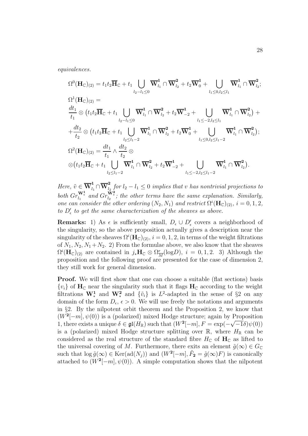equivalences.

$$
\Omega^{0}(\mathbf{H}_{\mathbb{C}})_{(2)} = t_{1}t_{2}\overline{\mathbf{H}}_{\mathbb{C}} + t_{1} \bigcup_{l_{2}-l_{1}\leq 0} \overline{\mathbf{W}}_{l_{1}}^{1} \cap \overline{\mathbf{W}}_{l_{2}}^{2} + t_{2}\overline{\mathbf{W}}_{0}^{1} + \bigcup_{l_{1}\leq 0,l_{2}\leq l_{1}} \overline{\mathbf{W}}_{l_{1}}^{1} \cap \overline{\mathbf{W}}_{l_{2}}^{2};
$$
\n
$$
\Omega^{1}(\mathbf{H}_{\mathbb{C}})_{(2)} =
$$
\n
$$
\frac{dt_{1}}{t_{1}} \otimes (t_{1}t_{2}\overline{\mathbf{H}}_{\mathbb{C}} + t_{1} \bigcup_{l_{2}-l_{1}\leq 0} \overline{\mathbf{W}}_{l_{1}}^{1} \cap \overline{\mathbf{W}}_{l_{2}}^{2} + t_{2}\overline{\mathbf{W}}_{-2}^{1} + \bigcup_{l_{1}\leq -2,l_{2}\leq l_{1}} \overline{\mathbf{W}}_{l_{1}}^{1} \cap \overline{\mathbf{W}}_{l_{2}}^{2}) +
$$
\n
$$
+ \frac{dt_{2}}{t_{2}} \otimes (t_{1}t_{2}\overline{\mathbf{H}}_{\mathbb{C}} + t_{1} \bigcup_{l_{2}\leq l_{1}-2} \overline{\mathbf{W}}_{l_{1}}^{1} \cap \overline{\mathbf{W}}_{l_{2}}^{2} + t_{2}\overline{\mathbf{W}}_{0}^{1} + \bigcup_{l_{1}\leq 0,l_{2}\leq l_{1}-2} \overline{\mathbf{W}}_{l_{1}}^{1} \cap \overline{\mathbf{W}}_{l_{2}}^{2});
$$
\n
$$
\Omega^{2}(\mathbf{H}_{\mathbb{C}})_{(2)} = \frac{dt_{1}}{t_{1}} \wedge \frac{dt_{2}}{t_{2}} \otimes
$$
\n
$$
\otimes (t_{1}t_{2}\overline{\mathbf{H}}_{\mathbb{C}} + t_{1} \bigcup_{l_{2}\leq l_{1}-2} \overline{\mathbf{W}}_{l_{1}}^{1} \cap \overline{\mathbf{W}}_{l_{2}}^{2} + t_{2}\overline{\mathbf{W}}_{-2}^{
$$

Here,  $\tilde{v} \in \overline{\mathbf{W}}_{l_1}^1 \cap \overline{\mathbf{W}}_{l_2}^2$  for  $l_2 - l_1 \leq 0$  implies that v has nontrivial projections to both  $Gr_{l_1}^{\mathbf{W}^1_*}$  and  $Gr_{l_2}^{\mathbf{W}^2_*}$ ; the other terms have the same explanation. Similarly, one can consider the other ordering  $(N_2, N_1)$  and restrict  $\Omega^i(\mathbf{H}_{\mathbb{C}})_{(2)}$ ,  $i = 0, 1, 2$ , to  $D'_\epsilon$  to get the same characterization of the sheaves as above.

**Remarks:** 1) As  $\epsilon$  is sufficiently small,  $D_{\epsilon} \cup D'_{\epsilon}$  covers a neighborhood of the singularity, so the above proposition actually gives a description near the singularity of the sheaves  $\Omega^{i}(\mathbf{H}_{\mathbb{C}})_{(2)}$ ,  $i = 0, 1, 2$ , in terms of the weight filtrations of  $N_1, N_2, N_1+N_2$ . 2) From the formulae above, we also know that the sheaves  $\Omega^{i}(\mathbf{H}_{\mathbb{C}})_{(2)}$  are contained in  $j_*\mathbf{H}_{\mathbb{C}} \otimes \Omega^r_{\overline{M}}(\log D)$ ,  $i = 0, 1, 2$ . 3) Although the proposition and the following proof are presented for the case of dimension 2, they still work for general dimension.

**Proof.** We will first show that one can choose a suitable (flat sections) basis  $\{v_i\}$  of  $\mathbf{H}_{\mathbb{C}}$  near the singularity such that it flags  $\mathbf{H}_{\mathbb{C}}$  according to the weight filtrations  $\mathbf{W}^1_*$  and  $\mathbf{W}^2_*$  and  $\{\tilde{v}_i\}$  is  $L^2$ -adapted in the sense of §2 on any domain of the form  $D_{\epsilon}$ ,  $\epsilon > 0$ . We will use freely the notations and arguments in §2. By the nilpotent orbit theorem and the Proposition 2, we know that  $(W^2[-m], \psi(0))$  is a (polarized) mixed Hodge structure; again by Proposition 1, there exists a unique  $\delta \in \mathfrak{gl}(H_{\mathbb{R}})$  such that  $(W^2[-m], F = \exp(-\frac{1}{2}m)$ <br>is a (polarized) mixed Hodge structure splitting over  $\mathbb{R}$  where  $\sqrt{-1}\delta$ ) $\psi$ (0)) is a (polarized) mixed Hodge structure splitting over  $\mathbb{R}$ , where  $H_{\mathbb{R}}$  can be considered as the real structure of the standard fibre  $H_{\mathbb{C}}$  of  $\mathbf{H}_{\mathbb{C}}$  as lifted to the universal covering of M. Furthermore, there exits an element  $\tilde{g}(\infty) \in G_{\mathbb{C}}$ such that  $\log \tilde{g}(\infty) \in \text{Ker}(\text{ad}(N_j))$  and  $(W^2[-m], \tilde{F}_2 = \tilde{g}(\infty)F)$  is canonically attached to  $(W^2[-m], \psi(0))$ . A simple computation shows that the nilpotent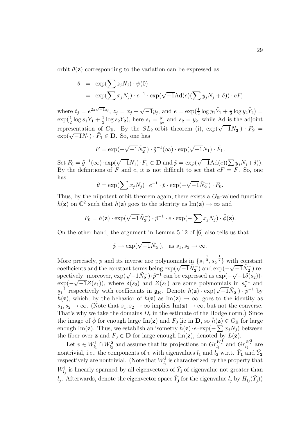orbit  $\theta(\mathbf{z})$  corresponding to the variation can be expressed as

$$
\theta = \exp(\sum z_j N_j) \cdot \psi(0)
$$
  
=  $\exp(\sum x_j N_j) \cdot e^{-1} \cdot \exp(\sqrt{-1} \text{Ad}(e)(\sum y_j N_j + \delta)) \cdot eF,$ 

where  $t_j = e^{2\pi\sqrt{-1}z_j}$ ,  $z_j = x_j + \sqrt{-1}y_j$ , and  $e = \exp(\frac{1}{2}\log y_1\tilde{Y}_1 + \frac{1}{2}\log y_2\tilde{Y}_2)$  $\exp(\frac{1}{2}\log s_1\tilde{Y}_1 + \frac{1}{2}\log s_2\tilde{Y}_2)$ , here  $s_1 = \frac{y_1}{y_2}$  and  $s_2 = y_2$ , while Ad is the adjoint representation of  $G_{\mathbb{R}}$ . By the  $SL_2$ -orbit theorem (i),  $\exp(\sqrt{-1}\tilde{N}_2^-) \cdot \tilde{F}_2 =$  $\exp(\sqrt{-1}N_1) \cdot \tilde{F}_1 \in \mathbf{D}$ . So, one has

$$
F = \exp(-\sqrt{-1}\tilde{N}_{2}^{-}) \cdot \tilde{g}^{-1}(\infty) \cdot \exp(\sqrt{-1}N_{1}) \cdot \tilde{F}_{1}.
$$

Set  $F_0 = \tilde{g}^{-1}(\infty) \cdot \exp(\sqrt{-1}N_1) \cdot \tilde{F}_1 \in \mathbf{D}$  and  $\tilde{p} = \exp(\sqrt{-1}Ad(e)(\sum y_i N_i + \delta)).$ By the definitions of F and e, it is not difficult to see that  $eF = F$ . So, one has √

$$
\theta = \exp(\sum x_j N_j) \cdot e^{-1} \cdot \tilde{p} \cdot \exp(-\sqrt{-1}\tilde{N}_2^-) \cdot F_0.
$$

Thus, by the nilpotent orbit theorem again, there exists a  $G_{\mathbb{R}}$ -valued function  $h(\mathbf{z})$  on  $\mathbb{C}^2$  such that  $h(\mathbf{z})$  goes to the identity as Im( $\mathbf{z}) \to \infty$  and

$$
F_0 = h(\mathbf{z}) \cdot \exp(\sqrt{-1} \tilde{N}_{\mathbf{2}}) \cdot \tilde{p}^{-1} \cdot e \cdot \exp(-\sum x_j N_j) \cdot \tilde{\phi}(\mathbf{z}).
$$

On the other hand, the argument in Lemma 5.12 of [6] also tells us that

$$
\tilde{p} \to \exp(\sqrt{-1}\tilde{N}_2^-)
$$
, as  $s_1, s_2 \to \infty$ .

More precisely,  $\tilde{p}$  and its inverse are polynomials in  $\{s_1^{-\frac{1}{2}}, s_2^{-\frac{1}{2}}\}$  with constant whore precisely, p and its inverse are polynomials in  $\{s_1, s_2\}$  with constant coefficients and the constant terms being  $\exp(\sqrt{-1}\tilde{N}_2^-)$  and  $\exp(-\sqrt{-1}\tilde{N}_2^-)$  recoencients and the constant terms being  $\exp(\sqrt{-1}N_2)$  and  $\exp(-\sqrt{-1}N_2)$  respectively; moreover,  $\exp(\sqrt{-1}N_2) \cdot \tilde{p}^{-1}$  can be expressed as  $\exp(-\sqrt{-1}\delta(s_2)) \cdot$ spectively; moreover,  $\exp(\sqrt{-1}N_2) \cdot p$  can be expressed as  $\exp(-\sqrt{-1}Z(s_1)) \cdot \exp(-\sqrt{-1}Z(s_1))$ , where  $\delta(s_2)$  and  $Z(s_1)$  are some polynomials in  $s_2^{-1}$  and  $\sum_{s_1}^{\infty}$  respectively with coefficients in  $\mathfrak{g}_R$ . Denote  $h(z) \cdot \exp(\sqrt{-1}N_z) \cdot \tilde{p}^{-1}$  by  $\tilde{h}(z)$  which by the behavior of  $h(z)$  as  $\text{Im}(z) \to \infty$  goes to the identity as  $\tilde{h}(\mathbf{z})$ , which, by the behavior of  $h(\mathbf{z})$  as Im( $\mathbf{z}) \to \infty$ , goes to the identity as  $s_1, s_2 \to \infty$ . (Note that  $s_1, s_2 \to \infty$  implies Im(**z**)  $\to \infty$ , but not the converse. That's why we take the domains  $D_{\epsilon}$  in the estimate of the Hodge norm.) Since the image of  $\phi$  for enough large Im(**z**) and  $F_0$  lie in **D**, so  $\hat{h}(\mathbf{z}) \in G_{\mathbb{R}}$  for large enough Im(**z**). Thus, we establish an isometry  $h(\mathbf{z}) \cdot e \cdot \exp(-\sum x_j N_j)$  between the fiber over **z** and  $F_0 \in \mathbf{D}$  for large enough  $\text{Im}(\mathbf{z})$ , denoted by  $L(\mathbf{z})$ .

Let  $v \in W^1_{l_1} \cap W^2_{l_2}$  and assume that its projections on  $Gr_{l_1}^{W^1_*}$  and  $Gr_{l_2}^{W^2_*}$  are nontrivial, i.e., the components of v with eigenvalues  $l_1$  and  $l_2$  w.r.t.  $\tilde{Y}_1$  and  $\tilde{Y}_2$ respectively are nontrivial. (Note that  $W^{\mathbf{j}}_{l_j}$  is characterized by the property that  $W^{\mathbf{j}}_{l_j}$  is linearly spanned by all eigenvectors of  $\tilde{Y}_{\mathbf{j}}$  of eigenvalue not greater than  $l_j$ . Afterwards, denote the eigenvector space  $\tilde{Y}_j$  for the eigenvalue  $l_j$  by  $H_{l_j}(\tilde{Y}_j)$ )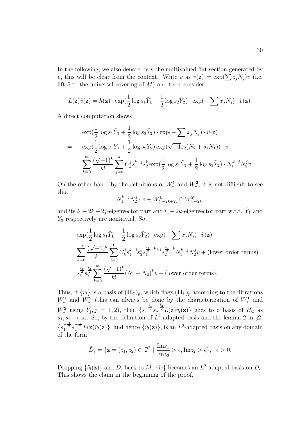In the following, we also denote by  $v$  the multivalued flat section generated by v, this will be clear from the context. Write  $\tilde{v}$  as  $\tilde{v}(\mathbf{z}) = \exp(\sum z_i N_i) v$  (i.e. lift  $\tilde{v}$  to the universal covering of M) and then consider

$$
L(\mathbf{z})\tilde{v}(\mathbf{z}) = \tilde{h}(\mathbf{z}) \cdot \exp(\frac{1}{2}\log s_1 \tilde{Y}_1 + \frac{1}{2}\log s_2 \tilde{Y}_2) \cdot \exp(-\sum x_j N_j) \cdot \tilde{v}(\mathbf{z}).
$$

A direct computation shows

$$
\exp(\frac{1}{2}\log s_1 \tilde{Y}_1 + \frac{1}{2}\log s_2 \tilde{Y}_2) \cdot \exp(-\sum x_j N_j) \cdot \tilde{v}(\mathbf{z})
$$
  
= 
$$
\exp(\frac{1}{2}\log s_1 \tilde{Y}_1 + \frac{1}{2}\log s_2 \tilde{Y}_2) \exp(\sqrt{-1}s_2(N_2 + s_1 N_1)) \cdot v
$$
  
= 
$$
\sum_{k=0}^{m} \frac{(\sqrt{-1})^k}{k!} \sum_{j=0}^{k} C_k^j s_1^{k-j} s_2^k \exp(\frac{1}{2}\log s_1 \tilde{Y}_1 + \frac{1}{2}\log s_2 \tilde{Y}_2) \cdot N_1^{k-j} N_2^j v.
$$

On the other hand, by the definitions of  $W_*^1$  and  $W_*^2$ , it is not difficult to see that

$$
N_1^{k-j} N_2^j \cdot v \in W_{l_1-2k+2j}^1 \cap W_{l_2-2k}^2,
$$

and its  $l_1 - 2k + 2j$ -eigenvector part and  $l_2 - 2k$ -eigenvector part w.r.t.  $\tilde{Y}_1$  and  $\tilde{Y}_2$  respectively are nontrivial. So,

$$
\exp\left(\frac{1}{2}\log s_1 \tilde{Y}_1 + \frac{1}{2}\log s_2 \tilde{Y}_2\right) \cdot \exp\left(-\sum x_j N_j\right) \cdot \tilde{v}(\mathbf{z})
$$
\n
$$
= \sum_{k=0}^{m} \frac{(\sqrt{-1})^k}{k!} \sum_{j=0}^k C_k^j s_1^{k-j} s_2^k s_1^{\frac{l_1}{2} - k + j} s_2^{\frac{l_2}{2} - k} N_1^{k-j} N_2^j v + \text{(lower order terms)}
$$
\n
$$
= s_1^{\frac{l_1}{2}} s_2^{\frac{l_2}{2}} \sum_{k=0}^{m} \frac{(\sqrt{-1})^k}{k!} (N_1 + N_2)^k v + \text{(lower order terms)}.
$$

Thus, if  $\{v_l\}$  is a basis of  $(\mathbf{H}_{\mathbb{C}})_p$ , which flags  $(\mathbf{H}_{\mathbb{C}})_p$  according to the filtrations  $W^1_*$  and  $W^2_*$  (this can always be done by the characterization of  $W^1_*$  and  $W_*^2$  using  $\tilde{Y}_{\mathbf{j},j} = 1,2$ , then  $\{s_1^{-\frac{l_1}{2}} s_2^{-\frac{l_2}{2}} L(\mathbf{z}) \tilde{v}_l(\mathbf{z})\}$  goes to a basis of  $H_{\mathbb{C}}$  as  $s_1, s_2 \to \infty$ . So, by the definition of  $L^2$ -adapted basis and the lemma 2 in §2,  ${s_1^{-\frac{l_1}{2}s_2^{-\frac{l_2}{2}}L(\mathbf{z})\tilde{v}_l(\mathbf{z})\}}$ , and hence  ${\tilde{v}_l(\mathbf{z})}$ , is an  $L^2$ -adapted basis on any domain of the form

$$
\tilde{D}_{\epsilon} = \{ \mathbf{z} = (z_1, z_2) \in \mathbb{C}^2 \mid \frac{\text{Im} z_1}{\text{Im} z_2} > \epsilon, \text{Im} z_2 > \epsilon \}, \quad \epsilon > 0.
$$

Dropping  $\{\tilde{v}_l(\mathbf{z})\}$  and  $\tilde{D}_{\epsilon}$  back to  $M$ ,  $\{\tilde{v}_l\}$  becomes an  $L^2$ -adapted basis on  $D_{\epsilon}$ . This shows the claim in the beginning of the proof.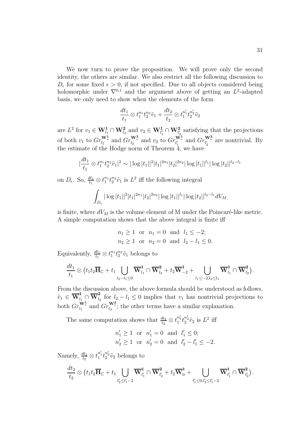We now turn to prove the proposition. We will prove only the second identity, the others are similar. We also restrict all the following discussion to  $D_{\epsilon}$  for some fixed  $\epsilon > 0$ , if not specified. Due to all objects considered being holomorphic under  $\nabla^{0,1}$  and the argument above of getting an  $L^2$ -adapted basis, we only need to show when the elements of the form

$$
\frac{dt_1}{t_1} \otimes t_1^{n_1} t_2^{n_2} \tilde{v}_1 + \frac{dt_2}{t_2} \otimes t_1^{n'_1} t_2^{n'_2} \tilde{v}_2
$$

are  $L^2$  for  $v_1 \in \mathbf{W}_{l_1}^1 \cap \mathbf{W}_{l_2}^2$  and  $v_2 \in \mathbf{W}_{l'_1}^1 \cap \mathbf{W}_{l'_2}^2$  satisfying that the projections of both  $v_1$  to  $Gr_{l_1}^{\mathbf{W}_1^1}$  and  $Gr_{l_2}^{\mathbf{W}_2^2}$  and  $v_2$  to  $Gr_{l'_1}^{\mathbf{W}_1^1}$  and  $Gr_{l'_2}^{\mathbf{W}_2^2}$  are nontrivial. By the estimate of the Hodge norm of Theorem 4, we have

$$
\left|\frac{dt_1}{t_1}\otimes t_1^{n_1}t_2^{n_2}\tilde{v}_1\right|^2 \sim |\log|t_1||^2|t_1|^{2n_1}|t_2|^{2n_2}|\log|t_1||^{l_1}|\log|t_2||^{l_2-l_1}|
$$

on  $D_{\epsilon}$ . So,  $\frac{dt_1}{t_1} \otimes t_1^{n_1} t_2^{n_2} \tilde{v}_1$  is  $L^2$  iff the following integral

$$
\int_{D_{\epsilon}} |\log |t_1||^2 |t_1|^{2n_1} |t_2|^{2n_2} |\log |t_1||^{l_1} |\log |t_2||^{l_2-l_1} dV_M
$$

is finite, where  $dV_M$  is the volume element of M under the Poincaré-like metric. A simple computation shows that the above integral is finite iff

$$
n_1 \ge 1
$$
 or  $n_1 = 0$  and  $l_1 \le -2$ ;  
\n $n_2 \ge 1$  or  $n_2 = 0$  and  $l_2 - l_1 \le 0$ .

Equivalently,  $\frac{dt_1}{t_1} \otimes t_1^{n_1} t_2^{n_2} \tilde{v}_1$  belongs to

$$
\frac{dt_1}{t_1} \otimes \left(t_1 t_2 \overline{\mathbf{H}}_{\mathbb{C}} + t_1 \bigcup_{l_2 - l_1 \leq 0} \overline{\mathbf{W}}_{l_1}^1 \cap \overline{\mathbf{W}}_{l_2}^2 + t_2 \overline{\mathbf{W}}_{-2}^1 + \bigcup_{l_1 \leq -2, l_2 \leq l_1} \overline{\mathbf{W}}_{l_1}^1 \cap \overline{\mathbf{W}}_{l_2}^2\right).
$$

From the discussion above, the above formula should be understood as follows.  $\tilde{v}_1 \in \overline{\mathbf{W}}_{l_1}^1 \cap \overline{\mathbf{W}}_{l_2}^2$  for  $l_2 - l_1 \leq 0$  implies that  $v_1$  has nontrivial projections to both  $Gr_{l_1}^{\mathbf{W}^1}$  and  $Gr_{l_2}^{\mathbf{W}^2}$ ; the other terms have a similar explanation.

The same computation shows that  $\frac{dt_2}{t_2} \otimes t_1^{n'_1} t_2^{n'_2} \tilde{v}_2$  is  $L^2$  iff

$$
n'_1 \ge 1
$$
 or  $n'_1 = 0$  and  $l'_1 \le 0$ ;  
\n $n'_2 \ge 1$  or  $n'_2 = 0$  and  $l'_2 - l'_1 \le -2$ .

Namely,  $\frac{dt_2}{t_2} \otimes t_1^{n'_1} t_2^{n'_2} \tilde{v}_2$  belongs to

$$
\frac{dt_2}{t_2} \otimes \big(t_1t_2 \overline{\mathbf{H}}_{\mathbb{C}} + t_1 \bigcup_{l'_2 \leq l'_1-2} \overline{\mathbf{W}}^{\mathbf{1}}_{l'_1} \cap \overline{\mathbf{W}}^{\mathbf{2}}_{l'_2} + t_2 \overline{\mathbf{W}}^{\mathbf{1}}_{0} + \bigcup_{l'_1 \leq 0, l'_2 \leq l'_1-2} \overline{\mathbf{W}}^{\mathbf{1}}_{l'_1} \cap \overline{\mathbf{W}}^{\mathbf{2}}_{l'_2} \big).
$$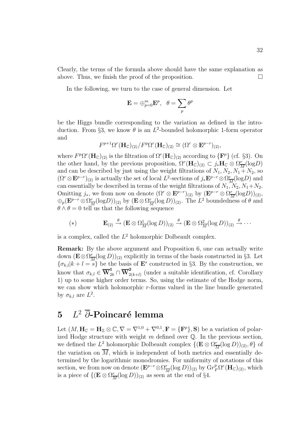Clearly, the terms of the formula above should have the same explanation as above. Thus, we finish the proof of the proposition.  $\Box$ 

In the following, we turn to the case of general dimension. Let

$$
\mathbf{E}=\oplus_{p=0}^m\mathbf{E}^p,~~\theta=\sum_p\theta^p
$$

be the Higgs bundle corresponding to the variation as defined in the introduction. From §3, we know  $\theta$  is an  $L^2$ -bounded holomorphic 1-form operator and

$$
F^{p+1}\Omega^r(\mathbf{H}_{\mathbb{C}})_{(2)}/F^p\Omega^r(\mathbf{H}_{\mathbb{C}})_{(2)} \cong (\Omega^r \otimes \mathbf{E}^{p-r})_{(2)},
$$

where  $F^p\Omega^r(\mathbf{H}_{\mathbb{C}})_{(2)}$  is the filtration of  $\Omega^r(\mathbf{H}_{\mathbb{C}})_{(2)}$  according to  $\{F^p\}$  (cf. §3). On the other hand, by the previous proposition,  $\Omega^r(\mathbf{H}_{\mathbb{C}})_{(2)} \subset j_*\mathbf{H}_{\mathbb{C}} \otimes \Omega^r_{\overline{M}}(\log D)$ and can be described by just using the weight filtrations of  $N_1, N_2, N_1 + N_2$ , so  $(\Omega^r \otimes \mathbf{E}^{p-r})_{(2)}$  is actually the set of local  $L^2$ -sections of  $j_*\mathbf{E}^{p-r} \otimes \Omega^r \over M(\log D)$  and can essentially be described in terms of the weight filtrations of  $N_1, N_2, N_1+N_2$ . Omitting  $j_*$ , we from now on denote  $(\Omega^r \otimes \mathbf{E}^{p-r})_{(2)}$  by  $(\mathbf{E}^{p-r} \otimes \Omega^r_{\overline{M}}(\log D))_{(2)}$ ,  $\oplus_p (\mathbf{E}^{p-r} \otimes \Omega_{\overline{M}}^r(\log D))_{(2)}$  by  $(\mathbf{E} \otimes \Omega_{\overline{M}}^r(\log D))_{(2)}$ . The  $L^2$  boundedness of  $\theta$  and  $\theta \wedge \theta = 0$  tell us that the following sequence

(\*) 
$$
\mathbf{E}_{(2)} \stackrel{\theta}{\rightarrow} (\mathbf{E} \otimes \Omega_{\overline{M}}^1(\log D))_{(2)} \stackrel{\theta}{\rightarrow} (\mathbf{E} \otimes \Omega_{\overline{M}}^2(\log D))_{(2)} \stackrel{\theta}{\rightarrow} \cdots
$$

is a complex, called the  $L^2$  holomorphic Dolbeault complex.

**Remark:** By the above argument and Proposition 6, one can actually write down  $(\mathbf{E} \otimes \Omega_{\overline{M}}^r(\log D))_{(2)}$  explicitly in terms of the basis constructed in §3. Let  ${\sigma_{k,l}}|k+l=s$  be the basis of  $\mathbf{E}^s$  constructed in §3. By the construction, we know that  $\sigma_{k,l} \in \overline{\mathbf{W}}_{2k}^1 \cap \overline{\mathbf{W}}_{2(k+l)}^2$  (under a suitable identification, cf. Corollary 1) up to some higher order terms. So, using the estimate of the Hodge norm, we can show which holomorphic r-forms valued in the line bundle generated by  $\sigma_{k,l}$  are  $L^2$ .

# **5**  $L^2$   $\overline{\partial}$ -Poincaré lemma

Let  $(M, H_{\mathbb{C}} = H_{\mathbb{Z}} \otimes \mathbb{C}, \nabla = \nabla^{1,0} + \nabla^{0,1}, \mathbf{F} = {\mathbf{F}^p}, \mathbf{S}$  be a variation of polarized Hodge structure with weight  $m$  defined over  $\mathbb Q$ . In the previous section, we defined the  $L^2$  holomorphic Dolbeault complex  $\{(\mathbf{E} \otimes \Omega_{\overline{M}}^r(\log D))_{(2)}, \theta\}$  of the variation on  $\overline{M}$ , which is independent of both metrics and essentially determined by the logarithmic monodromies. For uniformity of notations of this section, we from now on denote  $(\mathbf{E}^{p-r} \otimes \Omega_{\overline{M}}^r(\log D))_{(2)}$  by  $\overset{\circ}{\mathrm{Gr}}^p_F \Omega^r(\mathbf{H}_{\mathbb{C}})_{(2)}$ , which is a piece of  $\{(\mathbf{E} \otimes \Omega_{\overline{M}}^r(\log D))_{(2)}\}$  as seen at the end of §4.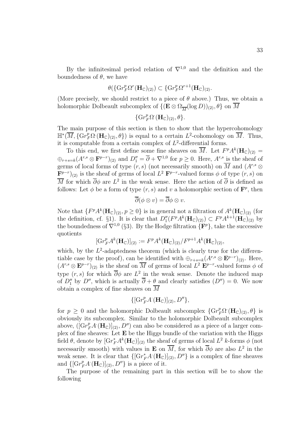By the infinitesimal period relation of  $\nabla^{1,0}$  and the definition and the boundedness of  $\theta$ , we have

$$
\theta(\{\mathrm{Gr}_F^p\Omega^r(\mathbf{H}_{\mathbb{C}})_{(2)}) \subset \{\mathrm{Gr}_F^p\Omega^{r+1}(\mathbf{H}_{\mathbb{C}})_{(2)}.
$$

(More precisely, we should restrict to a piece of  $\theta$  above.) Thus, we obtain a holomorphic Dolbeault subcomplex of  $\{(\mathbf{E} \otimes \Omega_{\overline{M}}(\log D))_{(2)}, \theta\}$  on M

$$
\{\mathrm{Gr}_F^p\Omega^{\cdot}(\mathbf{H}_{\mathbb{C}})_{(2)},\theta\}.
$$

The main purpose of this section is then to show that the hypercohomology  $\mathbb{H}^*(\overline{M}, \{ \mathrm{Gr}_F^p\Omega^{\cdot}(\mathbf{H}_{\mathbb{C}})_{(2)}, \theta \})$  is equal to a certain  $L^2$ -cohomology on  $\overline{M}$ . Thus, it is computable from a certain complex of  $L^2$ -differential forms.

To this end, we first define some fine sheaves on  $\overline{M}$ . Let  $F^pA^k(\mathbf{H}_{\mathbb{C}})_{(2)} =$  $\oplus_{r+s=k}(A^{r,s}\otimes \mathbf{F}^{p-r})_{(2)}$  and  $D''_1=\overline{\partial}+\nabla^{1,0}$  for  $p\geq 0$ . Here,  $A^{r,s}$  is the sheaf of germs of local forms of type  $(r, s)$  (not necessarily smooth) on  $\overline{M}$  and  $(A^{r,s} \otimes$  $\mathbf{F}^{p-r}(2)$  is the sheaf of germs of local  $L^2 \mathbf{F}^{p-r}$ -valued forms  $\phi$  of type  $(r, s)$  on  $\overline{M}$  for which  $\overline{\partial}\phi$  are  $L^2$  in the weak sense. Here the action of  $\overline{\partial}$  is defined as follows: Let  $\phi$  be a form of type  $(r, s)$  and v a holomorphic section of  $\mathbf{F}^p$ , then

$$
\overline{\partial}(\phi\otimes v)=\overline{\partial}\phi\otimes v.
$$

Note that  $\{F^pA^k(\mathbf{H}_{\mathbb{C}})_{(2)}, p \geq 0\}$  is in general not a filtration of  $A^k(\mathbf{H}_{\mathbb{C}})_{(2)}$  (for the definition, cf. §1). It is clear that  $D_1''(F^pA^k(\mathbf{H}_{\mathbb{C}})_{(2)}) \subset F^pA^{k+1}(\mathbf{H}_{\mathbb{C}})_{(2)}$  by the boundedness of  $\nabla^{1,0}$  (§3). By the Hodge filtration  $\{F^p\}$ , take the successive quotients

$$
[\mathrm{Gr}_F^p A^k(\mathbf{H}_{\mathbb{C}})]_{(2)} := F^p A^k(\mathbf{H}_{\mathbb{C}})_{(2)}/F^{p+1} A^k(\mathbf{H}_{\mathbb{C}})_{(2)},
$$

which, by the  $L^2$ -adaptedness theorem (which is clearly true for the differentiable case by the proof), can be identified with  $\bigoplus_{r+s=k} (A^{r,s} \otimes \mathbf{E}^{p-r})_{(2)}$ . Here,  $(A^{r,s} \otimes \mathbf{E}^{p-r})_{(2)}$  is the sheaf on  $\overline{M}$  of germs of local  $L^2 \mathbf{E}^{p-r}$ -valued forms  $\phi$  of type  $(r, s)$  for which  $\overline{\partial}\phi$  are  $L^2$  in the weak sense. Denote the induced map of  $D_1''$  by  $D''$ , which is actually  $\partial + \underline{\theta}$  and clearly satisfies  $(D'') = 0$ . We now obtain a complex of fine sheaves on  $\overline{M}$ 

$$
\{[\mathrm{Gr}_F^p A^{\cdot}(\mathbf{H}_{\mathbb{C}})]_{(2)}, D''\},\
$$

for  $p \geq 0$  and the holomorphic Dolbeault subcomplex  $\{Gr_F^p\Omega^{\cdot}(\mathbf{H}_{\mathbb{C}})_{(2)}, \theta\}$  is obviously its subcomplex. Similar to the holomorphic Dolbeault subcomplex above,  $(\vec{G}r_F^p A^T(\mathbf{H}_{\mathbb{C}}))_{(2)}^T, D'')$  can also be considered as a piece of a larger complex of fine sheaves: Let **E** be the Higgs bundle of the variation with the Higgs field  $\theta$ , denote by  $[\mathrm{Gr}_F^* A^k(\mathbf{H}_\mathbb{C})]_{(2)}$  the sheaf of germs of local  $L^2$  k-forms  $\phi$  (not necessarily smooth) with values in **E** on  $\overline{M}$ , for which  $\overline{\partial}\phi$  are also  $L^2$  in the weak sense. It is clear that  $\{[\mathrm{Gr}_F^* A(\mathbf{H}_{\mathbb{C}})]_{(2)}, D''\}$  is a complex of fine sheaves and  $\{[\mathrm{Gr}_F^p A^{\cdot}(\mathbf{H}_{\mathbb{C}})]_{(2)}, D''\}$  is a piece of it.

The purpose of the remaining part in this section will be to show the following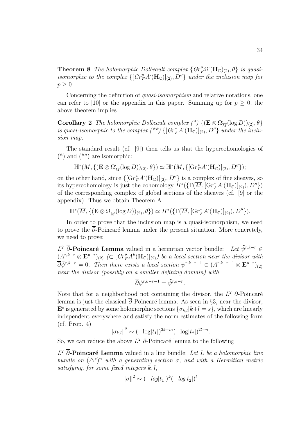**Theorem 8** The holomorphic Dolbeault complex  $\{Gr_F^p\Omega(\mathbf{H}_{\mathbb{C}})_{(2)}, \theta\}$  is quasiisomorphic to the complex  $\{[Gr_F^p A(\mathbf{H}_{\mathbb{C}})]_{(2)}, D''\}$  under the inclusion map for  $p \geq 0$ .

Concerning the definition of *quasi-isomorphism* and relative notations, one can refer to [10] or the appendix in this paper. Summing up for  $p \geq 0$ , the above theorem implies

**Corollary 2** The holomorphic Dolbeault complex  $({}^*)$  {( $\mathbf{E} \otimes \Omega_{\overline{M}}(\log D)_{(2)}, \theta$ } is quasi-isomorphic to the complex  $({}^{**})$  { $[Gr_F^*A(\mathbf{H}_{\mathbb{C}})]_{(2)}, D''$ } under the inclusion map.

The standard result (cf. [9]) then tells us that the hypercohomologies of  $(*)$  and  $(**)$  are isomorphic:

$$
\mathbb{H}^*(\overline{M}, \{(\mathbf{E}\otimes\Omega_{\overline{M}}(\log D))_{(2)}, \theta\}) \simeq \mathbb{H}^*(\overline{M}, \{[\mathrm{Gr}_F^*A^{\cdot}(\mathbf{H}_{\mathbb{C}})]_{(2)}, D''\});
$$

on the other hand, since  $\{[\mathrm{Gr}_F^* A(\mathbf{H}_{\mathbb{C}})]_{(2)}, D''\}$  is a complex of fine sheaves, so its hypercohomology is just the cohomology  $H^*(\{\Gamma(\overline{M},[\mathbf{Gr}_F^*A(\mathbf{H}_{\mathbb{C}})]_{(2)}),D''\})$ of the corresponding complex of global sections of the sheaves (cf. [9] or the appendix). Thus we obtain Theorem A

 $\mathbb{H}^*(\overline{M}, \{(\mathbf{E}\otimes\Omega_{\overline{M}}(\log D))_{(2)}, \theta\}) \simeq H^*(\{\Gamma(\overline{M},[\mathbf{Gr}_F^*A(\mathbf{H}_\mathbb{C})]_{(2)}), D''\}).$ 

In order to prove that the inclusion map is a quasi-isomorphism, we need to prove the  $\overline{\partial}$ -Poincaré lemma under the present situation. More concretely, we need to prove:

 $L^2$  **∂**-Poincaré Lemma valued in a hermitian vector bundle: Let  $\tilde{\psi}^{r,k-r}$  ∈  $(A^{r,k-r} \otimes \mathbf{E}^{p-r})_{(2)} \subset [Gr_F^p A^k(\mathbf{H}_{\mathbb{C}})]_{(2)}$  be a local section near the divisor with  $\overline{\partial}\tilde{\psi}^{r,k-r} = 0$ . Then there exists a local section  $\psi^{r,k-r-1} \in (A^{r,k-r-1} \otimes \mathbf{E}^{p-r})_{(2)}$ near the divisor (possibly on a smaller defining domain) with

$$
\overline{\partial}\psi^{r,k-r-1} = \tilde{\psi}^{r,k-r}.
$$

Note that for a neighborhood not containing the divisor, the  $L^2$  ∂-Poincaré lemma is just the classical  $\overline{\partial}$ -Poincaré lemma. As seen in §3, near the divisor,  $\mathbf{E}^s$  is generated by some holomorphic sections  $\{\sigma_k\}|k+l=s\}$ , which are linearly independent everywhere and satisfy the norm estimates of the following form (cf. Prop. 4)

$$
\|\sigma_{k,l}\|^2 \sim (-\log|t_1|)^{2k-m}(-\log|t_2|)^{2l-n}.
$$

So, we can reduce the above  $L^2$  ∂-Poincaré lemma to the following

 $L^2$   $\overline{\partial}$ **-Poincaré Lemma** valued in a line bundle: Let L be a holomorphic line bundle on  $(\Delta^*)^n$  with a generating section  $\sigma$ , and with a Hermitian metric satisfying, for some fixed integers  $k, l$ ,

$$
\|\sigma\|^2 \sim (-\log|t_1|)^k (-\log|t_2|)^l
$$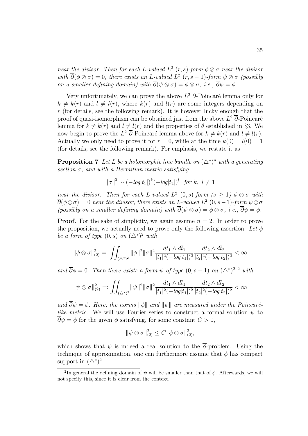near the divisor. Then for each L-valued  $L^2$  (r, s)-form  $\phi \otimes \sigma$  near the divisor with  $\overline{\partial}(\phi \otimes \sigma) = 0$ , there exists an L-valued  $\overline{L}^2$  (r, s - 1)-form  $\psi \otimes \sigma$  (possibly on a smaller defining domain) with  $\overline{\partial}(\psi \otimes \sigma) = \phi \otimes \sigma$ , i.e.,  $\overline{\partial}\psi = \phi$ .

Very unfortunately, we can prove the above  $L^2$  ∂-Poincaré lemma only for  $k \neq k(r)$  and  $l \neq l(r)$ , where  $k(r)$  and  $l(r)$  are some integers depending on  $r$  (for details, see the following remark). It is however lucky enough that the proof of quasi-isomorphism can be obtained just from the above  $L^2$  ∂-Poincaré lemma for  $k \neq k(r)$  and  $l \neq l(r)$  and the properties of  $\theta$  established in §3. We now begin to prove the  $L^2$  ∂-Poincaré lemma above for  $k \neq k(r)$  and  $l \neq l(r)$ . Actually we only need to prove it for  $r = 0$ , while at the time  $k(0) = l(0) = 1$ (for details, see the following remark). For emphasis, we restate it as

**Proposition 7** Let L be a holomorphic line bundle on  $(\Delta^*)^n$  with a generating section  $\sigma$ , and with a Hermitian metric satisfying

$$
\|\sigma\|^2 \sim (-\log|t_1|)^k (-\log|t_2|)^l \text{ for } k, l \neq 1
$$

near the divisor. Then for each L-valued  $L^2(0, s)$ -form  $(s \geq 1)$   $\phi \otimes \sigma$  with  $\overline{\partial}(\phi\otimes \sigma)=0$  near the divisor, there exists an L-valued  $L^2$  (0, s - 1)-form  $\psi\otimes \sigma$ (possibly on a smaller defining domain) with  $\overline{\partial}(\psi \otimes \sigma) = \phi \otimes \sigma$ , i.e.,  $\overline{\partial}\psi = \phi$ .

**Proof.** For the sake of simplicity, we again assume  $n = 2$ . In order to prove the proposition, we actually need to prove only the following assertion: Let  $\phi$ be a form of type  $(0, s)$  on  $(\triangle^*)^2$  with

$$
\|\phi\otimes\sigma\|_{(2)}^2=:\iint_{(\triangle^*)^2}\|\phi\|^2\|\sigma\|^2\frac{dt_1\wedge d\overline{t}_1}{|t_1|^2(-\log|t_1|)^2}\frac{dt_2\wedge d\overline{t}_2}{|t_2|^2(-\log|t_2|)^2}<\infty
$$

and  $\overline{\partial}\phi = 0$ . Then there exists a form  $\psi$  of type  $(0, s - 1)$  on  $(\Delta^*)^{2}$  with

$$
\|\psi\otimes \sigma\|_{(2)}^2=:\iint_{(\triangle^*)^2} \|\psi\|^2 \|\sigma\|^2 \frac{dt_1\wedge d\overline{t}_1}{|t_1|^2(-\log|t_1|)^2} \frac{dt_2\wedge d\overline{t}_2}{|t_2|^2(-\log|t_2|)^2}<\infty
$$

and  $\overline{\partial}\psi = \phi$ . Here, the norms  $\|\phi\|$  and  $\|\psi\|$  are measured under the Poincarélike metric. We will use Fourier series to construct a formal solution  $\psi$  to  $\overline{\partial}\psi = \phi$  for the given  $\phi$  satisfying, for some constant  $C > 0$ ,

$$
\|\psi \otimes \sigma\|_{(2)}^2 \le C \|\phi \otimes \sigma\|_{(2)}^2,
$$

which shows that  $\psi$  is indeed a real solution to the  $\overline{\partial}$ -problem. Using the technique of approximation, one can furthermore assume that  $\phi$  has compact support in  $(\Delta^*)^2$ .

<sup>&</sup>lt;sup>2</sup>In general the defining domain of  $\psi$  will be smaller than that of  $\phi$ . Afterwards, we will not specify this, since it is clear from the context.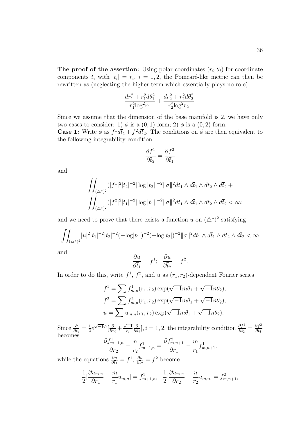$$
\frac{dr_1^2 + r_1^2 d\theta_1^2}{r_1^2 \log^2 r_1} + \frac{dr_2^2 + r_2^2 d\theta_2^2}{r_2^2 \log^2 r_2}.
$$

Since we assume that the dimension of the base manifold is 2, we have only two cases to consider: 1)  $\phi$  is a (0, 1)-form; 2)  $\phi$  is a (0, 2)-form.

**Case 1:** Write  $\phi$  as  $f^1 d\bar{t}_1 + f^2 d\bar{t}_2$ . The conditions on  $\phi$  are then equivalent to the following integrability condition

$$
\frac{\partial f^1}{\partial \overline{t}_2}=\frac{\partial f^2}{\partial \overline{t}_1}
$$

and

$$
\iint_{(\triangle^*)^2} (|f^1|^2 |t_2|^{-2} |\log |t_2||^{-2} ||\sigma||^2 dt_1 \wedge d\bar{t}_1 \wedge dt_2 \wedge d\bar{t}_2 +
$$
  

$$
\iint_{(\triangle^*)^2} (|f^2|^2 |t_1|^{-2} |\log |t_1||^{-2} ||\sigma||^2 dt_1 \wedge d\bar{t}_1 \wedge dt_2 \wedge d\bar{t}_2 < \infty;
$$

and we need to prove that there exists a function u on  $(\triangle^*)^2$  satisfying

$$
\iint_{(\Delta^*)^2} |u|^2 |t_1|^{-2} |t_2|^{-2} (-\log|t_1|)^{-2} (-\log|t_2|)^{-2} ||\sigma||^2 dt_1 \wedge d\bar{t}_1 \wedge dt_2 \wedge d\bar{t}_2 < \infty
$$

and

$$
\frac{\partial u}{\partial \overline{t}_1} = f^1; \quad \frac{\partial u}{\partial \overline{t}_2} = f^2.
$$

In order to do this, write  $f^1$ ,  $f^2$ , and u as  $(r_1, r_2)$ -dependent Fourier series

$$
f^{1} = \sum f_{m,n}^{1}(r_{1}, r_{2}) \exp(\sqrt{-1}m\theta_{1} + \sqrt{-1}n\theta_{2}),
$$
  
\n
$$
f^{2} = \sum f_{m,n}^{2}(r_{1}, r_{2}) \exp(\sqrt{-1}m\theta_{1} + \sqrt{-1}n\theta_{2}),
$$
  
\n
$$
u = \sum u_{m,n}(r_{1}, r_{2}) \exp(\sqrt{-1}m\theta_{1} + \sqrt{-1}n\theta_{2}).
$$

Since  $\frac{\partial}{\partial \bar{t}_i} = \frac{1}{2} e^{\sqrt{-1}\theta_i} \left[ \frac{\partial}{\partial r_i} + \frac{\sqrt{-1}}{r_i} \right]$ ∂  $\frac{\partial}{\partial \theta_i}$ ,  $i = 1, 2$ , the integrability condition  $\frac{\partial f^1}{\partial \overline{t}_2} = \frac{\partial f^2}{\partial \overline{t}_1}$ becomes  $\partial f^1_{m+1,n}$  $\partial r_2$  $-\frac{n}{n}$  $r<sub>2</sub>$  $f_{m+1,n}^1 = \frac{\partial f_{m,n+1}^2}{\partial x}$  $\partial r_1$  $-\frac{m}{2}$  $r_1$  $f_{m,n+1}^1;$ 

while the equations  $\frac{\partial u}{\partial \bar{t}_1} = f^1$ ,  $\frac{\partial u}{\partial \bar{t}_2} = f^2$  become

$$
\frac{1}{2} \left[ \frac{\partial u_{m,n}}{\partial r_1} - \frac{m}{r_1} u_{m,n} \right] = f_{m+1,n}^1, \quad \frac{1}{2} \left[ \frac{\partial u_{m,n}}{\partial r_2} - \frac{n}{r_2} u_{m,n} \right] = f_{m,n+1}^2,
$$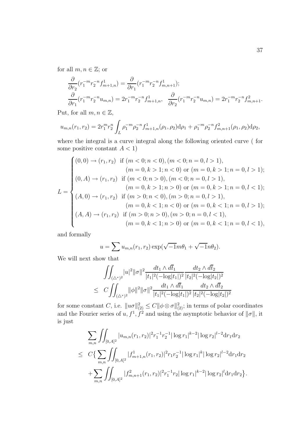for all  $m, n \in \mathbb{Z}$ ; or

$$
\frac{\partial}{\partial r_2} (r_1^{-m} r_2^{-n} f_{m+1,n}^1) = \frac{\partial}{\partial r_1} (r_1^{-m} r_2^{-n} f_{m,n+1}^1);
$$
\n
$$
\frac{\partial}{\partial r_1} (r_1^{-m} r_2^{-n} u_{m,n}) = 2r_1^{-m} r_2^{-n} f_{m+1,n}^1, \quad \frac{\partial}{\partial r_2} (r_1^{-m} r_2^{-n} u_{m,n}) = 2r_1^{-m} r_2^{-n} f_{m,n+1}^2.
$$

Put, for all  $m, n \in \mathbb{Z}$ ,

$$
u_{m,n}(r_1,r_2) = 2r_1^m r_2^n \int_L \rho_1^{-m} \rho_2^{-n} f_{m+1,n}^1(\rho_1,\rho_2) d\rho_1 + \rho_1^{-m} \rho_2^{-n} f_{m,n+1}^2(\rho_1,\rho_2) d\rho_2,
$$

where the integral is a curve integral along the following oriented curve ( for some positive constant  $A < 1$ )

$$
L = \begin{cases} (0,0) \rightarrow (r_1, r_2) & \text{if } (m < 0; n < 0), (m < 0; n = 0, l > 1), \\ (m = 0, k > 1; n < 0) & \text{or } (m = 0, k > 1; n = 0, l > 1); \\ (0, A) \rightarrow (r_1, r_2) & \text{if } (m < 0; n > 0), (m < 0; n = 0, l > 1), \\ (m = 0, k > 1; n > 0) & \text{or } (m = 0, k > 1; n = 0, l < 1); \\ (A, 0) \rightarrow (r_1, r_2) & \text{if } (m > 0; n < 0), (m > 0; n = 0, l > 1), \\ (m = 0, k < 1; n < 0) & \text{or } (m = 0, k < 1; n = 0, l > 1); \\ (A, A) \rightarrow (r_1, r_2) & \text{if } (m > 0; n > 0), (m > 0; n = 0, l < 1), \\ (m = 0, k < 1; n > 0) & \text{or } (m = 0, k < 1; n = 0, l < 1), \end{cases}
$$

and formally

$$
u = \sum u_{m,n}(r_1, r_2) \exp(\sqrt{-1}m\theta_1 + \sqrt{-1}n\theta_2).
$$

We will next show that

$$
\iint_{(\triangle^*)^2} |u|^2 ||\sigma||^2 \frac{dt_1 \wedge d\overline{t}_1}{|t_1|^2 (-\log|t_1|)^2} \frac{dt_2 \wedge d\overline{t}_2}{|t_2|^2 (-\log|t_2|)^2}
$$
  
\n
$$
\leq C \iint_{(\triangle^*)^2} ||\phi||^2 ||\sigma||^2 \frac{dt_1 \wedge d\overline{t}_1}{|t_1|^2 (-\log|t_1|)^2} \frac{dt_2 \wedge d\overline{t}_2}{|t_2|^2 (-\log|t_2|)^2}
$$

for some constant C, i.e.  $||u\sigma||_{(2)}^2 \leq C ||\phi \otimes \sigma||_{(2)}^2$ ; in terms of polar coordinates and the Fourier series of  $u, f<sup>1</sup>, f<sup>2</sup>$  and using the asymptotic behavior of  $\|\sigma\|$ , it is just

$$
\sum_{m,n} \iint_{[0,A]^2} |u_{m,n}(r_1,r_2)|^2 r_1^{-1} r_2^{-1} |\log r_1|^{k-2} |\log r_2|^{l-2} dr_1 dr_2
$$
\n
$$
\leq C \{ \sum_{m,n} \iint_{[0,A]^2} |f_{m+1,n}^1(r_1,r_2)|^2 r_1 r_2^{-1} |\log r_1|^k |\log r_2|^{l-2} dr_1 dr_2
$$
\n
$$
+ \sum_{m,n} \iint_{[0,A]^2} |f_{m,n+1}^2(r_1,r_2)|^2 r_1^{-1} r_2 |\log r_1|^{k-2} |\log r_2|^l dr_1 dr_2 \}.
$$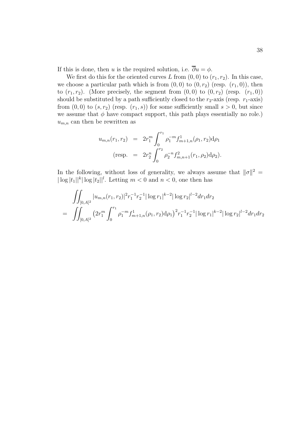If this is done, then u is the required solution, i.e.  $\overline{\partial}u = \phi$ .

We first do this for the oriented curves L from  $(0, 0)$  to  $(r_1, r_2)$ . In this case, we choose a particular path which is from  $(0, 0)$  to  $(0, r_2)$  (resp.  $(r_1, 0)$ ), then to  $(r_1, r_2)$ . (More precisely, the segment from  $(0, 0)$  to  $(0, r_2)$  (resp.  $(r_1, 0)$ ) should be substituted by a path sufficiently closed to the  $r_2$ -axis (resp.  $r_1$ -axis) from  $(0, 0)$  to  $(s, r_2)$  (resp.  $(r_1, s)$ ) for some sufficiently small  $s > 0$ , but since we assume that  $\phi$  have compact support, this path plays essentially no role.)  $u_{m,n}$  can then be rewritten as

$$
u_{m,n}(r_1, r_2) = 2r_1^m \int_0^{r_1} \rho_1^{-m} f_{m+1,n}^1(\rho_1, r_2) d\rho_1
$$
  
(resp. =  $2r_2^n \int_0^{r_2} \rho_2^{-n} f_{m,n+1}^2(r_1, \rho_2) d\rho_2$ ).

In the following, without loss of generality, we always assume that  $\|\sigma\|^2 =$  $|\log |t_1||^k |\log |t_2||^l$ . Letting  $m < 0$  and  $n < 0$ , one then has

$$
\iint_{[0,A]^2} |u_{m,n}(r_1,r_2)|^2 r_1^{-1} r_2^{-1} |\log r_1|^{k-2} |\log r_2|^{l-2} dr_1 dr_2
$$
\n
$$
= \iint_{[0,A]^2} \left( 2r_1^m \int_0^{r_1} \rho_1^{-m} f_{m+1,n}^1(\rho_1,r_2) d\rho_1 \right)^2 r_1^{-1} r_2^{-1} |\log r_1|^{k-2} |\log r_2|^{l-2} dr_1 dr_2
$$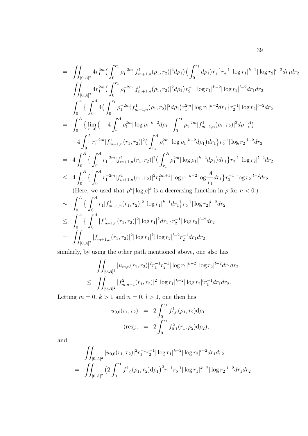$$
\begin{split}\n&= \iint_{[0,A]^2} 4r_1^{2m} \left( \int_0^{r_1} \rho_1^{-2m} |f_{m+1,n}^1(\rho_1, r_2)|^2 d\rho_1 \right) \left( \int_0^{r_1} d\rho_1 \right) r_1^{-1} r_2^{-1} |\log r_1|^{k-2} |\log r_2|^{l-2} dr_1 dr_2 \\
&= \iint_{[0,A]^2} 4r_1^{2m} \left( \int_0^{r_1} \rho_1^{-2m} |f_{m+1,n}^1(\rho_1, r_2)|^2 d\rho_1 \right) r_2^{-1} |\log r_1|^{k-2} |\log r_2|^{l-2} dr_1 dr_2 \\
&= \int_0^A \left\{ \int_0^A 4 \left( \int_0^{r_1} \rho_1^{-2m} |f_{m+1,n}^1(\rho_1, r_2)|^2 d\rho_1 \right) r_1^{2m} |\log r_1|^{k-2} dr_1 \right\} r_2^{-1} |\log r_2|^{l-2} dr_2 \\
&= \int_0^A \left\{ \lim_{\epsilon \to 0} \left( -4 \int_r^A \rho_1^{2m} |\log \rho_1|^{k-2} d\rho_1 \cdot \int_0^{r_1} \rho_1^{-2m} |f_{m+1,n}^1(\rho_1, r_2)|^2 d\rho_1 \right|_t^A \right) \\
&\quad + 4 \int_0^A r_1^{-2m} |f_{m+1,n}^1(r_1, r_2)|^2 \left( \int_{r_1}^A \rho_1^{2m} |\log \rho_1|^{k-2} d\rho_1 \right) dr_1 \right\} r_2^{-1} |\log r_2|^{l-2} dr_2 \\
&\leq 4 \int_0^A \left\{ \int_0^A r_1^{-2m} |f_{m+1,n}^1(r_1, r_2)|^2 \left( \int_{r_1}^A \rho_1^{2m} |\log \rho_1|^{k-2} d\rho_1 \right) dr_1 \right\} r_2^{-1} |\log r_2|^{l-2} dr_2 \\
&\quad \text{(Here, we used that } \rho^n |\log \rho|^k \text{ is a decreasing function in } \rho \text{ for } n < 0.) \\
&\sim \int_0^A \left\{ \int_0
$$

similarly, by using the other path mentioned above, one also has

$$
\iint_{[0,A]^2} |u_{m,n}(r_1,r_2)|^2 r_1^{-1} r_2^{-1} |\log r_1|^{k-2} |\log r_2|^{l-2} dr_1 dr_2
$$
  

$$
\leq \iint_{[0,A]^2} |f_{m,n+1}^2(r_1,r_2)|^2 |\log r_1|^{k-2} |\log r_2|^l r_1^{-1} dr_1 dr_2.
$$

Letting  $m = 0, k > 1$  and  $n = 0, l > 1$ , one then has

$$
u_{0,0}(r_1, r_2) = 2 \int_0^{r_1} f_{1,0}^1(\rho_1, r_2) d\rho_1
$$
  
(resp. =  $2 \int_0^{r_2} f_{0,1}^2(r_1, \rho_2) d\rho_2$ ),

and

$$
\iint_{[0,A]^2} |u_{0,0}(r_1,r_2)|^2 r_1^{-1} r_2^{-1} |\log r_1|^{k-2} |\log r_2|^{l-2} dr_1 dr_2
$$
\n
$$
= \iint_{[0,A]^2} \left(2 \int_0^{r_1} f_{1,0}^1(\rho_1,r_2) d\rho_1 \right)^2 r_1^{-1} r_2^{-1} |\log r_1|^{k-2} |\log r_2|^{l-2} dr_1 dr_2
$$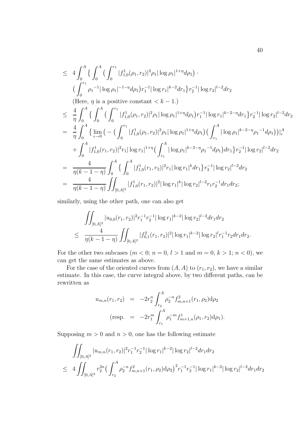$$
\leq 4 \int_0^A \left\{ \int_0^{\tau_1} |f_{1,0}^1(\rho_1, r_2)|^2 \rho_1 |\log \rho_1|^{1+\eta} d\rho_1 \right\} \cdot \left( \int_0^{r_1} \rho_1^{-1} |\log \rho_1|^{-1-\eta} d\rho_1 \right) r_1^{-1} |\log r_1|^{k-2} dr_1 \right\} r_2^{-1} |\log r_2|^{l-2} dr_2
$$
\n(Here,  $\eta$  is a positive constant  $\langle k - 1$ .)

\n
$$
\leq \frac{4}{\eta} \int_0^A \left\{ \int_0^A \left( \int_0^{r_1} |f_{1,0}^1(\rho_1, r_2)|^2 \rho_1 |\log \rho_1|^{1+\eta} d\rho_1 \right) r_1^{-1} |\log r_1|^{k-2-\eta} dr_1 \right\} r_2^{-1} |\log r_2|^{l-2} dr_2
$$
\n
$$
= \frac{4}{\eta} \int_0^A \left\{ \lim_{\epsilon \to 0} \left( - \left( \int_0^{r_1} |f_{1,0}^1(\rho_1, r_2)|^2 \rho_1 |\log \rho_1|^{1+\eta} d\rho_1 \right) \left( \int_{r_1}^A |\log \rho_1|^{k-2-\eta} \rho_1^{-1} d\rho_1 \right) \right) \right\}_\epsilon^A
$$
\n
$$
+ \int_0^A |f_{1,0}^1(r_1, r_2)|^2 r_1 |\log r_1|^{1+\eta} \left( \int_{r_1}^A |\log \rho_1|^{k-2-\eta} \rho_1^{-1} d\rho_1 \right) dr_1 \right\} r_2^{-1} |\log r_2|^{l-2} dr_2
$$
\n
$$
= \frac{4}{\eta(k-1-\eta)} \int_0^A \left\{ \int_0^A |f_{1,0}^1(r_1, r_2)|^2 r_1 |\log r_1|^{k} dr_1 \right\} r_2^{-1} |\log r_2|^{l-2} dr_2
$$
\n
$$
= \frac{4}{\eta(k-1-\eta)} \int_{[0,A]^2} |f_{1,0}^1(r_1, r_2)|^2 |\log r_1|^k |\log r_2|^{l-2
$$

similarly, using the other path, one can also get

$$
\iint_{[0,A]^2} |u_{0,0}(r_1,r_2)|^2 r_1^{-1} r_2^{-1} |\log r_1|^{k-2} |\log r_2|^{l-2} dr_1 dr_2
$$
  

$$
\leq \frac{4}{\eta(k-1-\eta)} \iint_{[0,A]^2} |f_{0,1}^2(r_1,r_2)|^2 |\log r_1|^{k-2} |\log r_2|^l r_1^{-1} r_2 dr_1 dr_2.
$$

For the other two subcases  $(m < 0; n = 0, l > 1$  and  $m = 0, k > 1; n < 0)$ , we can get the same estimates as above.

For the case of the oriented curves from  $(A, A)$  to  $(r_1, r_2)$ , we have a similar estimate. In this case, the curve integral above, by two different paths, can be rewritten as

$$
u_{m,n}(r_1, r_2) = -2r_2^n \int_{r_2}^A \rho_2^{-n} f_{m,n+1}^2(r_1, \rho_2) d\rho_2
$$
  
(resp. =  $-2r_1^m \int_{r_1}^A \rho_1^{-m} f_{m+1,n}^1(\rho_1, r_2) d\rho_1$ ).

Supposing  $m > 0$  and  $n > 0$ , one has the following estimate

$$
\iint_{[0,A]^2} |u_{m,n}(r_1,r_2)|^2 r_1^{-1} r_2^{-1} |\log r_1|^{k-2} |\log r_2|^{l-2} dr_1 dr_2
$$
  
\n
$$
\leq 4 \iint_{[0,A]^2} r_2^{2n} \left( \int_{r_2}^A \rho_2^{-n} f_{m,n+1}^2(r_1,\rho_2) d\rho_2 \right)^2 r_1^{-1} r_2^{-1} |\log r_1|^{k-2} |\log r_2|^{l-2} dr_1 dr_2
$$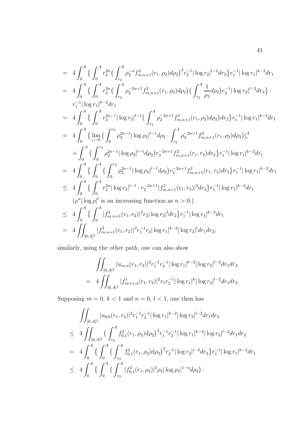$$
= 4 \int_0^A \left\{ \int_0^A r_2^{2n} \left( \int_{r_2}^A \rho_2^{-n} f_{m,n+1}^2(r_1, \rho_2) d\rho_2 \right)^2 r_2^{-1} |\log r_2|^{l-2} dr_2 \right\} r_1^{-1} |\log r_1|^{k-2} dr_1
$$
  
\n
$$
= 4 \int_0^A \left\{ \int_0^A r_2^{2n} \left( \int_{r_2}^A \rho_2^{-2n+1} f_{m,n+1}^2(r_1, \rho_2) d\rho_2 \right) \left( \int_{r_2}^A \frac{1}{\rho_2} d\rho_2 \right) r_2^{-1} |\log r_2|^{l-2} dr_2 \right\} \cdot r_1^{-1} |\log r_1|^{k-2} dr_1
$$
  
\n
$$
\sim 4 \int_0^A \left\{ \int_0^A r_2^{2n-1} |\log r_2|^{l-1} \left( \int_{r_2}^A \rho_2^{-2n+1} f_{m,n+1}^2(r_1, \rho_2) d\rho_2 \right) dr_2 \right\} r_1^{-1} |\log r_1|^{k-2} dr_1
$$
  
\n
$$
= 4 \int_0^A \left\{ \lim_{\epsilon \to 0} \left( \int_0^{r_2} \rho_2^{2n-1} |\log \rho_2|^{l-1} d\rho_2 \cdot \int_{r_2}^A \rho_2^{-2n+1} f_{m,n+1}^2(r_1, \rho_2) d\rho_2 \right) \right\}_\epsilon^A
$$
  
\n
$$
+ \int_0^A \left( \int_0^{r_2} \rho_2^{2n-1} |\log \rho_2|^{l-1} d\rho_2 \right) r_2^{-2n+1} f_{m,n+1}^2(r_1, r_2) dr_2 \right\} r_1^{-1} |\log r_1|^{k-2} dr_1
$$
  
\n
$$
= 4 \int_0^A \left\{ \int_0^A \left( \int_0^{r_2} \rho_2^{2n-1} |\log \rho_2|^{l-1} d\rho_2 \right) r_2^{-2n+1} f_{m,n+1}^2(r_1, r_2) dr_2 \right\} r_1^{-1}
$$

similarly, using the other path, one can also show

$$
\iint_{[0,A]^2} |u_{m,n}(r_1,r_2)|^2 r_1^{-1} r_2^{-1} |\log r_1|^{k-2} |\log r_2|^{l-2} dr_1 dr_2
$$
  
= 
$$
4 \iint_{[0,A]^2} |f_{m+1,n}^1(r_1,r_2)|^2 r_1 r_2^{-1} |\log r_1|^k |\log r_2|^{l-2} dr_1 dr_2.
$$

Supposing  $m = 0, k < 1$  and  $n = 0, l < 1$ , one then has

$$
\iint_{[0,A]^2} |u_{0,0}(r_1,r_2)|^2 r_1^{-1} r_2^{-1} |\log r_1|^{k-2} |\log r_2|^{l-2} dr_1 dr_2
$$
\n
$$
\leq 4 \iint_{[0,A]^2} \left( \int_{r_2}^A f_{0,1}^2(r_1,\rho_2) d\rho_2 \right)^2 r_1^{-1} r_2^{-1} |\log r_1|^{k-2} |\log r_2|^{l-2} dr_1 dr_2
$$
\n
$$
= 4 \int_0^A \left\{ \int_0^A \left( \int_{r_2}^A f_{0,1}^2(r_1,\rho_2) d\rho_2 \right)^2 r_2^{-1} |\log r_2|^{l-2} dr_2 \right\} r_1^{-1} |\log r_1|^{k-2} dr_1
$$
\n
$$
\leq 4 \int_0^A \left\{ \int_0^A \left( \int_{r_2}^A |f_{0,1}^2(r_1,\rho_2)|^2 \rho_2 |\log \rho_2|^{1-\eta} d\rho_2 \right) \right\}.
$$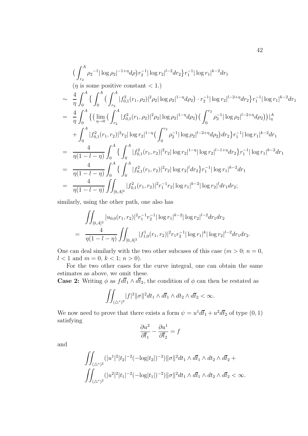$$
\begin{split}\n&\Big(\int_{r_2}^A \rho_2^{-1} |\log \rho_2|^{-1+\eta} d\rho\Big) r_2^{-1} |\log r_2|^{l-2} dr_2 \Big\} r_1^{-1} |\log r_1|^{k-2} dr_1 \\
&\quad \left(\eta \text{ is some positive constant} < 1.\right) \\
&\sim \frac{4}{\eta} \int_0^A \Big\{ \int_0^A \Big(\int_{r_2}^A |f_{0,1}^2(r_1, \rho_2)|^2 \rho_2 |\log \rho_2|^{1-\eta} d\rho_2\Big) \cdot r_2^{-1} |\log r_2|^{l-2+\eta} dr_2 \Big\} r_1^{-1} |\log r_1|^{k-2} dr_1 \\
&= \frac{4}{\eta} \int_0^A \Big\{ \Big(\lim_{\eta \to 0} \Big(\int_{r_2}^A |f_{0,1}^2(r_1, \rho_2)|^2 \rho_2 |\log \rho_2|^{1-\eta} d\rho_2\Big) \Big(\int_0^{r_2} \rho_2^{-1} |\log \rho_2|^{l-2+\eta} d\rho_2\Big) \Big)\Big|_{\eta}^A \\
&+ \int_0^A |f_{0,1}^2(r_1, r_2)|^2 r_2 |\log r_2|^{1-\eta} \Big(\int_0^{r_2} \rho_2^{-1} |\log \rho_2|^{l-2+\eta} d\rho_2\Big) dr_2 \Big\} r_1^{-1} |\log r_1|^{k-2} dr_1 \\
&= \frac{4}{\eta(1-l-\eta)} \int_0^A \Big\{ \int_0^A |f_{0,1}^2(r_1, r_2)|^2 r_2 |\log r_2|^{1-\eta} |\log r_2|^{l-1+\eta} dr_2 \Big\} r_1^{-1} |\log r_1|^{k-2} dr_1 \\
&= \frac{4}{\eta(1-l-\eta)} \int_0^A \Big\{ \int_0^A |f_{0,1}^2(r_1, r_2)|^2 r_2 |\log r_2|^l dr_2 \Big\} r_1^{-1} |\log r_1|^{k-2} dr_1 \\
&= \frac{4}{\eta(1-l-\eta)} \int_{[0,A]^2} |f_{0,1}^2(r_1, r_2)|^2 r_1^{-1} r_2 |\log r_1|^{k-2} |\log r_2|^l dr_1 dr_2 \\
&
$$

similarly, using the other path, one also has

$$
\iint_{[0,A]^2} |u_{0,0}(r_1,r_2)|^2 r_1^{-1} r_2^{-1} |\log r_1|^{k-2} |\log r_2|^{l-2} dr_1 dr_2
$$
  
= 
$$
\frac{4}{\eta(1-l-\eta)} \iint_{[0,A]^2} |f_{1,0}^1(r_1,r_2)|^2 r_1 r_2^{-1} |\log r_1|^k |\log r_2|^{l-2} dr_1 dr_2.
$$

One can deal similarly with the two other subcases of this case  $(m > 0; n = 0,$  $l < 1$  and  $m = 0, k < 1; n > 0$ .

For the two other cases for the curve integral, one can obtain the same estimates as above, we omit these.

**Case 2:** Writing  $\phi$  as  $fd\bar{t}_1 \wedge d\bar{t}_2$ , the condition of  $\phi$  can then be restated as

$$
\iint_{(\triangle^*)^2} |f|^2 \|\sigma\|^2 dt_1 \wedge d\overline{t}_1 \wedge dt_2 \wedge d\overline{t}_2 < \infty.
$$

We now need to prove that there exists a form  $\psi = u^1 d\overline{t}_1 + u^2 d\overline{t}_2$  of type  $(0, 1)$ satisfying

$$
\frac{\partial u^2}{\partial \overline{t}_1} - \frac{\partial u^1}{\partial \overline{t}_2} = f
$$

and

$$
\iint_{(\triangle^*)^2} (|u^1|^2 |t_2|^{-2} (-\log|t_2|)^{-2}) ||\sigma||^2 dt_1 \wedge d\bar{t}_1 \wedge dt_2 \wedge d\bar{t}_2 +
$$
  

$$
\iint_{(\triangle^*)^2} (|u^2|^2 |t_1|^{-2} (-\log|t_1|)^{-2}) ||\sigma||^2 dt_1 \wedge d\bar{t}_1 \wedge dt_2 \wedge d\bar{t}_2 < \infty.
$$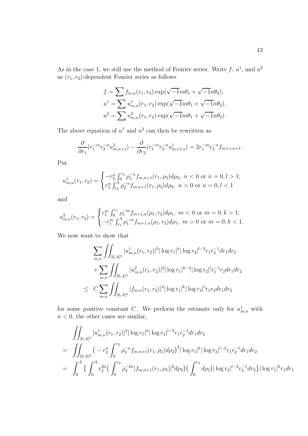As in the case 1, we still use the method of Fourier series. Write  $f, u^1$ , and  $u^2$ as  $(r_1, r_2)$ -dependent Fourier series as follows

$$
f = \sum f_{m,n}(r_1, r_2) \exp(\sqrt{-1}m\theta_1 + \sqrt{-1}n\theta_2),
$$
  
\n
$$
u^1 = \sum u_{m,n}^1(r_1, r_2) \exp(\sqrt{-1}m\theta_1 + \sqrt{-1}n\theta_2),
$$
  
\n
$$
u^2 = \sum u_{m,n}^2(r_1, r_2) \exp(\sqrt{-1}m\theta_1 + \sqrt{-1}n\theta_2).
$$

The above equation of  $u^1$  and  $u^2$  can then be rewritten as

$$
\frac{\partial}{\partial r_1}(r_1^{-m}r_2^{-n}u_{m,n+1}^2) - \frac{\partial}{\partial r_2}(r_1^{-m}r_2^{-n}u_{m+1,n}^1) = 2r_1^{-m}r_2^{-n}f_{m+1,n+1}.
$$

Put

$$
u_{m,n}^1(r_1, r_2) = \begin{cases} -r_2^n \int_0^{r_2} \rho_2^{-n} f_{m,n+1}(r_1, \rho_2) d\rho_2, & n < 0 \text{ or } n = 0, l > 1; \\ r_2^n \int_{r_2}^A \rho_2^{-n} f_{m,n+1}(r_1, \rho_2) d\rho_2, & n > 0 \text{ or } n = 0, l < 1 \end{cases}
$$

and

$$
u_{m,n}^2(r_1, r_2) = \begin{cases} r_1^m \int_0^{r_1} \rho_1^{-m} f_{m+1,n}(\rho_1, r_2) d\rho_1, & m < 0 \text{ or } m = 0, k > 1; \\ -r_1^m \int_{r_1}^A \rho_1^{-m} f_{m+1,n}(\rho_1, r_2) d\rho_1, & m > 0 \text{ or } m = 0, k < 1. \end{cases}
$$

We now want to show that

$$
\sum_{m,n} \iint_{[0,A]^2} |u^1_{m,n}(r_1,r_2)|^2 |\log r_1|^k |\log r_2|^{l-2} r_1 r_2^{-1} dr_1 dr_2
$$
  
+
$$
\sum_{m,n} \iint_{[0,A]^2} |u^2_{m,n}(r_1,r_2)|^2 |\log r_1|^{k-2} |\log r_2|^l r_1^{-1} r_2 dr_1 dr_2
$$
  

$$
\leq C \sum_{m,n} \iint_{[0,A]^2} |f_{m,n}(r_1,r_2)|^2 |\log r_1|^k |\log r_2|^l r_1 r_2 dr_1 dr_2
$$

for some positive constant C. We perform the estimate only for  $u_{m,n}^1$  with  $n < 0$ , the other cases are similar,

$$
\iint_{[0,A]^2} |u^1_{m,n}(r_1,r_2)|^2 |\log r_1|^k |\log r_2|^{l-2} r_1 r_2^{-1} dr_1 dr_2
$$
\n
$$
= \iint_{[0,A]^2} \left( -r_2^n \int_0^{r_2} \rho_2^{-n} f_{m,n+1}(r_1,\rho_2) d\rho_2 \right)^2 |\log r_1|^k |\log r_2|^{l-2} r_1 r_2^{-1} dr_1 dr_2
$$
\n
$$
= \int_0^A \left\{ \int_0^A r_2^{2n} \left( \int_0^{r_2} \rho_2^{-2n} |f_{m,n+1}(r_1,\rho_2)|^2 d\rho_2 \right) \left( \int_0^{r_2} d\rho_2 \right) |\log r_2|^{l-2} r_2^{-1} dr_2 \right\} |\log r_1|^k r_1 dr_1
$$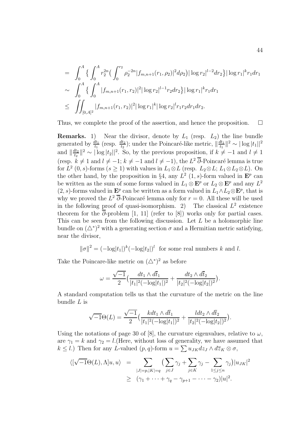$$
= \int_0^A \left\{ \int_0^A r_2^{2n} \left( \int_0^{r_2} \rho_2^{-2n} |f_{m,n+1}(r_1, \rho_2)|^2 d\rho_2 \right) |\log r_2|^{l-2} dr_2 \right\} |\log r_1|^{k} r_1 dr_1
$$
  
\n
$$
\sim \int_0^A \left\{ \int_0^A |f_{m,n+1}(r_1, r_2)|^2 |\log r_2|^{l-1} r_2 dr_2 \right\} |\log r_1|^{k} r_1 dr_1
$$
  
\n
$$
\leq \iint_{[0,A]^2} |f_{m,n+1}(r_1, r_2)|^2 |\log r_1|^k |\log r_2|^l r_1 r_2 dr_1 dr_2.
$$

Thus, we complete the proof of the assertion, and hence the proposition.  $\Box$ 

**Remarks.** 1) Near the divisor, denote by  $L_1$  (resp.  $L_2$ ) the line bundle generated by  $\frac{dt_1}{t_1}$  (resp.  $\frac{dt_2}{t_2}$ ); under the Poincaré-like metric,  $\|\frac{dt_1}{t_1}\|^2 \sim |\log|t_1||^2$ and  $\left|\frac{dt_2}{t_2}\right|^2 \sim |\log |t_2||^2$ . So, by the previous proposition, if  $k \neq -1$  and  $l \neq 1$ (resp.  $k \neq 1$  and  $l \neq -1$ ;  $k \neq -1$  and  $l \neq -1$ ), the  $L^2 \overline{\partial}$ -Poincaré lemma is true for  $L^2$  (0, s)-forms  $(s \ge 1)$  with values in  $L_1 \otimes L$  (resp.  $L_2 \otimes L$ ;  $L_1 \otimes L_2 \otimes L$ ). On the other hand, by the proposition in §4, any  $L^2$  (1, s)-form valued in  $\mathbf{E}^p$  can be written as the sum of some forms valued in  $L_1 \otimes \mathbf{E}^p$  or  $L_2 \otimes \mathbf{E}^p$  and any  $L^2$ (2, s)-forms valued in  $\mathbf{E}^p$  can be written as a form valued in  $L_1 \wedge L_2 \otimes \mathbf{E}^p$ , that is why we proved the  $L^2$   $\overline{\partial}$ -Poincaré lemma only for  $r = 0$ . All these will be used in the following proof of quasi-isomorphism. 2) The classical  $L^2$  existence theorem for the  $\overline{\partial}$ -problem [1, 11] (refer to [8]) works only for partial cases. This can be seen from the following discussion. Let  $L$  be a holomorphic line bundle on  $(\Delta^*)^2$  with a generating section  $\sigma$  and a Hermitian metric satisfying, near the divisor,

$$
\|\sigma\|^2 = (-\log|t_1|)^k (-\log|t_2|)^l
$$
 for some real numbers k and l.

Take the Poincare-like metric on  $(\triangle^*)^2$  as before

$$
\omega = \frac{\sqrt{-1}}{2} \Big( \frac{dt_1 \wedge d\overline{t}_1}{|t_1|^2 (-\log |t_1|)^2} + \frac{dt_2 \wedge d\overline{t}_2}{|t_2|^2 (-\log |t_2|)^2} \Big).
$$

A standard computation tells us that the curvature of the metric on the line bundle  $L$  is

$$
\sqrt{-1}\Theta(L) = \frac{\sqrt{-1}}{2} \left( \frac{kdt_1 \wedge d\overline{t}_1}{|t_1|^2(-\log|t_1|)^2} + \frac{ldt_2 \wedge d\overline{t}_2}{|t_2|^2(-\log|t_2|)^2} \right).
$$

Using the notations of page 30 of [8], the curvature eigenvalues, relative to  $\omega$ , are  $\gamma_1 = k$  and  $\gamma_2 = l$ . (Here, without loss of generality, we have assumed that  $k \leq l$ .) Then for any L-valued  $(p, q)$ -form  $u = \sum u_{JK} dz_J \wedge d\overline{z}_K \otimes \sigma$ ,

$$
\langle [\sqrt{-1}\Theta(L), \Lambda]u, u \rangle = \sum_{|J|=p, |K|=q} \left( \sum_{j \in J} \gamma_j + \sum_{j \in K} \gamma_j - \sum_{1 \le j \le n} \gamma_j \right) |u_{JK}|^2
$$
  
 
$$
\ge (\gamma_1 + \dots + \gamma_q - \gamma_{p+1} - \dots - \gamma_2)|u|^2.
$$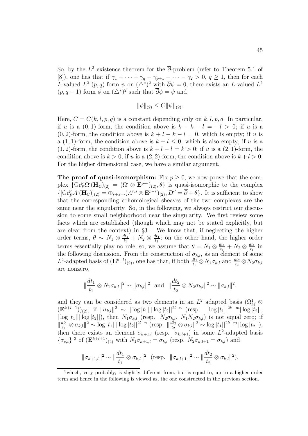So, by the  $L^2$  existence theorem for the  $\overline{\partial}$ -problem (refer to Theorem 5.1 of [8]), one has that if  $\gamma_1 + \cdots + \gamma_q - \gamma_{p+1} - \cdots - \gamma_2 > 0, q \ge 1$ , then for each L-valued  $L^2(p,q)$  form  $\psi$  on  $(\triangle^*)^2$  with  $\overline{\partial}\psi=0$ , there exists an L-valued  $L^2$  $(p, q - 1)$  form  $\phi$  on  $(\triangle^*)^2$  such that  $\overline{\partial}\phi = \psi$  and

$$
\|\phi\|_{(2)} \le C \|\psi\|_{(2)}.
$$

Here,  $C = C(k, l, p, q)$  is a constant depending only on k, l, p, q. In particular, if u is a  $(0, 1)$ -form, the condition above is  $k - k - l = -l > 0$ ; if u is a (0, 2)-form, the condition above is  $k + l - k - l = 0$ , which is empty; if u is a (1, 1)-form, the condition above is  $k - l \leq 0$ , which is also empty; if u is a  $(1, 2)$ -form, the condition above is  $k + l - l = k > 0$ ; if u is a  $(2, 1)$ -form, the condition above is  $k > 0$ ; if u is a  $(2, 2)$ -form, the condition above is  $k+l > 0$ . For the higher dimensional case, we have a similar argument.

**The proof of quasi-isomorphism:** Fix  $p \geq 0$ , we now prove that the complex  $\{ \text{Gr}_F^p \Omega^{\cdot} (\mathbf{H}_{\mathbb{C}})_{(2)} = (\Omega \otimes \mathbf{E}^{p-1})_{(2)}, \theta \}$  is quasi-isomorphic to the complex  $\{[\text{Gr}_F^p A(\mathbf{H}_{\mathbb{C}})]_{(2)} = \bigoplus_{r+s=1}^r (A^{r,s} \otimes \mathbf{E}^{p-r})_{(2)}, D'' = \overline{\partial} + \theta\}.$  It is sufficient to show that the corresponding cohomological sheaves of the two complexes are the same near the singularity. So, in the following, we always restrict our discussion to some small neighborhood near the singularity. We first review some facts which are established (though which may not be stated explicitly, but are clear from the context) in §3 . We know that, if neglecting the higher order terms,  $\theta \sim N_1 \otimes \frac{dt_1}{t_1} + N_2 \otimes \frac{dt_1}{t_1}$ ; on the other hand, the higher order terms essentially play no role, so, we assume that  $\theta = N_1 \otimes \frac{dt_1}{t_1} + N_2 \otimes \frac{dt_1}{t_1}$  in the following discussion. From the construction of  $\sigma_{k,l}$ , as an element of some L<sup>2</sup>-adapted basis of  $(\mathbf{E}^{k+l})_{(2)}$ , one has that, if both  $\frac{dt_1}{t_1} \otimes N_1 \sigma_{k,l}$  and  $\frac{dt_2}{t_2} \otimes N_2 \sigma_{k,l}$ are nonzero,

$$
\|\frac{dt_1}{t_1}\otimes N_1\sigma_{k,l}\|^2 \sim \|\sigma_{k,l}\|^2 \text{ and } \|\frac{dt_2}{t_2}\otimes N_2\sigma_{k,l}\|^2 \sim \|\sigma_{k,l}\|^2,
$$

and they can be considered as two elements in an  $L^2$  adapted basis  $(\Omega_M^1 \otimes$  $(\mathbf{E}^{k+l-1})_{(2)}$ ; if  $\|\sigma_{k,l}\|^2 \sim |\log|t_1||| \log|t_2||^{2l-n}$  (resp.  $|\log|t_1||^{2k-m} |\log|t_2||$ ,  $|\log |t_1||| \log |t_2||$ , then  $N_1 \sigma_{k,l}$  (resp.  $N_2 \sigma_{k,l}$ ,  $N_1 N_2 \sigma_{k,l}$ ) is not equal zero; if  $\|\frac{dt_1}{t_1}\otimes \sigma_{k,l}\|^2 \sim \log|t_1|| |\log|t_2||^{2l-n}$  (resp.  $\|\frac{dt_2}{t_2}\otimes \sigma_{k,l}\|^2 \sim \log|t_1||^{2k-m} |\log|t_2||$ ), then there exists an element  $\sigma_{k+1,l}$  (resp.  $\sigma_{k,l+1}$ ) in some  $L^2$ -adapted basis  ${\{\sigma_{s,t}\}}$ <sup>3</sup> of  $(\mathbf{E}^{k+l+1})_{(2)}$  with  $N_1 \sigma_{k+1,l} = \sigma_{k,l}$  (resp.  $N_2 \sigma_{k,l+1} = \sigma_{k,l}$ ) and

$$
\|\sigma_{k+1,l}\|^2 \sim \|\frac{dt_1}{t_1} \otimes \sigma_{k,l}\|^2 \ \ (\text{resp.} \ \ \|\sigma_{k,l+1}\|^2 \sim \|\frac{dt_2}{t_2} \otimes \sigma_{k,l}\|^2).
$$

<sup>3</sup>which, very probably, is slightly different from, but is equal to, up to a higher order term and hence in the following is viewed as, the one constructed in the previous section.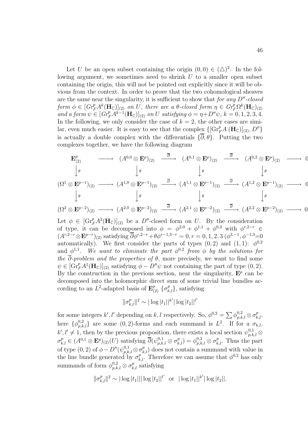Let U be an open subset containing the origin  $(0,0) \in (\triangle)^2$ . In the following argument, we sometimes need to shrink  $U$  to a smaller open subset containing the origin, this will not be pointed out explicitly since it will be obvious from the context. In order to prove that the two cohomological sheaves are the same near the singularity, it is sufficient to show that for any  $D''$ -closed form  $\phi \in [Gr_F^p A^k(\mathbf{H}_{\mathbb{C}})]_{(2)}$  on U, there are a  $\theta$ -closed form  $\eta \in Gr_F^p \Omega^k(\mathbf{H}_{\mathbb{C}})_{(2)}$ and a form  $\psi \in [Gr_F^p A^{k-1}(\mathbf{H}_{\mathbb{C}})]_{(2)}$  on U satisfying  $\phi = \eta + D''\psi$ ,  $k = 0, 1, 2, 3, 4$ . In the following, we only consider the case of  $k = 2$ , the other cases are similar, even much easier. It is easy to see that the complex  $\{[\text{Gr}_F^p A^{\cdot}(\mathbf{H}_{\mathbb{C}})]_{(2)}, D''\}$ is actually a double complex with the differentials  $\{\overline{\partial}, \theta\}$ . Putting the two complexes together, we have the following diagram

$$
\begin{array}{ccccccc}\n\mathbf{E}^{p}_{(2)} & \longrightarrow & (A^{0,0} \otimes \mathbf{E}^{p})_{(2)} & \stackrel{\overline{\partial}}{\longrightarrow} & (A^{0,1} \otimes \mathbf{E}^{p})_{(2)} & \stackrel{\overline{\partial}}{\longrightarrow} & (A^{0,2} \otimes \mathbf{E}^{p})_{(2)} & \longrightarrow & 0 \\
\downarrow \theta & & \downarrow \theta & & \downarrow \theta & & \downarrow \theta & & \downarrow \theta \\
(\Omega^{1} \otimes \mathbf{E}^{p-1})_{(2)} & \longrightarrow & (A^{1,0} \otimes \mathbf{E}^{p-1})_{(2)} & \stackrel{\overline{\partial}}{\longrightarrow} & (A^{1,1} \otimes \mathbf{E}^{p-1})_{(2)} & \stackrel{\overline{\partial}}{\longrightarrow} & (A^{1,2} \otimes \mathbf{E}^{p-1})_{(2)} & \longrightarrow & 0 \\
\downarrow \theta & & \downarrow \theta & & \downarrow \theta & & \downarrow \theta & & \downarrow \theta & & \downarrow \theta\n\end{array}
$$

$$
(\Omega^2 \otimes \mathbf{E}^{p-2})_{(2)} \longrightarrow (A^{2,0} \otimes \mathbf{E}^{p-2})_{(2)} \longrightarrow (A^{2,1} \otimes \mathbf{E}^{p-2})_{(2)} \longrightarrow (A^{2,2} \otimes \mathbf{E}^{p-2})_{(2)} \longrightarrow 0
$$

Let  $\phi \in [\mathrm{Gr}_F^p A^2(\mathbf{H}_\mathbb{C})]_{(2)}$  be a D''-closed form on U. By the consideration of type, it can be decomposed into  $\phi = \phi^{2,0} + \phi^{1,1} + \phi^{0,2}$  with  $\phi^{r,2-r} \in$  $(A^{r,2-r}\otimes \mathbf{E}^{p-r})_{(2)}$  satisfying  $\overline{\partial}\phi^{r,2-r}+\theta\phi^{r-1,3-r}=0, r=0,1,2,3$   $(\phi^{3,-1},\phi^{-1,3}=0)$ automatically). We first consider the parts of types  $(0, 2)$  and  $(1, 1)$ :  $\phi^{0,2}$ and  $\phi^{1,1}$ . We want to eliminate the part  $\phi^{0,2}$  from  $\phi$  by the solutions for the  $\overline{\partial}$ -problem and the properties of  $\theta$ , more precisely, we want to find some  $\psi \in [Gr_F^p A^1(\mathbf{H}_{\mathbb{C}})]_{(2)}$  satisfying  $\phi - D''\psi$  not containing the part of type  $(0, 2)$ . By the construction in the previous section, near the singularity,  $\mathbf{E}^p$  can be decomposed into the holomorphic direct sum of some trivial line bundles according to an  $L^2$ -adapted basis of  $\mathbf{E}_{(2)}^p$   $\{\sigma_{k,l}^p\}$ , satisfying

$$
\|\sigma_{k,l}^p\|^2 \sim |\log|t_1||^{k'}|\log|t_2||^{l'}
$$

for some integers k', l' depending on k, l respectively. So,  $\phi^{0,2} = \sum \phi^{0,2}_{n,k,l} \otimes \sigma^p_{k,l}$ , here  $\{\phi_{p,k,l}^{0,2}\}$  are some  $(0, 2)$ -forms and each summand is  $L^2$ . If for a  $\sigma_{k,l}$ ,  $k', l' \neq 1$ , then by the previous proposition, there exists a local section  $\psi_{n,k,l}^{0,1} \otimes$  $\sigma_{k,l}^p \in (A^{0,1} \otimes \mathbf{E}^p)_{(2)}(U)$  satisfying  $\overline{\partial}(\psi_{p,k,l}^{0,1} \otimes \sigma_{k,l}^p) = \phi_{p,k,l}^{0,2} \otimes \sigma_{k,l}^p$ . Thus the part of type  $(0, 2)$  of  $\phi - D''(\psi_{n,k,l}^{0,1} \otimes \sigma_{k,l}^p)$  does not contain a summand with value in the line bundle generated by  $\sigma_{k,l}^{p}$ . Therefore we can assume that  $\phi^{0,2}$  has only summands of form  $\phi_{n,k,l}^{0,2} \otimes \sigma_{k,l}^p$  satisfying

$$
\|\sigma_{k,l}^p\|^2 \sim |\log|t_1|| |\log|t_2||^{l'} \text{ or } |\log|t_1||^{k'} |\log|t_2||.
$$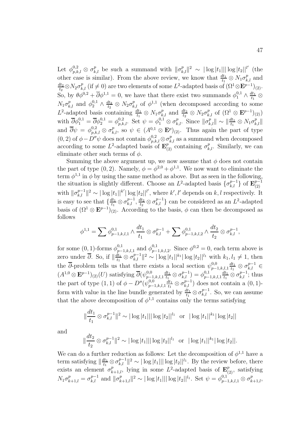Let  $\phi_{p,k,l}^{0,2} \otimes \sigma_{k,l}^p$  be such a summand with  $\|\sigma_{k,l}^p\|^2 \sim |\log|t_1|| |\log|t_2||^{l'}$  (the other case is similar). From the above review, we know that  $\frac{dt_1}{t_1} \otimes N_1 \sigma_{k,l}^p$  and  $\frac{dt_2}{t_2} \otimes N_2 \sigma_{k,l}^p$  (if  $\neq 0$ ) are two elements of some L<sup>2</sup>-adapted basis of  $(\Omega^1 \otimes \mathbf{E}^{p-1})_{(2)}$ . So, by  $\theta \phi^{0,2} + \overline{\partial} \phi^{1,1} = 0$ , we have that there exist two summands  $\phi_1^{0,1} \wedge \frac{dt_1}{t_1} \otimes$  $N_1\sigma_{k,l}^p$  and  $\phi_2^{0,1}\wedge \frac{dt_2}{t_2}\otimes N_2\sigma_{k,l}^p$  of  $\phi^{1,1}$  (when decomposed according to some  $L^2$ -adapted basis containing  $\frac{dt_1}{t_1} \otimes N_1 \sigma_{k,l}^p$  and  $\frac{dt_2}{t_2} \otimes N_2 \sigma_{k,l}^p$  of  $(\Omega^1 \otimes \mathbf{E}^{p-1})_{(2)})$ with  $\overline{\partial}\phi_1^{0,1} = \overline{\partial}\phi_2^{0,1} = \phi_{p,k,l}^{0,2}$ . Set  $\psi = \phi_1^{0,1} \otimes \sigma_{k,l}^p$ . Since  $\|\sigma_{k,l}^p\| \sim \|\frac{dt_1}{t_1} \otimes N_1 \sigma_{k,l}^p\|$ and  $\overline{\partial}\psi = \phi_{p,k,l}^{0,2} \otimes \sigma_{k,l}^p$ , so  $\psi \in (A^{0,1} \otimes \mathbf{E}^p)_{(2)}$ . Thus again the part of type  $(0, 2)$  of  $\phi - D''\psi$  does not contain  $\phi_{n,k,l}^{0,2} \otimes \sigma_{k,l}^p$  as a summand when decomposed according to some  $L^2$ -adapted basis of  $\mathbf{E}_{(2)}^{p^{k,l}}$  containing  $\sigma_{k,l}^p$ . Similarly, we can eliminate other such terms of  $\phi$ .

Summing the above argument up, we now assume that  $\phi$  does not contain the part of type (0, 2). Namely,  $\phi = \phi^{2,0} + \phi^{1,1}$ . We now want to eliminate the term  $\phi^{1,1}$  in  $\phi$  by using the same method as above. But as seen in the following, the situation is slightly different. Choose an  $L^2$ -adapted basis  $\{\sigma_{k,l}^{p-1}\}$  of  $\mathbf{E}_{(2)}^{p-1}$ with  $\|\sigma_{k,l}^{p-1}\|^2 \sim |\log|t_1||^{k'}|\log|t_2||^{l'}$ , where k', l' depends on k, l respectively. It is easy to see that  $\{\frac{dt_1}{t_1} \otimes \sigma_{k,l}^{p-1}, \frac{dt_2}{t_2} \otimes \sigma_{k,l}^{p-1}\}$  can be considered as an  $L^2$ -adapted basis of  $(\Omega^1 \otimes \mathbf{E}^{p-1})_{(2)}$ . According to the basis,  $\phi$  can then be decomposed as follows

$$
\phi^{1,1} = \sum \phi^{0,1}_{p-1,k,l,1} \wedge \frac{dt_1}{t_1} \otimes \sigma^{p-1}_{k,l} + \sum \phi^{0,1}_{p-1,k,l,2} \wedge \frac{dt_2}{t_2} \otimes \sigma^{p-1}_{k,l},
$$

for some  $(0,1)$ -forms  $\phi_{p-1,k,l,1}^{0,1}$  and  $\phi_{p-1,k,l,2}^{0,1}$ . Since  $\phi_{p-1,k,l,2}^{0,2} = 0$ , each term above is zero under  $\overline{\partial}$ . So, if  $\|\frac{dt_1}{t_1}\otimes \sigma_{k,l}^{p-1}\|^2 \sim |\log |t_1||^{k_1} |\log |t_2||^{l_1}$  with  $k_1, l_1 \neq 1$ , then the  $\overline{\partial}$ -problem tells us that there exists a local section  $\psi_{p-1,k,l,1}^{0,0}$  $\frac{dt_1}{t_1} \otimes \sigma_{k,l}^{p-1} \in$  $(A^{1,0}\otimes \mathbf{E}^{p-1})_{(2)}(U)$  satisfying  $\overline{\partial}(\psi^{0,0}_{p-1,k,l,1})$  $\frac{dt_1}{t_1}\otimes\sigma^{p-1}_{k,l})=\phi^{0,1}_{p-1,k,l,1}$  $\frac{dt_1}{t_1} \otimes \sigma_{k,l}^{p-1}$ ; thus the part of type  $(1, 1)$  of  $\phi - D''(\psi_{p-1,k,l,1}^{0,0)}$  $\frac{dt_1}{t_1} \otimes \sigma_{k,l}^{p-1}$  does not contain a  $(0, 1)$ form with value in the line bundle generated by  $\frac{dt_1}{t_1} \otimes \sigma_{k,l}^{p-1}$ . So, we can assume that the above decomposition of  $\phi^{1,1}$  contains only the terms satisfying

$$
\|\frac{dt_1}{t_1}\otimes\sigma_{k,l}^{p-1}\|^2 \sim |\log|t_1|||\log|t_2||^{l_1} \text{ or } |\log|t_1||^{k_1}|\log|t_2||
$$

and

$$
\|\frac{dt_2}{t_2}\otimes\sigma_{k,l}^{p-1}\|^2\sim|\log|t_1|||\log|t_2||^{l_1}\ \ \text{or}\ \ |\log|t_1||^{k_1}|\log|t_2||.
$$

We can do a further reduction as follows: Let the decomposition of  $\phi^{1,1}$  have a term satisfying  $\|\frac{dt_1}{t_1} \otimes \sigma_{k,l}^{p-1}\|^2 \sim |\log|t_1|| |\log|t_2||^{l_1}$ . By the review before, there exists an element  $\sigma_{k+1,l}^p$ , lying in some  $L^2$ -adapted basis of  $\mathbf{E}_{(2)}^p$ , satisfying  $N_1 \sigma_{k+1,l}^p = \sigma_{k,l}^{p-1}$  and  $\|\sigma_{k+1,l}^p\|^2 \sim |\log|t_1|| |\log|t_2||^{l_1}$ . Set  $\psi = \phi_{p-1,k,l,1}^{0,1} \otimes \sigma_{k+1,l}^p$ ,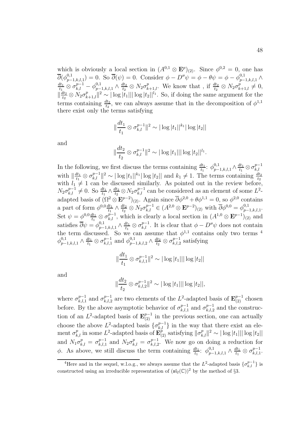which is obviously a local section in  $(A^{0,1} \otimes \mathbf{E}^p)_{(2)}$ . Since  $\phi^{0,2} = 0$ , one has  $\overline{\partial}(\phi_{p-1,k,l,1}^{0,1}) = 0.$  So  $\overline{\partial}(\psi) = 0.$  Consider  $\phi - D''\psi = \phi - \theta \psi = \phi - \phi_{p-1,k,l,1}^{0,1} \wedge \frac{dt_1}{t_1} \otimes \sigma_{k,l}^{p-1} - \phi_{p-1,k,l,1}^{0,1} \wedge \frac{dt_2}{t_2} \otimes N_2 \sigma_{k+1,l}^p$ . We know that, if  $\frac{dt_2}{t_2} \otimes N_2 \sigma_{k+1,l}^p \neq 0$  $\|\frac{dt_2}{t_2}\otimes N_2\sigma_{k+1,l}^p\|^2 \sim |\log|t_1|||\log|t_2||^{l_1}$ . So, if doing the same argument for the terms containing  $\frac{dt_2}{t_2}$ , we can always assume that in the decomposition of  $\phi^{1,1}$ there exist only the terms satisfying

$$
\|\frac{dt_1}{t_1}\otimes\sigma_{k,l}^{p-1}\|^2\sim|\log|t_1||^{k_1}|\log|t_2||
$$

and

$$
\|\frac{dt_2}{t_2}\otimes\sigma_{k,l}^{p-1}\|^2\sim|\log|t_1|||\log|t_2||^{l_1}.
$$

In the following, we first discuss the terms containing  $\frac{dt_1}{t_1}$ :  $\phi_{p-1,k,l,1}^{0,1} \wedge \frac{dt_1}{t_1} \otimes \sigma_{k,l}^{p-1}$ with  $\|\frac{dt_1}{t_1}\otimes \sigma_{k,l}^{p-1}\|^2 \sim |\log|t_1||^{k_1}|\log|t_2||$  and  $k_1\neq 1$ . The terms containing  $\frac{dt_2}{t_2}$ with  $l_1 \neq 1$  can be discussed similarly. As pointed out in the review before,  $N_2\sigma_{k,l}^{p-1} \neq 0$ . So  $\frac{dt_1}{t_1} \wedge \frac{dt_2}{t_2} \otimes N_2\sigma_{k,l}^{p-1}$  can be considered as an element of some  $L^2$ adapted basis of  $(\Omega^2 \otimes \mathbf{E}^{p-2})_{(2)}$ . Again since  $\overline{\partial} \phi^{2,0} + \theta \phi^{1,1} = 0$ , so  $\phi^{2,0}$  contains a part of form  $\phi^{0,0} \frac{dt_1}{t_1} \wedge \frac{dt_2}{t_2} \otimes N_2 \sigma_{k,l}^{p-1} \in (A^{2,0} \otimes \mathbf{E}^{p-2})_{(2)}$  with  $\overline{\partial} \phi^{0,0} = \phi^{0,1}_{p-1,k,l,1}$ . Set  $\psi = \phi^{0,0} \frac{dt_1}{t_1} \otimes \sigma_{k,l}^{p-1}$ , which is clearly a local section in  $(A^{1,0} \otimes \mathbf{E}^{p-1})_{(2)}$  and satisfies  $\overline{\partial}\psi = \phi_{p-1,k,l,1}^{0,1} \wedge \frac{dt_1}{t_1} \otimes \sigma_{k,l}^{p-1}$ . It is clear that  $\phi - D''\psi$  does not contain the term discussed. So we can assume that  $\phi^{1,1}$  contains only two terms <sup>4</sup>  $\phi_{p-1,k,l,1}^{0,1} \wedge \frac{dt_1}{t_1} \otimes \sigma_{k,l,1}^{p-1}$  and  $\phi_{p-1,k,l,2}^{0,1} \wedge \frac{dt_2}{t_2} \otimes \sigma_{k,l,2}^{p-1}$  satisfying

$$
\|\frac{dt_1}{t_1}\otimes\sigma_{k,l,1}^{p-1}\|^2\sim|\log|t_1|||\log|t_2||
$$

and

$$
\|\frac{dt_2}{t_2}\otimes\sigma_{k,l,2}^{p-1}\|^2\sim|\log|t_1|||\log|t_2||,
$$

where  $\sigma_{k,l,1}^{p-1}$  and  $\sigma_{k,l,2}^{p-1}$  are two elements of the L<sup>2</sup>-adapted basis of  $\mathbf{E}_{(2)}^{p-1}$  chosen before. By the above asymptotic behavior of  $\sigma_{k,l,1}^{p-1}$  and  $\sigma_{k,l,2}^{p-1}$  and the construction of an  $L^2$ -adapted basis of  $\mathbf{E}_{(2)}^{p-1}$  in the previous section, one can actually choose the above  $L^2$ -adapted basis  $\{\sigma_{k,l}^{p-1}\}\$ in the way that there exist an element  $\sigma_{k,l}^p$  in some  $L^2$ -adapted basis of  $\mathbf{E}_{(2)}^{p}$  satisfying  $\|\sigma_{k,l}^p\|^2 \sim |\log|t_1|| |\log|t_2||$ and  $N_1\sigma_{k,l}^p = \sigma_{k,l,1}^{p-1}$  and  $N_2\sigma_{k,l}^p = \sigma_{k,l,2}^{p-1}$ . We now go on doing a reduction for  $\phi$ . As above, we still discuss the term containing  $\frac{dt_1}{t_1}$ :  $\phi_{p-1,k,l,1}^{0,1} \wedge \frac{dt_1}{t_1} \otimes \sigma_{k,l,1}^{p-1}$ .

<sup>&</sup>lt;sup>4</sup>Here and in the sequel, w.l.o.g., we always assume that the  $L^2$ -adapted basis  $\{\sigma_{k,l}^{p-1}\}$  is constructed using an irreducible representation of  $(\mathfrak{sl}_2(\mathbb{C}))^2$  by the method of §3.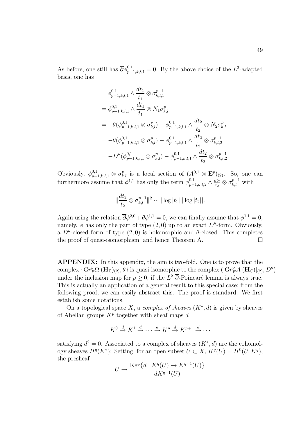As before, one still has  $\overline{\partial} \phi_{p-1,k,l,1}^{0,1} = 0$ . By the above choice of the  $L^2$ -adapted basis, one has

$$
\phi_{p-1,k,l,1}^{0,1} \wedge \frac{dt_1}{t_1} \otimes \sigma_{k,l,1}^{p-1}
$$
\n
$$
= \phi_{p-1,k,l,1}^{0,1} \wedge \frac{dt_1}{t_1} \otimes N_1 \sigma_{k,l}^p
$$
\n
$$
= -\theta(\phi_{p-1,k,l,1}^{0,1} \otimes \sigma_{k,l}^p) - \phi_{p-1,k,l,1}^{0,1} \wedge \frac{dt_2}{t_2} \otimes N_2 \sigma_{k,l}^p
$$
\n
$$
= -\theta(\phi_{p-1,k,l,1}^{0,1} \otimes \sigma_{k,l}^p) - \phi_{p-1,k,l,1}^{0,1} \wedge \frac{dt_2}{t_2} \otimes \sigma_{k,l,2}^{p-1}
$$
\n
$$
= -D''(\phi_{p-1,k,l,1}^{0,1} \otimes \sigma_{k,l}^p) - \phi_{p-1,k,l,1}^{0,1} \wedge \frac{dt_2}{t_2} \otimes \sigma_{k,l,2}^{p-1}.
$$

Obviously,  $\phi_{p-1,k,l,1}^{0,1} \otimes \sigma_{k,l}^p$  is a local section of  $(A^{0,1} \otimes \mathbf{E}^p)_{(2)}$ . So, one can furthermore assume that  $\phi^{1,1}$  has only the term  $\phi^{0,1}_{p-1,k,l,2} \wedge \frac{dt_2}{t_2} \otimes \sigma^{p-1}_{k,l}$  with

$$
\|\frac{dt_2}{t_2}\otimes\sigma_{k,l}^{p-1}\|^2\sim|\log|t_1|||\log|t_2||.
$$

Again using the relation  $\overline{\partial}\phi^{2,0} + \theta \phi^{1,1} = 0$ , we can finally assume that  $\phi^{1,1} = 0$ , namely,  $\phi$  has only the part of type  $(2,0)$  up to an exact D''-form. Obviously, a  $D''$ -closed form of type  $(2,0)$  is holomorphic and  $\theta$ -closed. This completes the proof of quasi-isomorphism, and hence Theorem A.

**APPENDIX:** In this appendix, the aim is two-fold. One is to prove that the complex  $\{ \mathrm{Gr}_F^p \Omega^\cdot (\mathbf{H}_\mathbb{C})_{(2)}, \theta \}$  is quasi-isomorphic to the complex  $\left( [\mathrm{Gr}_F^p A^\cdot (\mathbf{H}_\mathbb{C})]_{(2)}, D'' \right)$ under the inclusion map for  $p \geq 0$ , if the  $L^2$   $\overline{\partial}$ -Poincaré lemma is always true. This is actually an application of a general result to this special case; from the following proof, we can easily abstract this. The proof is standard. We first establish some notations.

On a topological space X, a complex of sheaves  $(K^*, d)$  is given by sheaves of Abelian groups  $K^p$  together with sheaf maps d

$$
K^0 \xrightarrow{d} K^1 \xrightarrow{d} \cdots \xrightarrow{d} K^p \xrightarrow{d} K^{p+1} \xrightarrow{d} \cdots
$$

satisfying  $d^2 = 0$ . Associated to a complex of sheaves  $(K^*, d)$  are the cohomology sheaves  $H^q(K^*)$ : Setting, for an open subset  $U \subset X$ ,  $K^q(U) = H^0(U, K^q)$ , the presheaf

$$
U \to \frac{\text{Ker}\{d: K^q(U) \to K^{q+1}(U)\}}{dK^{q-1}(U)}
$$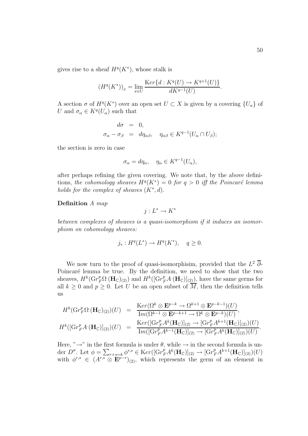gives rise to a sheaf  $H^q(K^*)$ , whose stalk is

$$
(H^q(K^*))_x = \lim_{x \in U} \frac{\operatorname{Ker}\{d: K^q(U) \to K^{q+1}(U)\}}{dK^{q-1}(U)}.
$$

A section  $\sigma$  of  $H^q(K^*)$  over an open set  $U \subset X$  is given by a covering  $\{U_{\alpha}\}$  of U and  $\sigma_{\alpha} \in K^{q}(U_{\alpha})$  such that

$$
d\sigma = 0,
$$
  
\n
$$
\sigma_{\alpha} - \sigma_{\beta} = d\eta_{\alpha\beta}, \quad \eta_{\alpha\beta} \in K^{q-1}(U_{\alpha} \cap U_{\beta});
$$

the section is zero in case

$$
\sigma_{\alpha} = d\eta_{\alpha}, \quad \eta_{\alpha} \in K^{q-1}(U_{\alpha}),
$$

after perhaps refining the given covering. We note that, by the above definitions, the cohomology sheaves  $H^q(K^*)=0$  for  $q>0$  iff the Poincaré lemma holds for the complex of sheaves  $(K^*, d)$ .

**Definition** A map

$$
j:L^*\to K^*
$$

between complexes of sheaves is a quasi-isomorphism if it induces an isomorphism on cohomology sheaves:

$$
j_* : H^q(L^*) \to H^q(K^*), \quad q \ge 0.
$$

We now turn to the proof of quasi-isomorphisim, provided that the  $L^2$  ∂-Poincaré lemma be true. By the definition, we need to show that the two sheaves,  $H^k(\mathrm{Gr}_F^p \Omega^\cdot(\mathbf{H}_{\mathbb{C}})_{(2)})$  and  $H^k([\mathrm{Gr}_F^p A^\cdot(\mathbf{H}_{\mathbb{C}})]_{(2)})$ , have the same germs for all  $k \geq 0$  and  $p \geq 0$ . Let U be an open subset of  $\overline{M}$ , then the definition tells us

$$
H^k(\mathrm{Gr}_F^p\Omega^\cdot(\mathbf{H}_\mathbb{C})_{(2)})(U) = \frac{\mathrm{K}er(\Omega^k \otimes \mathbf{E}^{p-k} \to \Omega^{k+1} \otimes \mathbf{E}^{p-k-1})(U)}{\mathrm{Im}(\Omega^{k-1} \otimes \mathbf{E}^{p-k+1} \to \Omega^k \otimes \mathbf{E}^{p-k})(U)},
$$
  

$$
H^k([\mathrm{Gr}_F^p\Lambda^\cdot(\mathbf{H}_\mathbb{C})]_{(2)})(U) = \frac{\mathrm{K}er([\mathrm{Gr}_F^p\Lambda^k(\mathbf{H}_\mathbb{C})]_{(2)} \to [\mathrm{Gr}_F^p\Lambda^{k+1}(\mathbf{H}_\mathbb{C})]_{(2)})(U)}{\mathrm{Im}([\mathrm{Gr}_F^p\Lambda^{k-1}(\mathbf{H}_\mathbb{C})]_{(2)} \to [\mathrm{Gr}_F^p\Lambda^k(\mathbf{H}_\mathbb{C})]_{(2)})(U)}.
$$

Here, " $\rightarrow$ " in the first formula is under  $\theta$ , while  $\rightarrow$  in the second formula is under  $D''$ . Let  $\phi = \sum_{r+s=k} \phi^{r,s} \in \text{K}er([Gr_F^pA^k(\mathbf{H}_{\mathbb{C}})]_{(2)} \to [Gr_F^pA^{k+1}(\mathbf{H}_{\mathbb{C}})]_{(2)})(U)$ with  $\phi^{r,s} \in (A^{r,s} \otimes \mathbf{E}^{p-r})_{(2)}$ , which represents the germ of an element in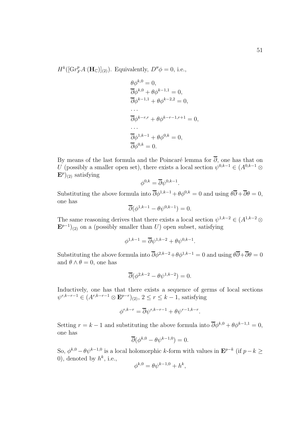$H^k([Gr_F^pA<sup>\cdot</sup>(\mathbf{H}_{\mathbb{C}})]_{(2)})$ . Equivalently,  $D''\phi = 0$ , i.e.,

$$
\theta \phi^{k,0} = 0,
$$
  
\n
$$
\overline{\partial} \phi^{k,0} + \theta \phi^{k-1,1} = 0,
$$
  
\n
$$
\overline{\partial} \phi^{k-1,1} + \theta \phi^{k-2,2} = 0,
$$
  
\n...  
\n
$$
\overline{\partial} \phi^{k-r,r} + \theta \phi^{k-r-1,r+1} = 0,
$$
  
\n...  
\n
$$
\overline{\partial} \phi^{1,k-1} + \theta \phi^{0,k} = 0,
$$
  
\n
$$
\overline{\partial} \phi^{0,k} = 0.
$$

By means of the last formula and the Poincaré lemma for  $\overline{\partial}$ , one has that on U (possibly a smaller open set), there exists a local section  $\psi^{0,k-1} \in (A^{0,k-1} \otimes$  $\mathbf{E}^p|_{(2)}$  satisfying

$$
\phi^{0,k} = \overline{\partial} \psi^{0,k-1}.
$$

Substituting the above formula into  $\overline{\partial}\phi^{1,k-1} + \theta \phi^{0,k} = 0$  and using  $\theta \overline{\partial} + \overline{\partial} \theta = 0$ , one has

$$
\overline{\partial}(\phi^{1,k-1} - \theta \psi^{0,k-1}) = 0.
$$

The same reasoning derives that there exists a local section  $\psi^{1,k-2} \in (A^{1,k-2} \otimes$  $\mathbf{E}^{p-1}|_{(2)}$  on a (possibly smaller than U) open subset, satisfying

$$
\phi^{1,k-1}=\overline{\partial}\psi^{1,k-2}+\theta\psi^{0,k-1}.
$$

Substituting the above formula into  $\overline{\partial}\phi^{2,k-2}+\theta\phi^{1,k-1}=0$  and using  $\theta\overline{\partial}+\overline{\partial}\theta=0$ and  $\theta \wedge \theta = 0$ , one has

$$
\overline{\partial}(\phi^{2,k-2} - \theta \psi^{1,k-2}) = 0.
$$

Inductively, one has that there exists a sequence of germs of local sections  $ψ^{r,k-r-1}$  ∈  $(A^{r,k-r-1} \otimes \mathbf{E}^{p-r})_{(2)}$ ,  $2 \leq r \leq k-1$ , satisfying

$$
\phi^{r,k-r} = \overline{\partial} \psi^{r,k-r-1} + \theta \psi^{r-1,k-r}.
$$

Setting  $r = k - 1$  and substituting the above formula into  $\overline{\partial} \phi^{k,0} + \theta \phi^{k-1,1} = 0$ , one has

$$
\overline{\partial}(\phi^{k,0} - \theta \psi^{k-1,0}) = 0.
$$

So,  $\phi^{k,0} - \theta \psi^{k-1,0}$  is a local holomorphic k-form with values in  $\mathbf{E}^{p-k}$  (if  $p-k \geq$ 0), denoted by  $h^k$ , i.e.,

$$
\phi^{k,0} = \theta \psi^{k-1,0} + h^k,
$$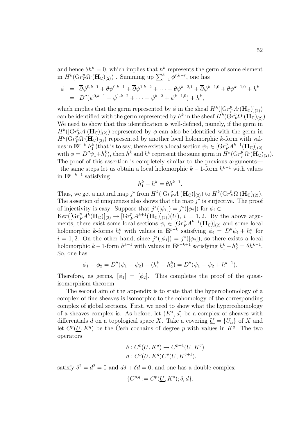and hence  $\theta h^k = 0$ , which implies that  $h^k$  represents the germ of some element in  $H^k(\mathrm{Gr}_F^p\Omega^\cdot(\mathbf{H}_{\mathbb{C}})_{(2)})$ . Summing up  $\sum_{r=1}^k \phi^{r,k-r}$ , one has

$$
\begin{array}{rcl}\n\phi & = & \overline{\partial}\psi^{0,k-1} + \theta\psi^{0,k-1} + \overline{\partial}\psi^{1,k-2} + \dots + \theta\psi^{k-2,1} + \overline{\partial}\psi^{k-1,0} + \theta\psi^{k-1,0} + h^k \\
& = & D''(\psi^{0,k-1} + \psi^{1,k-2} + \dots + \psi^{k-2} + \psi^{k-1,0}) + h^k,\n\end{array}
$$

which implies that the germ represented by  $\phi$  in the sheaf  $H^k([\text{Gr}_F^p A \cdot (\mathbf{H}_{\mathbb{C}})]_{(2)})$ can be identified with the germ represented by  $h^k$  in the sheaf  $\overrightarrow{H}^k(\overrightarrow{Gr}_F^p\Omega^{\bullet}(\mathbf{H}_{\mathbb{C}})(2)).$ We need to show that this identification is well-defined, namely, if the germ in  $H^k([Gr_F^pA<sup>\cdot</sup>(\mathbf{H}_{\mathbb{C}})]_{(2)})$  represented by  $\phi$  can also be identified with the germ in  $H^k(\text{Gr}_F^p\Omega^\cdot(\mathbf{H}_{\mathbb{C}})_{(2)})$  represented by another local holomorphic k-form with values in  $\mathbf{E}^{p-k} h_1^k$  (that is to say, there exists a local section  $\psi_1 \in [Gr_{F_1}^p A^{k-1}(\mathbf{H}_{\mathbb{C}})]_{(2)}$ with  $\phi = D'' \psi_1 + h_1^k$ , then  $h^k$  and  $h_1^k$  represent the same germ in  $H^k(\mathrm{Gr}_F^p \Omega^{\cdot}(\mathbf{H}_{\mathbb{C}})_{(2)})$ . The proof of this assertion is completely similar to the previous arguments— –the same steps let us obtain a local holomorphic  $k - 1$ -form  $h^{k-1}$  with values in  $\mathbf{E}^{p-k+1}$  satisfying

$$
h_1^k - h^k = \theta h^{k-1}.
$$

Thus, we get a natural map j<sup>\*</sup> from  $H^k([\text{Gr}_F^p A \cdot (\mathbf{H}_{\mathbb{C}})]_{(2)})$  to  $H^k(\text{Gr}_F^p \Omega^\cdot(\mathbf{H}_{\mathbb{C}})_{(2)})$ . The assertion of uniqueness also shows that the map  $i^*$  is surjective. The proof of injectivity is easy: Suppose that  $j^*([\phi_1]) = j^*([\phi_2])$  for  $\phi_i \in$ 

 $Ker([Gr_F^pA^k(\mathbf{H}_{\mathbb{C}})]_{(2)} \to [Gr_F^pA^{k+1}(\mathbf{H}_{\mathbb{C}})]_{(2)}(U), i=1,2$ . By the above arguments, there exist some local sections  $\psi_i \in [Gr_F^p A^{k-1}(\mathbf{H}_{\mathbb{C}})]_{(2)}$  and some local holomorphic k-forms  $h_i^k$  with values in  $\mathbf{E}^{p-k}$  satisfying  $\phi_i = D''\psi_i + h_i^k$  for  $i = 1, 2$ . On the other hand, since  $j^*([\phi_1]) = j^*([\phi_2])$ , so there exists a local holomorphic  $k-1$ -form  $h^{k-1}$  with values in  $\mathbf{E}^{p-k+1}$  satisfying  $h_1^k - h_2^k = \theta h^{k-1}$ . So, one has

$$
\phi_1 - \phi_2 = D''(\psi_1 - \psi_2) + (h_1^k - h_2^k) = D''(\psi_1 - \psi_2 + h^{k-1}).
$$

Therefore, as germs,  $[\phi_1]=[\phi_2]$ . This completes the proof of the quasiisomorphism theorem.

The second aim of the appendix is to state that the hypercohomology of a complex of fine sheaves is isomorphic to the cohomology of the corresponding complex of global sections. First, we need to show what the hypercohomology of a sheaves complex is. As before, let  $(K^*, d)$  be a complex of sheaves with differentials d on a topological space X. Take a covering  $U = \{U_{\alpha}\}\$  of X and let  $C^p(U, K^q)$  be the Čech cochains of degree p with values in  $K^q$ . The two operators

$$
\delta: C^p(\underline{U}, K^q) \to C^{p+1}(\underline{U}, K^q)
$$

$$
d: C^p(\underline{U}, K^q)C^p(\underline{U}, K^{q+1}),
$$

satisfy  $\delta^2 = d^2 = 0$  and  $d\delta + \delta d = 0$ ; and one has a double complex

$$
\{C^{p,q} := C^p(\underline{U}, K^q); \delta, d\}.
$$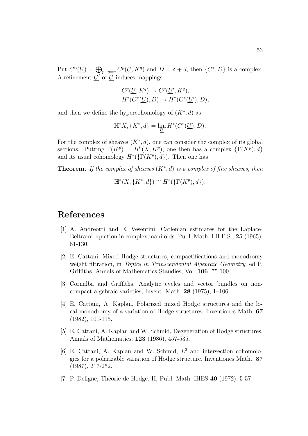Put  $C^n(\underline{U}) = \bigoplus_{p+q=n} C^p(\underline{U}, K^q)$  and  $D = \delta + d$ , then  $\{C^*, D\}$  is a complex. A refinement  $U'$  of  $U$  induces mappings

$$
C^{p}(\underline{U}, K^{q}) \to C^{p}(\underline{U}', K^{q}),
$$
  

$$
H^{*}(C^{*}(\underline{U}), D) \to H^{*}(C^{*}(\underline{U}'), D),
$$

and then we define the hypercohomology of  $(K^*, d)$  as

$$
\mathbb H^*X,\{K^*,d\}=\lim_{\underline{U}}H^*(C^*(\underline{U}),D).
$$

For the complex of sheaves  $(K^*, d)$ , one can consider the complex of its global sections. Putting  $\Gamma(K^p) = H^0(X, K^p)$ , one then has a complex  $\{\Gamma(K^p), d\}$ and its usual cohomology  $H^*(\{\Gamma(K^p), d\})$ . Then one has

**Theorem.** If the complex of sheaves  $(K^*, d)$  is a complex of fine sheaves, then

$$
\mathbb{H}^*(X, \{K^*, d\}) \cong H^*(\{\Gamma(K^p), d\}).
$$

### **References**

- [1] A. Andreotti and E. Vesentini, Carleman estimates for the Laplace-Beltrami equation in complex manifolds. Publ. Math. I.H.E.S., **25** (1965), 81-130.
- [2] E. Cattani, Mixed Hodge structures, compactifications and monodromy weight filtration, in *Topics in Transcendental Algebraic Geometry*, ed P. Griffiths, Annals of Mathematics Staudies, Vol. **106**, 75-100.
- [3] Cornalba and Griffiths, Analytic cycles and vector bundles on noncompact algebraic varieties, Invent. Math. **28** (1975), 1–106.
- [4] E. Cattani, A. Kaplan, Polarized mixed Hodge structures and the local monodromy of a variation of Hodge structures, Inventiones Math. **67** (1982), 101-115.
- [5] E. Cattani, A. Kaplan and W. Schmid, Degeneration of Hodge structures, Annals of Mathematics, **123** (1986), 457-535.
- [6] E. Cattani, A. Kaplan and W. Schmid,  $L^2$  and intersection cohomologies for a polarizable variation of Hodge structure, Inventiones Math., **87** (1987), 217-252.
- [7] P. Deligne, Th´eorie de Hodge. II, Publ. Math. IHES **40** (1972), 5-57